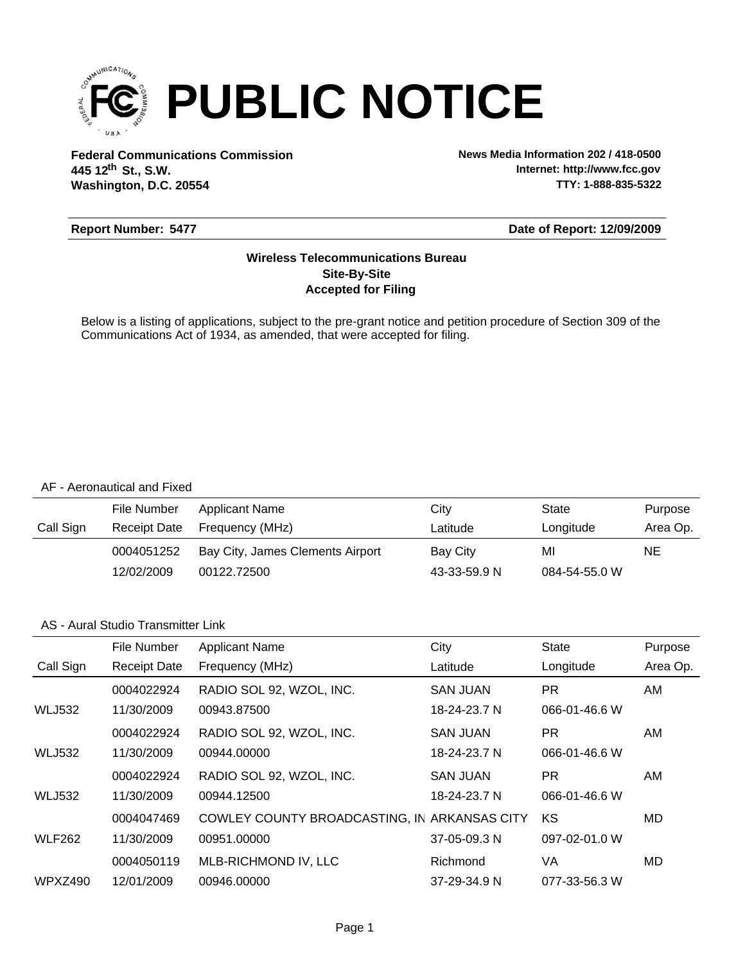

**Federal Communications Commission News Media Information 202 / 418-0500 Washington, D.C. 20554 th 445 12 St., S.W.**

**Internet: http://www.fcc.gov TTY: 1-888-835-5322**

#### **Report Number: 5477**

#### **Date of Report: 12/09/2009**

### **Accepted for Filing Site-By-Site Wireless Telecommunications Bureau**

Below is a listing of applications, subject to the pre-grant notice and petition procedure of Section 309 of the Communications Act of 1934, as amended, that were accepted for filing.

#### AF - Aeronautical and Fixed

|           | File Number         | Applicant Name                   | City         | State         | Purpose  |
|-----------|---------------------|----------------------------------|--------------|---------------|----------|
| Call Sign | <b>Receipt Date</b> | Frequency (MHz)                  | Latitude     | Longitude     | Area Op. |
|           | 0004051252          | Bay City, James Clements Airport | Bay City     | MI            | NE       |
|           | 12/02/2009          | 00122.72500                      | 43-33-59.9 N | 084-54-55.0 W |          |

#### AS - Aural Studio Transmitter Link

|               | File Number         | <b>Applicant Name</b>                        | City            | <b>State</b>  | Purpose  |
|---------------|---------------------|----------------------------------------------|-----------------|---------------|----------|
| Call Sign     | <b>Receipt Date</b> | Frequency (MHz)                              | Latitude        | Longitude     | Area Op. |
|               | 0004022924          | RADIO SOL 92, WZOL, INC.                     | <b>SAN JUAN</b> | <b>PR</b>     | AM.      |
| <b>WLJ532</b> | 11/30/2009          | 00943.87500                                  | 18-24-23.7 N    | 066-01-46.6 W |          |
|               | 0004022924          | RADIO SOL 92, WZOL, INC.                     | <b>SAN JUAN</b> | <b>PR</b>     | AM       |
| <b>WLJ532</b> | 11/30/2009          | 00944.00000                                  | 18-24-23.7 N    | 066-01-46.6 W |          |
|               | 0004022924          | RADIO SOL 92, WZOL, INC.                     | <b>SAN JUAN</b> | PR.           | AM.      |
| <b>WLJ532</b> | 11/30/2009          | 00944.12500                                  | 18-24-23.7 N    | 066-01-46.6 W |          |
|               | 0004047469          | COWLEY COUNTY BROADCASTING, IN ARKANSAS CITY |                 | KS            | MD       |
| <b>WLF262</b> | 11/30/2009          | 00951.00000                                  | 37-05-09.3 N    | 097-02-01.0 W |          |
|               | 0004050119          | MLB-RICHMOND IV, LLC                         | Richmond        | VA            | MD       |
| WPXZ490       | 12/01/2009          | 00946.00000                                  | 37-29-34.9 N    | 077-33-56.3 W |          |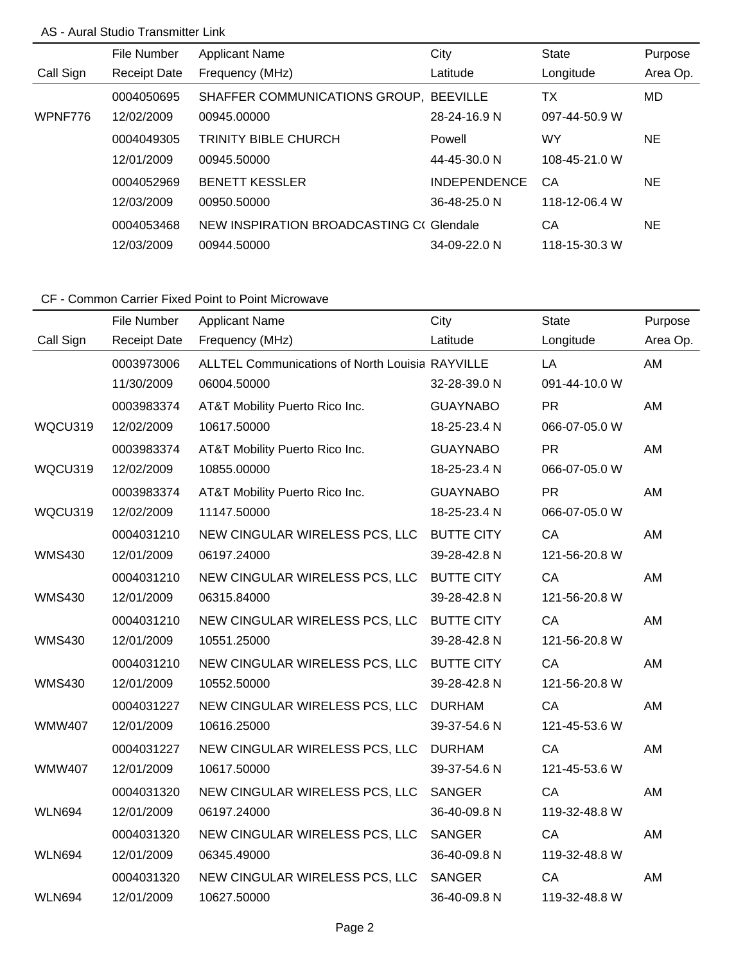## AS - Aural Studio Transmitter Link

|           | File Number         | <b>Applicant Name</b>                   | City                | <b>State</b>  | Purpose  |
|-----------|---------------------|-----------------------------------------|---------------------|---------------|----------|
| Call Sign | <b>Receipt Date</b> | Frequency (MHz)                         | Latitude            | Longitude     | Area Op. |
|           | 0004050695          | SHAFFER COMMUNICATIONS GROUP, BEEVILLE  |                     | ТX            | MD.      |
| WPNF776   | 12/02/2009          | 00945.00000                             | 28-24-16.9 N        | 097-44-50.9 W |          |
|           | 0004049305          | <b>TRINITY BIBLE CHURCH</b>             | Powell              | WY            | NE.      |
|           | 12/01/2009          | 00945.50000                             | 44-45-30.0 N        | 108-45-21.0 W |          |
|           | 0004052969          | <b>BENETT KESSLER</b>                   | <b>INDEPENDENCE</b> | CA            | NE.      |
|           | 12/03/2009          | 00950.50000                             | 36-48-25.0 N        | 118-12-06.4 W |          |
|           | 0004053468          | NEW INSPIRATION BROADCASTING C(Glendale |                     | CA            | NE.      |
|           | 12/03/2009          | 00944.50000                             | 34-09-22.0 N        | 118-15-30.3 W |          |

|               | File Number         | <b>Applicant Name</b>                                  | City              | <b>State</b>  | Purpose  |
|---------------|---------------------|--------------------------------------------------------|-------------------|---------------|----------|
| Call Sign     | <b>Receipt Date</b> | Frequency (MHz)                                        | Latitude          | Longitude     | Area Op. |
|               | 0003973006          | <b>ALLTEL Communications of North Louisia RAYVILLE</b> |                   | LA            | AM       |
|               | 11/30/2009          | 06004.50000                                            | 32-28-39.0 N      | 091-44-10.0 W |          |
|               | 0003983374          | AT&T Mobility Puerto Rico Inc.                         | <b>GUAYNABO</b>   | <b>PR</b>     | AM       |
| WQCU319       | 12/02/2009          | 10617.50000                                            | 18-25-23.4 N      | 066-07-05.0 W |          |
|               | 0003983374          | AT&T Mobility Puerto Rico Inc.                         | <b>GUAYNABO</b>   | <b>PR</b>     | AM       |
| WQCU319       | 12/02/2009          | 10855.00000                                            | 18-25-23.4 N      | 066-07-05.0 W |          |
|               | 0003983374          | AT&T Mobility Puerto Rico Inc.                         | <b>GUAYNABO</b>   | <b>PR</b>     | AM       |
| WQCU319       | 12/02/2009          | 11147.50000                                            | 18-25-23.4 N      | 066-07-05.0 W |          |
|               | 0004031210          | NEW CINGULAR WIRELESS PCS, LLC                         | <b>BUTTE CITY</b> | CA            | AM       |
| <b>WMS430</b> | 12/01/2009          | 06197.24000                                            | 39-28-42.8 N      | 121-56-20.8 W |          |
|               | 0004031210          | NEW CINGULAR WIRELESS PCS, LLC BUTTE CITY              |                   | CA            | AM       |
| <b>WMS430</b> | 12/01/2009          | 06315.84000                                            | 39-28-42.8 N      | 121-56-20.8 W |          |
|               | 0004031210          | NEW CINGULAR WIRELESS PCS, LLC                         | <b>BUTTE CITY</b> | CA            | AM       |
| <b>WMS430</b> | 12/01/2009          | 10551.25000                                            | 39-28-42.8 N      | 121-56-20.8 W |          |
|               | 0004031210          | NEW CINGULAR WIRELESS PCS, LLC                         | <b>BUTTE CITY</b> | CA            | AM       |
| <b>WMS430</b> | 12/01/2009          | 10552.50000                                            | 39-28-42.8 N      | 121-56-20.8 W |          |
|               | 0004031227          | NEW CINGULAR WIRELESS PCS, LLC                         | <b>DURHAM</b>     | CA            | AM       |
| <b>WMW407</b> | 12/01/2009          | 10616.25000                                            | 39-37-54.6 N      | 121-45-53.6 W |          |
|               | 0004031227          | NEW CINGULAR WIRELESS PCS, LLC                         | <b>DURHAM</b>     | CA            | AM       |
| <b>WMW407</b> | 12/01/2009          | 10617.50000                                            | 39-37-54.6 N      | 121-45-53.6 W |          |
|               | 0004031320          | NEW CINGULAR WIRELESS PCS, LLC                         | <b>SANGER</b>     | CA            | AM       |
| <b>WLN694</b> | 12/01/2009          | 06197.24000                                            | 36-40-09.8 N      | 119-32-48.8 W |          |
|               | 0004031320          | NEW CINGULAR WIRELESS PCS, LLC                         | <b>SANGER</b>     | CA            | AM       |
| <b>WLN694</b> | 12/01/2009          | 06345.49000                                            | 36-40-09.8 N      | 119-32-48.8 W |          |
|               | 0004031320          | NEW CINGULAR WIRELESS PCS, LLC                         | <b>SANGER</b>     | CA            | AM       |
| <b>WLN694</b> | 12/01/2009          | 10627.50000                                            | 36-40-09.8 N      | 119-32-48.8 W |          |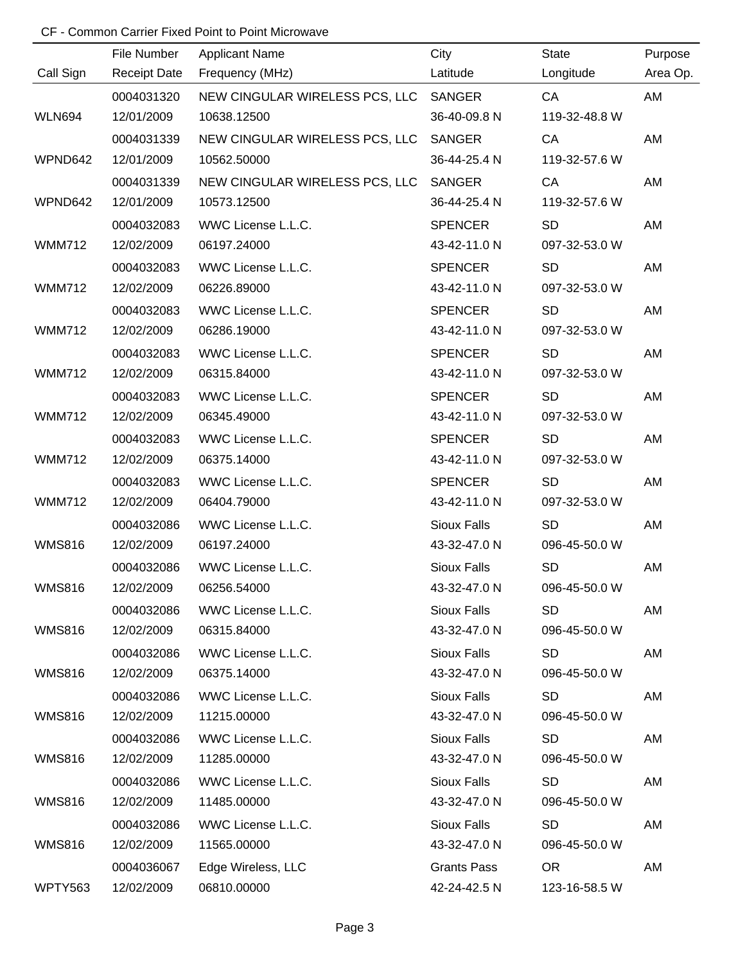|                | File Number         | <b>Applicant Name</b>          | City               | <b>State</b>  | Purpose  |
|----------------|---------------------|--------------------------------|--------------------|---------------|----------|
| Call Sign      | <b>Receipt Date</b> | Frequency (MHz)                | Latitude           | Longitude     | Area Op. |
|                | 0004031320          | NEW CINGULAR WIRELESS PCS, LLC | SANGER             | CA            | AM       |
| <b>WLN694</b>  | 12/01/2009          | 10638.12500                    | 36-40-09.8 N       | 119-32-48.8 W |          |
|                | 0004031339          | NEW CINGULAR WIRELESS PCS, LLC | <b>SANGER</b>      | CA            | AM       |
| WPND642        | 12/01/2009          | 10562.50000                    | 36-44-25.4 N       | 119-32-57.6 W |          |
|                | 0004031339          | NEW CINGULAR WIRELESS PCS, LLC | SANGER             | CA            | AM       |
| WPND642        | 12/01/2009          | 10573.12500                    | 36-44-25.4 N       | 119-32-57.6 W |          |
|                | 0004032083          | WWC License L.L.C.             | <b>SPENCER</b>     | <b>SD</b>     | AM       |
| <b>WMM712</b>  | 12/02/2009          | 06197.24000                    | 43-42-11.0 N       | 097-32-53.0 W |          |
|                | 0004032083          | WWC License L.L.C.             | <b>SPENCER</b>     | <b>SD</b>     | AM       |
| <b>WMM712</b>  | 12/02/2009          | 06226.89000                    | 43-42-11.0 N       | 097-32-53.0 W |          |
|                | 0004032083          | WWC License L.L.C.             | <b>SPENCER</b>     | <b>SD</b>     | AM       |
| <b>WMM712</b>  | 12/02/2009          | 06286.19000                    | 43-42-11.0 N       | 097-32-53.0 W |          |
|                | 0004032083          | WWC License L.L.C.             | <b>SPENCER</b>     | <b>SD</b>     | AM       |
| <b>WMM712</b>  | 12/02/2009          | 06315.84000                    | 43-42-11.0 N       | 097-32-53.0 W |          |
|                | 0004032083          | WWC License L.L.C.             | <b>SPENCER</b>     | <b>SD</b>     | AM       |
| <b>WMM712</b>  | 12/02/2009          | 06345.49000                    | 43-42-11.0 N       | 097-32-53.0 W |          |
|                | 0004032083          | WWC License L.L.C.             | <b>SPENCER</b>     | <b>SD</b>     | AM       |
| <b>WMM712</b>  | 12/02/2009          | 06375.14000                    | 43-42-11.0 N       | 097-32-53.0 W |          |
|                | 0004032083          | WWC License L.L.C.             | <b>SPENCER</b>     | <b>SD</b>     | AM       |
| <b>WMM712</b>  | 12/02/2009          | 06404.79000                    | 43-42-11.0 N       | 097-32-53.0 W |          |
|                | 0004032086          | WWC License L.L.C.             | <b>Sioux Falls</b> | <b>SD</b>     | AM       |
| <b>WMS816</b>  | 12/02/2009          | 06197.24000                    | 43-32-47.0 N       | 096-45-50.0 W |          |
|                | 0004032086          | WWC License L.L.C.             | <b>Sioux Falls</b> | <b>SD</b>     | AM       |
| WMS816         | 12/02/2009          | 06256.54000                    | 43-32-47.0 N       | 096-45-50.0 W |          |
|                | 0004032086          | WWC License L.L.C.             | <b>Sioux Falls</b> | <b>SD</b>     | AM       |
| <b>WMS816</b>  | 12/02/2009          | 06315.84000                    | 43-32-47.0 N       | 096-45-50.0 W |          |
|                | 0004032086          | WWC License L.L.C.             | <b>Sioux Falls</b> | <b>SD</b>     | AM       |
| <b>WMS816</b>  | 12/02/2009          | 06375.14000                    | 43-32-47.0 N       | 096-45-50.0 W |          |
|                | 0004032086          | WWC License L.L.C.             | Sioux Falls        | <b>SD</b>     | AM       |
| <b>WMS816</b>  | 12/02/2009          | 11215.00000                    | 43-32-47.0 N       | 096-45-50.0 W |          |
|                | 0004032086          | WWC License L.L.C.             | Sioux Falls        | <b>SD</b>     | AM       |
| <b>WMS816</b>  | 12/02/2009          | 11285.00000                    | 43-32-47.0 N       | 096-45-50.0 W |          |
|                | 0004032086          | WWC License L.L.C.             | Sioux Falls        | <b>SD</b>     | AM       |
| <b>WMS816</b>  | 12/02/2009          | 11485.00000                    | 43-32-47.0 N       | 096-45-50.0 W |          |
|                | 0004032086          | WWC License L.L.C.             | Sioux Falls        | <b>SD</b>     | AM       |
| <b>WMS816</b>  | 12/02/2009          | 11565.00000                    | 43-32-47.0 N       | 096-45-50.0 W |          |
|                | 0004036067          | Edge Wireless, LLC             | <b>Grants Pass</b> | <b>OR</b>     | AM       |
| <b>WPTY563</b> | 12/02/2009          | 06810.00000                    | 42-24-42.5 N       | 123-16-58.5 W |          |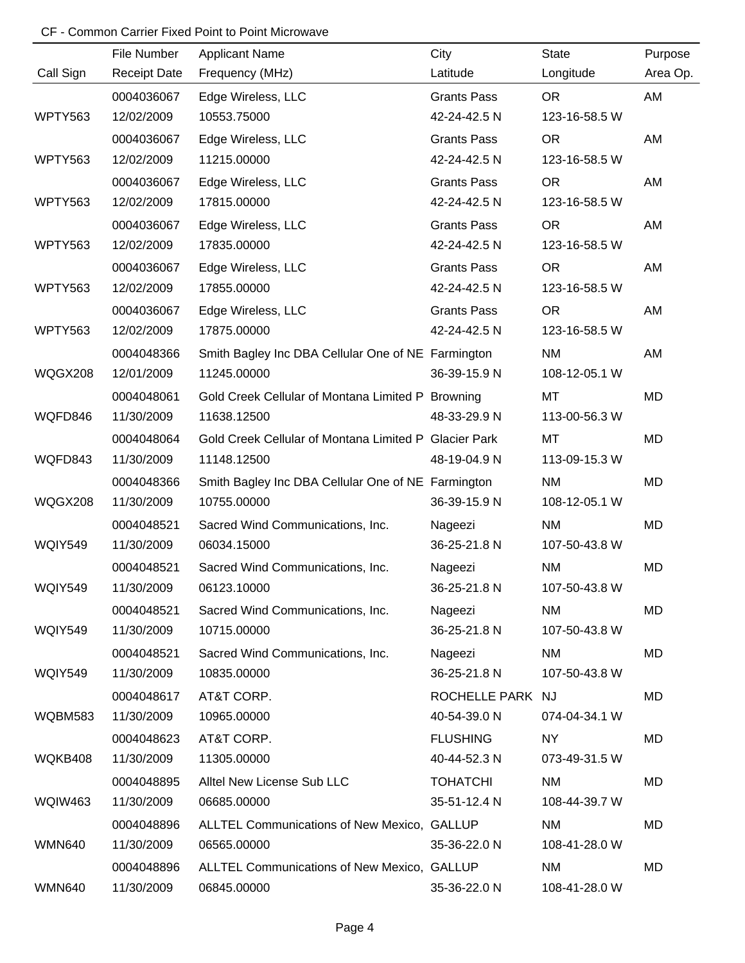|                | File Number         | <b>Applicant Name</b>                                 | City               | <b>State</b>  | Purpose   |
|----------------|---------------------|-------------------------------------------------------|--------------------|---------------|-----------|
| Call Sign      | <b>Receipt Date</b> | Frequency (MHz)                                       | Latitude           | Longitude     | Area Op.  |
|                | 0004036067          | Edge Wireless, LLC                                    | <b>Grants Pass</b> | <b>OR</b>     | AM        |
| WPTY563        | 12/02/2009          | 10553.75000                                           | 42-24-42.5 N       | 123-16-58.5 W |           |
|                | 0004036067          | Edge Wireless, LLC                                    | <b>Grants Pass</b> | <b>OR</b>     | AM        |
| WPTY563        | 12/02/2009          | 11215.00000                                           | 42-24-42.5 N       | 123-16-58.5 W |           |
|                | 0004036067          | Edge Wireless, LLC                                    | <b>Grants Pass</b> | <b>OR</b>     | AM        |
| WPTY563        | 12/02/2009          | 17815.00000                                           | 42-24-42.5 N       | 123-16-58.5 W |           |
|                | 0004036067          | Edge Wireless, LLC                                    | <b>Grants Pass</b> | <b>OR</b>     | AM        |
| WPTY563        | 12/02/2009          | 17835.00000                                           | 42-24-42.5 N       | 123-16-58.5 W |           |
|                | 0004036067          | Edge Wireless, LLC                                    | <b>Grants Pass</b> | <b>OR</b>     | AM        |
| WPTY563        | 12/02/2009          | 17855.00000                                           | 42-24-42.5 N       | 123-16-58.5 W |           |
|                | 0004036067          | Edge Wireless, LLC                                    | <b>Grants Pass</b> | <b>OR</b>     | AM        |
| WPTY563        | 12/02/2009          | 17875.00000                                           | 42-24-42.5 N       | 123-16-58.5 W |           |
|                | 0004048366          | Smith Bagley Inc DBA Cellular One of NE Farmington    |                    | <b>NM</b>     | AM        |
| WQGX208        | 12/01/2009          | 11245.00000                                           | 36-39-15.9 N       | 108-12-05.1 W |           |
|                | 0004048061          | Gold Creek Cellular of Montana Limited P Browning     |                    | MT            | <b>MD</b> |
| WQFD846        | 11/30/2009          | 11638.12500                                           | 48-33-29.9 N       | 113-00-56.3 W |           |
|                | 0004048064          | Gold Creek Cellular of Montana Limited P Glacier Park |                    | <b>MT</b>     | <b>MD</b> |
| WQFD843        | 11/30/2009          | 11148.12500                                           | 48-19-04.9 N       | 113-09-15.3 W |           |
|                | 0004048366          | Smith Bagley Inc DBA Cellular One of NE Farmington    |                    | <b>NM</b>     | <b>MD</b> |
| WQGX208        | 11/30/2009          | 10755.00000                                           | 36-39-15.9 N       | 108-12-05.1 W |           |
|                | 0004048521          | Sacred Wind Communications, Inc.                      | Nageezi            | <b>NM</b>     | <b>MD</b> |
| WQIY549        | 11/30/2009          | 06034.15000                                           | 36-25-21.8 N       | 107-50-43.8 W |           |
|                | 0004048521          | Sacred Wind Communications, Inc.                      | Nageezi            | <b>NM</b>     | <b>MD</b> |
| WQIY549        | 11/30/2009          | 06123.10000                                           | 36-25-21.8 N       | 107-50-43.8 W |           |
|                | 0004048521          | Sacred Wind Communications, Inc.                      | Nageezi            | NM            | <b>MD</b> |
| WQIY549        | 11/30/2009          | 10715.00000                                           | 36-25-21.8 N       | 107-50-43.8 W |           |
|                | 0004048521          | Sacred Wind Communications, Inc.                      | Nageezi            | <b>NM</b>     | MD        |
| WQIY549        | 11/30/2009          | 10835.00000                                           | 36-25-21.8 N       | 107-50-43.8 W |           |
|                | 0004048617          | AT&T CORP.                                            | ROCHELLE PARK NJ   |               | MD        |
| <b>WQBM583</b> | 11/30/2009          | 10965.00000                                           | 40-54-39.0 N       | 074-04-34.1 W |           |
|                | 0004048623          | AT&T CORP.                                            | <b>FLUSHING</b>    | NY            | MD        |
| WQKB408        | 11/30/2009          | 11305.00000                                           | 40-44-52.3 N       | 073-49-31.5 W |           |
|                | 0004048895          | Alltel New License Sub LLC                            | <b>TOHATCHI</b>    | NM            | MD        |
| <b>WQIW463</b> | 11/30/2009          | 06685.00000                                           | 35-51-12.4 N       | 108-44-39.7 W |           |
|                | 0004048896          | ALLTEL Communications of New Mexico, GALLUP           |                    | <b>NM</b>     | MD        |
| <b>WMN640</b>  | 11/30/2009          | 06565.00000                                           | 35-36-22.0 N       | 108-41-28.0 W |           |
|                | 0004048896          | ALLTEL Communications of New Mexico, GALLUP           |                    | <b>NM</b>     | MD        |
| <b>WMN640</b>  | 11/30/2009          | 06845.00000                                           | 35-36-22.0 N       | 108-41-28.0 W |           |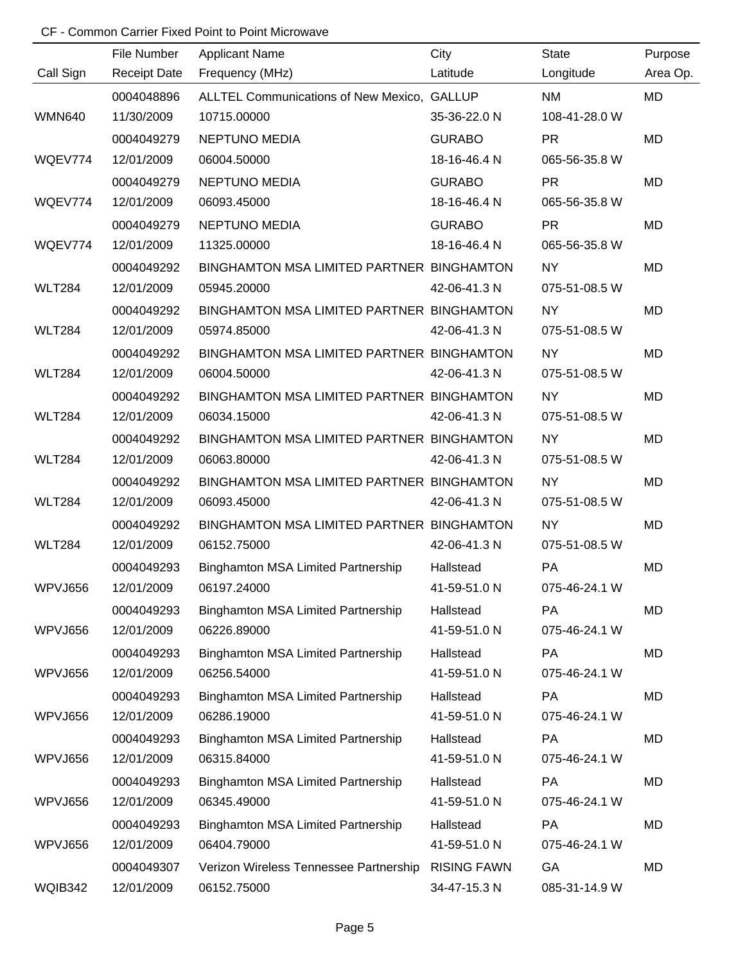|               | File Number         | <b>Applicant Name</b>                       | City               | <b>State</b>  | Purpose   |
|---------------|---------------------|---------------------------------------------|--------------------|---------------|-----------|
| Call Sign     | <b>Receipt Date</b> | Frequency (MHz)                             | Latitude           | Longitude     | Area Op.  |
|               | 0004048896          | ALLTEL Communications of New Mexico, GALLUP |                    | <b>NM</b>     | <b>MD</b> |
| <b>WMN640</b> | 11/30/2009          | 10715.00000                                 | 35-36-22.0 N       | 108-41-28.0 W |           |
|               | 0004049279          | <b>NEPTUNO MEDIA</b>                        | <b>GURABO</b>      | <b>PR</b>     | <b>MD</b> |
| WQEV774       | 12/01/2009          | 06004.50000                                 | 18-16-46.4 N       | 065-56-35.8 W |           |
|               | 0004049279          | <b>NEPTUNO MEDIA</b>                        | <b>GURABO</b>      | <b>PR</b>     | MD        |
| WQEV774       | 12/01/2009          | 06093.45000                                 | 18-16-46.4 N       | 065-56-35.8 W |           |
|               | 0004049279          | <b>NEPTUNO MEDIA</b>                        | <b>GURABO</b>      | <b>PR</b>     | MD        |
| WQEV774       | 12/01/2009          | 11325.00000                                 | 18-16-46.4 N       | 065-56-35.8 W |           |
|               | 0004049292          | BINGHAMTON MSA LIMITED PARTNER BINGHAMTON   |                    | <b>NY</b>     | MD        |
| <b>WLT284</b> | 12/01/2009          | 05945.20000                                 | 42-06-41.3 N       | 075-51-08.5 W |           |
|               | 0004049292          | BINGHAMTON MSA LIMITED PARTNER BINGHAMTON   |                    | <b>NY</b>     | MD        |
| <b>WLT284</b> | 12/01/2009          | 05974.85000                                 | 42-06-41.3 N       | 075-51-08.5 W |           |
|               | 0004049292          | BINGHAMTON MSA LIMITED PARTNER BINGHAMTON   |                    | <b>NY</b>     | MD        |
| <b>WLT284</b> | 12/01/2009          | 06004.50000                                 | 42-06-41.3 N       | 075-51-08.5 W |           |
|               | 0004049292          | BINGHAMTON MSA LIMITED PARTNER BINGHAMTON   |                    | <b>NY</b>     | MD        |
| <b>WLT284</b> | 12/01/2009          | 06034.15000                                 | 42-06-41.3 N       | 075-51-08.5 W |           |
|               | 0004049292          | BINGHAMTON MSA LIMITED PARTNER BINGHAMTON   |                    | <b>NY</b>     | MD        |
| <b>WLT284</b> | 12/01/2009          | 06063.80000                                 | 42-06-41.3 N       | 075-51-08.5 W |           |
|               | 0004049292          | BINGHAMTON MSA LIMITED PARTNER BINGHAMTON   |                    | <b>NY</b>     | MD        |
| <b>WLT284</b> | 12/01/2009          | 06093.45000                                 | 42-06-41.3 N       | 075-51-08.5 W |           |
|               | 0004049292          | BINGHAMTON MSA LIMITED PARTNER BINGHAMTON   |                    | <b>NY</b>     | <b>MD</b> |
| <b>WLT284</b> | 12/01/2009          | 06152.75000                                 | 42-06-41.3 N       | 075-51-08.5 W |           |
|               | 0004049293          | Binghamton MSA Limited Partnership          | Hallstead          | PA            | MD        |
| WPVJ656       | 12/01/2009          | 06197.24000                                 | 41-59-51.0 N       | 075-46-24.1 W |           |
|               | 0004049293          | <b>Binghamton MSA Limited Partnership</b>   | Hallstead          | PA            | MD        |
| WPVJ656       | 12/01/2009          | 06226.89000                                 | 41-59-51.0 N       | 075-46-24.1 W |           |
|               | 0004049293          | Binghamton MSA Limited Partnership          | Hallstead          | <b>PA</b>     | MD        |
| WPVJ656       | 12/01/2009          | 06256.54000                                 | 41-59-51.0 N       | 075-46-24.1 W |           |
|               | 0004049293          | <b>Binghamton MSA Limited Partnership</b>   | Hallstead          | PA            | MD        |
| WPVJ656       | 12/01/2009          | 06286.19000                                 | 41-59-51.0 N       | 075-46-24.1 W |           |
|               | 0004049293          | Binghamton MSA Limited Partnership          | Hallstead          | <b>PA</b>     | MD        |
| WPVJ656       | 12/01/2009          | 06315.84000                                 | 41-59-51.0 N       | 075-46-24.1 W |           |
|               | 0004049293          | <b>Binghamton MSA Limited Partnership</b>   | Hallstead          | PA            | MD        |
| WPVJ656       | 12/01/2009          | 06345.49000                                 | 41-59-51.0 N       | 075-46-24.1 W |           |
|               | 0004049293          | <b>Binghamton MSA Limited Partnership</b>   | Hallstead          | PA            | MD        |
| WPVJ656       | 12/01/2009          | 06404.79000                                 | 41-59-51.0 N       | 075-46-24.1 W |           |
|               | 0004049307          | Verizon Wireless Tennessee Partnership      | <b>RISING FAWN</b> | GA            | MD        |
| WQIB342       | 12/01/2009          | 06152.75000                                 | 34-47-15.3 N       | 085-31-14.9 W |           |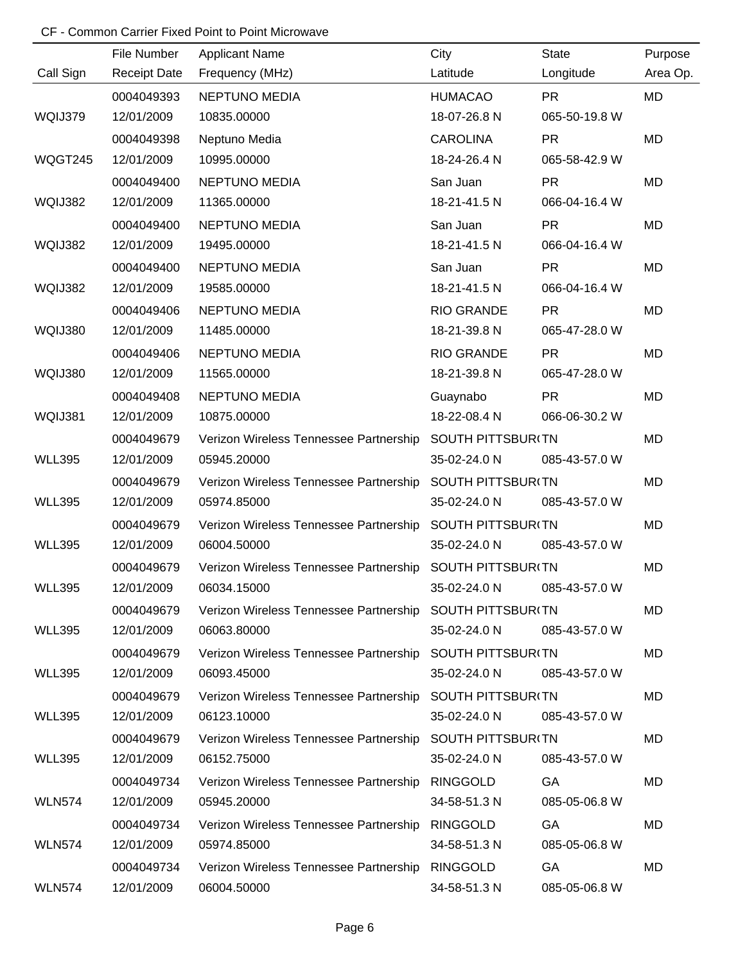|               | File Number         | <b>Applicant Name</b>                                    | City                     | <b>State</b>  | Purpose  |
|---------------|---------------------|----------------------------------------------------------|--------------------------|---------------|----------|
| Call Sign     | <b>Receipt Date</b> | Frequency (MHz)                                          | Latitude                 | Longitude     | Area Op. |
|               | 0004049393          | <b>NEPTUNO MEDIA</b>                                     | <b>HUMACAO</b>           | <b>PR</b>     | MD       |
| WQIJ379       | 12/01/2009          | 10835.00000                                              | 18-07-26.8 N             | 065-50-19.8 W |          |
|               | 0004049398          | Neptuno Media                                            | <b>CAROLINA</b>          | <b>PR</b>     | MD       |
| WQGT245       | 12/01/2009          | 10995.00000                                              | 18-24-26.4 N             | 065-58-42.9 W |          |
|               | 0004049400          | <b>NEPTUNO MEDIA</b>                                     | San Juan                 | <b>PR</b>     | MD       |
| WQIJ382       | 12/01/2009          | 11365.00000                                              | 18-21-41.5 N             | 066-04-16.4 W |          |
|               | 0004049400          | <b>NEPTUNO MEDIA</b>                                     | San Juan                 | <b>PR</b>     | MD       |
| WQIJ382       | 12/01/2009          | 19495.00000                                              | 18-21-41.5 N             | 066-04-16.4 W |          |
|               | 0004049400          | NEPTUNO MEDIA                                            | San Juan                 | <b>PR</b>     | MD       |
| WQIJ382       | 12/01/2009          | 19585.00000                                              | 18-21-41.5 N             | 066-04-16.4 W |          |
|               | 0004049406          | NEPTUNO MEDIA                                            | RIO GRANDE               | <b>PR</b>     | MD       |
| WQIJ380       | 12/01/2009          | 11485.00000                                              | 18-21-39.8 N             | 065-47-28.0 W |          |
|               | 0004049406          | <b>NEPTUNO MEDIA</b>                                     | <b>RIO GRANDE</b>        | <b>PR</b>     | MD       |
| WQIJ380       | 12/01/2009          | 11565.00000                                              | 18-21-39.8 N             | 065-47-28.0 W |          |
|               | 0004049408          | <b>NEPTUNO MEDIA</b>                                     | Guaynabo                 | <b>PR</b>     | MD       |
| WQIJ381       | 12/01/2009          | 10875.00000                                              | 18-22-08.4 N             | 066-06-30.2 W |          |
|               | 0004049679          | Verizon Wireless Tennessee Partnership                   | SOUTH PITTSBUR(TN        |               | MD       |
| <b>WLL395</b> | 12/01/2009          | 05945.20000                                              | 35-02-24.0 N             | 085-43-57.0 W |          |
|               | 0004049679          | Verizon Wireless Tennessee Partnership                   | SOUTH PITTSBUR(TN        |               | MD       |
| <b>WLL395</b> | 12/01/2009          | 05974.85000                                              | 35-02-24.0 N             | 085-43-57.0 W |          |
|               | 0004049679          | Verizon Wireless Tennessee Partnership                   | <b>SOUTH PITTSBUR(TN</b> |               | MD       |
| <b>WLL395</b> | 12/01/2009          | 06004.50000                                              | 35-02-24.0 N             | 085-43-57.0 W |          |
|               | 0004049679          | Verizon Wireless Tennessee Partnership                   | SOUTH PITTSBUR(TN        |               | MD       |
| <b>WLL395</b> | 12/01/2009          | 06034.15000                                              | 35-02-24.0 N             | 085-43-57.0 W |          |
|               | 0004049679          | Verizon Wireless Tennessee Partnership SOUTH PITTSBUR(TN |                          |               | MD       |
| <b>WLL395</b> | 12/01/2009          | 06063.80000                                              | 35-02-24.0 N             | 085-43-57.0 W |          |
|               | 0004049679          | Verizon Wireless Tennessee Partnership SOUTH PITTSBUR(TN |                          |               | MD       |
| <b>WLL395</b> | 12/01/2009          | 06093.45000                                              | 35-02-24.0 N             | 085-43-57.0 W |          |
|               | 0004049679          | Verizon Wireless Tennessee Partnership SOUTH PITTSBUR(TN |                          |               | MD       |
| <b>WLL395</b> | 12/01/2009          | 06123.10000                                              | 35-02-24.0 N             | 085-43-57.0 W |          |
|               | 0004049679          | Verizon Wireless Tennessee Partnership SOUTH PITTSBUR(TN |                          |               | MD       |
| <b>WLL395</b> | 12/01/2009          | 06152.75000                                              | 35-02-24.0 N             | 085-43-57.0 W |          |
|               | 0004049734          | Verizon Wireless Tennessee Partnership                   | RINGGOLD                 | GA            | MD       |
| <b>WLN574</b> | 12/01/2009          | 05945.20000                                              | 34-58-51.3 N             | 085-05-06.8 W |          |
|               | 0004049734          | Verizon Wireless Tennessee Partnership                   | <b>RINGGOLD</b>          | GA            | MD       |
| <b>WLN574</b> | 12/01/2009          | 05974.85000                                              | 34-58-51.3 N             | 085-05-06.8 W |          |
|               | 0004049734          | Verizon Wireless Tennessee Partnership                   | RINGGOLD                 | GA            | MD       |
| <b>WLN574</b> | 12/01/2009          | 06004.50000                                              | 34-58-51.3 N             | 085-05-06.8 W |          |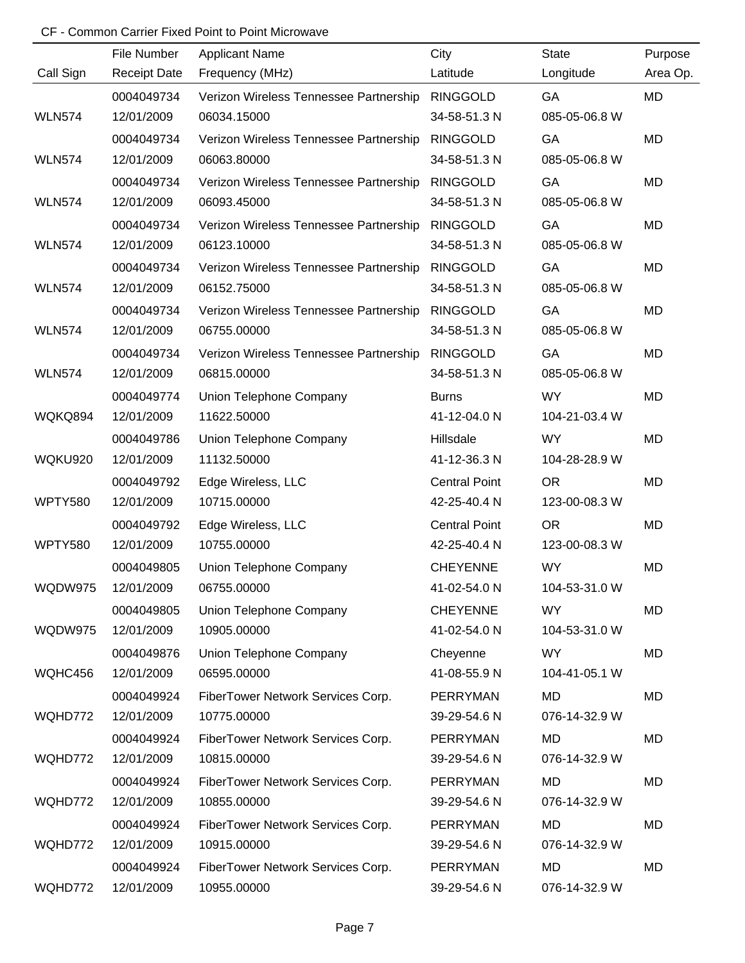|                | File Number         | <b>Applicant Name</b>                  | City                 | <b>State</b>  | Purpose   |
|----------------|---------------------|----------------------------------------|----------------------|---------------|-----------|
| Call Sign      | <b>Receipt Date</b> | Frequency (MHz)                        | Latitude             | Longitude     | Area Op.  |
|                | 0004049734          | Verizon Wireless Tennessee Partnership | <b>RINGGOLD</b>      | GA            | <b>MD</b> |
| <b>WLN574</b>  | 12/01/2009          | 06034.15000                            | 34-58-51.3 N         | 085-05-06.8 W |           |
|                | 0004049734          | Verizon Wireless Tennessee Partnership | <b>RINGGOLD</b>      | GA            | MD        |
| <b>WLN574</b>  | 12/01/2009          | 06063.80000                            | 34-58-51.3 N         | 085-05-06.8 W |           |
|                | 0004049734          | Verizon Wireless Tennessee Partnership | <b>RINGGOLD</b>      | GA            | <b>MD</b> |
| <b>WLN574</b>  | 12/01/2009          | 06093.45000                            | 34-58-51.3 N         | 085-05-06.8 W |           |
|                | 0004049734          | Verizon Wireless Tennessee Partnership | <b>RINGGOLD</b>      | GA            | MD        |
| <b>WLN574</b>  | 12/01/2009          | 06123.10000                            | 34-58-51.3 N         | 085-05-06.8 W |           |
|                | 0004049734          | Verizon Wireless Tennessee Partnership | <b>RINGGOLD</b>      | GA            | MD        |
| <b>WLN574</b>  | 12/01/2009          | 06152.75000                            | 34-58-51.3 N         | 085-05-06.8 W |           |
|                | 0004049734          | Verizon Wireless Tennessee Partnership | <b>RINGGOLD</b>      | GA            | <b>MD</b> |
| <b>WLN574</b>  | 12/01/2009          | 06755.00000                            | 34-58-51.3 N         | 085-05-06.8 W |           |
|                | 0004049734          | Verizon Wireless Tennessee Partnership | <b>RINGGOLD</b>      | GA            | MD        |
| <b>WLN574</b>  | 12/01/2009          | 06815.00000                            | 34-58-51.3 N         | 085-05-06.8 W |           |
|                | 0004049774          | Union Telephone Company                | <b>Burns</b>         | <b>WY</b>     | <b>MD</b> |
| WQKQ894        | 12/01/2009          | 11622.50000                            | 41-12-04.0 N         | 104-21-03.4 W |           |
|                | 0004049786          | Union Telephone Company                | Hillsdale            | <b>WY</b>     | <b>MD</b> |
| WQKU920        | 12/01/2009          | 11132.50000                            | 41-12-36.3 N         | 104-28-28.9 W |           |
|                | 0004049792          | Edge Wireless, LLC                     | <b>Central Point</b> | <b>OR</b>     | <b>MD</b> |
| <b>WPTY580</b> | 12/01/2009          | 10715.00000                            | 42-25-40.4 N         | 123-00-08.3 W |           |
|                | 0004049792          | Edge Wireless, LLC                     | <b>Central Point</b> | <b>OR</b>     | MD        |
| <b>WPTY580</b> | 12/01/2009          | 10755.00000                            | 42-25-40.4 N         | 123-00-08.3 W |           |
|                | 0004049805          | Union Telephone Company                | <b>CHEYENNE</b>      | <b>WY</b>     | <b>MD</b> |
| WQDW975        | 12/01/2009          | 06755.00000                            | 41-02-54.0 N         | 104-53-31.0 W |           |
|                | 0004049805          | Union Telephone Company                | <b>CHEYENNE</b>      | <b>WY</b>     | MD        |
| WQDW975        | 12/01/2009          | 10905.00000                            | 41-02-54.0 N         | 104-53-31.0 W |           |
|                | 0004049876          | Union Telephone Company                | Cheyenne             | <b>WY</b>     | MD        |
| WQHC456        | 12/01/2009          | 06595.00000                            | 41-08-55.9 N         | 104-41-05.1 W |           |
|                | 0004049924          | FiberTower Network Services Corp.      | PERRYMAN             | <b>MD</b>     | MD        |
| WQHD772        | 12/01/2009          | 10775.00000                            | 39-29-54.6 N         | 076-14-32.9 W |           |
|                | 0004049924          | FiberTower Network Services Corp.      | PERRYMAN             | <b>MD</b>     | MD        |
| WQHD772        | 12/01/2009          | 10815.00000                            | 39-29-54.6 N         | 076-14-32.9 W |           |
|                | 0004049924          | FiberTower Network Services Corp.      | PERRYMAN             | <b>MD</b>     | MD        |
| WQHD772        | 12/01/2009          | 10855.00000                            | 39-29-54.6 N         | 076-14-32.9 W |           |
|                | 0004049924          | FiberTower Network Services Corp.      | PERRYMAN             | <b>MD</b>     | MD        |
| WQHD772        | 12/01/2009          | 10915.00000                            | 39-29-54.6 N         | 076-14-32.9 W |           |
|                | 0004049924          | FiberTower Network Services Corp.      | <b>PERRYMAN</b>      | <b>MD</b>     | MD        |
| WQHD772        | 12/01/2009          | 10955.00000                            | 39-29-54.6 N         | 076-14-32.9 W |           |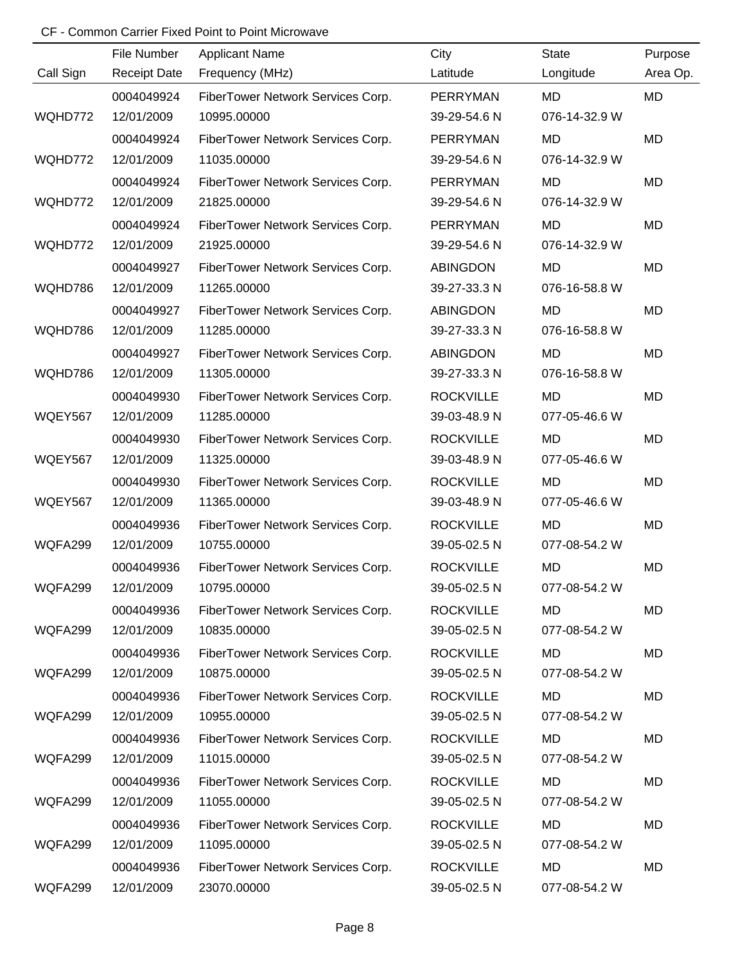|           | File Number         | <b>Applicant Name</b>             | City             | <b>State</b>  | Purpose   |
|-----------|---------------------|-----------------------------------|------------------|---------------|-----------|
| Call Sign | <b>Receipt Date</b> | Frequency (MHz)                   | Latitude         | Longitude     | Area Op.  |
|           | 0004049924          | FiberTower Network Services Corp. | PERRYMAN         | MD            | MD        |
| WQHD772   | 12/01/2009          | 10995.00000                       | 39-29-54.6 N     | 076-14-32.9 W |           |
|           | 0004049924          | FiberTower Network Services Corp. | PERRYMAN         | <b>MD</b>     | <b>MD</b> |
| WQHD772   | 12/01/2009          | 11035.00000                       | 39-29-54.6 N     | 076-14-32.9 W |           |
|           | 0004049924          | FiberTower Network Services Corp. | PERRYMAN         | <b>MD</b>     | <b>MD</b> |
| WQHD772   | 12/01/2009          | 21825.00000                       | 39-29-54.6 N     | 076-14-32.9 W |           |
|           | 0004049924          | FiberTower Network Services Corp. | PERRYMAN         | <b>MD</b>     | MD        |
| WQHD772   | 12/01/2009          | 21925.00000                       | 39-29-54.6 N     | 076-14-32.9 W |           |
|           | 0004049927          | FiberTower Network Services Corp. | <b>ABINGDON</b>  | <b>MD</b>     | MD        |
| WQHD786   | 12/01/2009          | 11265.00000                       | 39-27-33.3 N     | 076-16-58.8 W |           |
|           | 0004049927          | FiberTower Network Services Corp. | <b>ABINGDON</b>  | <b>MD</b>     | MD        |
| WQHD786   | 12/01/2009          | 11285.00000                       | 39-27-33.3 N     | 076-16-58.8 W |           |
|           | 0004049927          | FiberTower Network Services Corp. | <b>ABINGDON</b>  | <b>MD</b>     | <b>MD</b> |
| WQHD786   | 12/01/2009          | 11305.00000                       | 39-27-33.3 N     | 076-16-58.8 W |           |
|           | 0004049930          | FiberTower Network Services Corp. | <b>ROCKVILLE</b> | <b>MD</b>     | MD        |
| WQEY567   | 12/01/2009          | 11285.00000                       | 39-03-48.9 N     | 077-05-46.6 W |           |
|           | 0004049930          | FiberTower Network Services Corp. | <b>ROCKVILLE</b> | <b>MD</b>     | MD        |
| WQEY567   | 12/01/2009          | 11325.00000                       | 39-03-48.9 N     | 077-05-46.6 W |           |
|           | 0004049930          | FiberTower Network Services Corp. | <b>ROCKVILLE</b> | <b>MD</b>     | MD        |
| WQEY567   | 12/01/2009          | 11365.00000                       | 39-03-48.9 N     | 077-05-46.6 W |           |
|           | 0004049936          | FiberTower Network Services Corp. | <b>ROCKVILLE</b> | <b>MD</b>     | <b>MD</b> |
| WQFA299   | 12/01/2009          | 10755.00000                       | 39-05-02.5 N     | 077-08-54.2 W |           |
|           | 0004049936          | FiberTower Network Services Corp. | <b>ROCKVILLE</b> | <b>MD</b>     | MD        |
| WQFA299   | 12/01/2009          | 10795.00000                       | 39-05-02.5 N     | 077-08-54.2 W |           |
|           | 0004049936          | FiberTower Network Services Corp. | <b>ROCKVILLE</b> | MD            | MD        |
| WQFA299   | 12/01/2009          | 10835.00000                       | 39-05-02.5 N     | 077-08-54.2 W |           |
|           | 0004049936          | FiberTower Network Services Corp. | <b>ROCKVILLE</b> | MD            | MD        |
| WQFA299   | 12/01/2009          | 10875.00000                       | 39-05-02.5 N     | 077-08-54.2 W |           |
|           | 0004049936          | FiberTower Network Services Corp. | <b>ROCKVILLE</b> | MD            | MD        |
| WQFA299   | 12/01/2009          | 10955.00000                       | 39-05-02.5 N     | 077-08-54.2 W |           |
|           | 0004049936          | FiberTower Network Services Corp. | <b>ROCKVILLE</b> | MD            | MD        |
| WQFA299   | 12/01/2009          | 11015.00000                       | 39-05-02.5 N     | 077-08-54.2 W |           |
|           | 0004049936          | FiberTower Network Services Corp. | <b>ROCKVILLE</b> | <b>MD</b>     | MD        |
| WQFA299   | 12/01/2009          | 11055.00000                       | 39-05-02.5 N     | 077-08-54.2 W |           |
|           | 0004049936          | FiberTower Network Services Corp. | <b>ROCKVILLE</b> | <b>MD</b>     | MD        |
| WQFA299   | 12/01/2009          | 11095.00000                       | 39-05-02.5 N     | 077-08-54.2 W |           |
|           | 0004049936          | FiberTower Network Services Corp. | <b>ROCKVILLE</b> | <b>MD</b>     | MD        |
| WQFA299   | 12/01/2009          | 23070.00000                       | 39-05-02.5 N     | 077-08-54.2 W |           |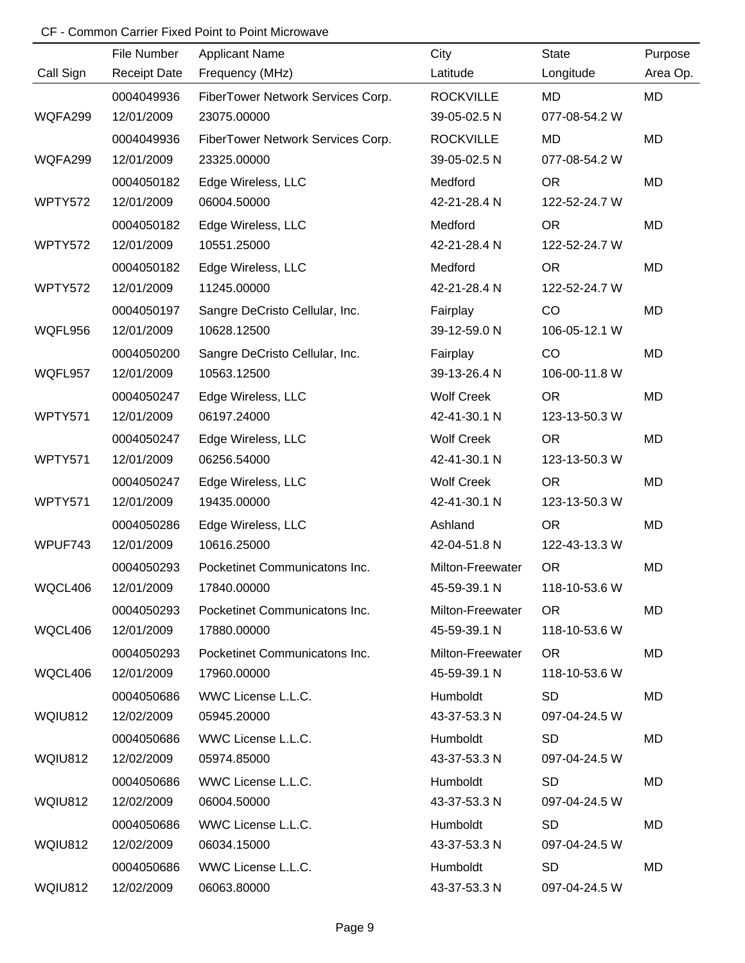|                | File Number         | <b>Applicant Name</b>             | City              | <b>State</b>  | Purpose   |
|----------------|---------------------|-----------------------------------|-------------------|---------------|-----------|
| Call Sign      | <b>Receipt Date</b> | Frequency (MHz)                   | Latitude          | Longitude     | Area Op.  |
|                | 0004049936          | FiberTower Network Services Corp. | <b>ROCKVILLE</b>  | MD            | <b>MD</b> |
| WQFA299        | 12/01/2009          | 23075.00000                       | 39-05-02.5 N      | 077-08-54.2 W |           |
|                | 0004049936          | FiberTower Network Services Corp. | <b>ROCKVILLE</b>  | MD            | MD        |
| WQFA299        | 12/01/2009          | 23325.00000                       | 39-05-02.5 N      | 077-08-54.2 W |           |
|                | 0004050182          | Edge Wireless, LLC                | Medford           | <b>OR</b>     | MD        |
| WPTY572        | 12/01/2009          | 06004.50000                       | 42-21-28.4 N      | 122-52-24.7 W |           |
|                | 0004050182          | Edge Wireless, LLC                | Medford           | <b>OR</b>     | MD        |
| WPTY572        | 12/01/2009          | 10551.25000                       | 42-21-28.4 N      | 122-52-24.7 W |           |
|                | 0004050182          | Edge Wireless, LLC                | Medford           | <b>OR</b>     | MD        |
| WPTY572        | 12/01/2009          | 11245.00000                       | 42-21-28.4 N      | 122-52-24.7 W |           |
|                | 0004050197          | Sangre DeCristo Cellular, Inc.    | Fairplay          | CO            | MD        |
| WQFL956        | 12/01/2009          | 10628.12500                       | 39-12-59.0 N      | 106-05-12.1 W |           |
|                | 0004050200          | Sangre DeCristo Cellular, Inc.    | Fairplay          | CO            | MD        |
| WQFL957        | 12/01/2009          | 10563.12500                       | 39-13-26.4 N      | 106-00-11.8 W |           |
|                | 0004050247          | Edge Wireless, LLC                | <b>Wolf Creek</b> | <b>OR</b>     | MD        |
| WPTY571        | 12/01/2009          | 06197.24000                       | 42-41-30.1 N      | 123-13-50.3 W |           |
|                | 0004050247          | Edge Wireless, LLC                | <b>Wolf Creek</b> | <b>OR</b>     | MD        |
| WPTY571        | 12/01/2009          | 06256.54000                       | 42-41-30.1 N      | 123-13-50.3 W |           |
|                | 0004050247          | Edge Wireless, LLC                | <b>Wolf Creek</b> | <b>OR</b>     | MD        |
| WPTY571        | 12/01/2009          | 19435.00000                       | 42-41-30.1 N      | 123-13-50.3 W |           |
|                | 0004050286          | Edge Wireless, LLC                | Ashland           | <b>OR</b>     | MD        |
| WPUF743        | 12/01/2009          | 10616.25000                       | 42-04-51.8 N      | 122-43-13.3 W |           |
|                | 0004050293          | Pocketinet Communicatons Inc.     | Milton-Freewater  | <b>OR</b>     | MD        |
| WQCL406        | 12/01/2009          | 17840.00000                       | 45-59-39.1 N      | 118-10-53.6 W |           |
|                | 0004050293          | Pocketinet Communicatons Inc.     | Milton-Freewater  | <b>OR</b>     | MD        |
| WQCL406        | 12/01/2009          | 17880.00000                       | 45-59-39.1 N      | 118-10-53.6 W |           |
|                | 0004050293          | Pocketinet Communicatons Inc.     | Milton-Freewater  | <b>OR</b>     | MD        |
| WQCL406        | 12/01/2009          | 17960.00000                       | 45-59-39.1 N      | 118-10-53.6 W |           |
|                | 0004050686          | WWC License L.L.C.                | Humboldt          | <b>SD</b>     | MD        |
| <b>WQIU812</b> | 12/02/2009          | 05945.20000                       | 43-37-53.3 N      | 097-04-24.5 W |           |
|                | 0004050686          | WWC License L.L.C.                | Humboldt          | <b>SD</b>     | MD        |
| WQIU812        | 12/02/2009          | 05974.85000                       | 43-37-53.3 N      | 097-04-24.5 W |           |
|                | 0004050686          | WWC License L.L.C.                | Humboldt          | <b>SD</b>     | MD        |
| <b>WQIU812</b> | 12/02/2009          | 06004.50000                       | 43-37-53.3 N      | 097-04-24.5 W |           |
|                | 0004050686          | WWC License L.L.C.                | Humboldt          | <b>SD</b>     | MD        |
| WQIU812        | 12/02/2009          | 06034.15000                       | 43-37-53.3 N      | 097-04-24.5 W |           |
|                | 0004050686          | WWC License L.L.C.                | Humboldt          | <b>SD</b>     | MD        |
| <b>WQIU812</b> | 12/02/2009          | 06063.80000                       | 43-37-53.3 N      | 097-04-24.5 W |           |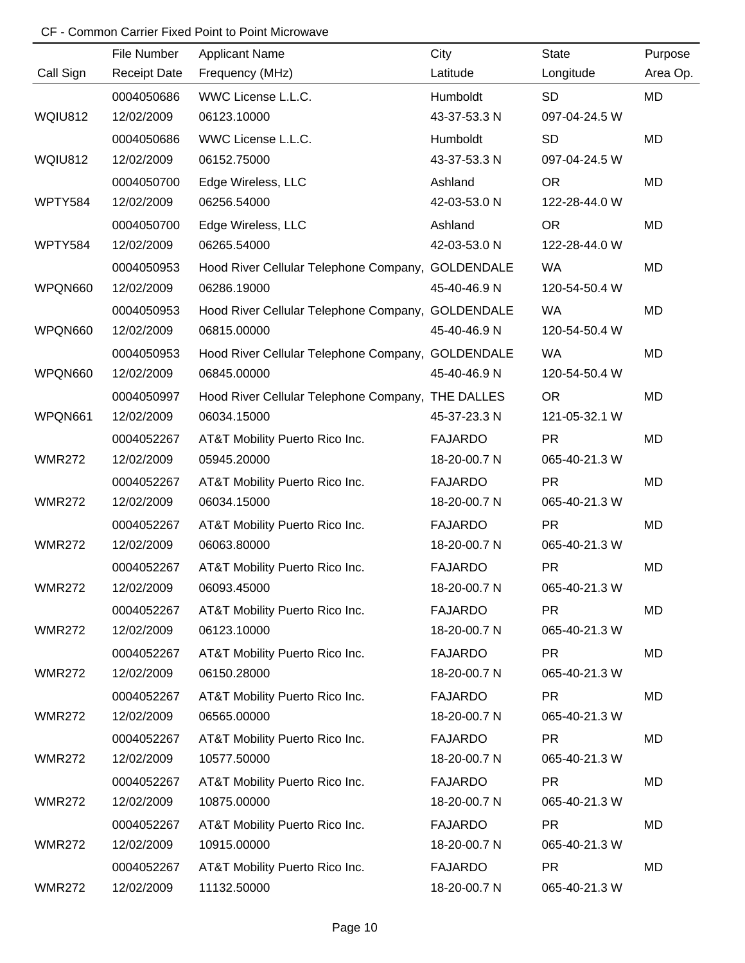|               | File Number         | <b>Applicant Name</b>                             | City           | <b>State</b>  | Purpose   |
|---------------|---------------------|---------------------------------------------------|----------------|---------------|-----------|
| Call Sign     | <b>Receipt Date</b> | Frequency (MHz)                                   | Latitude       | Longitude     | Area Op.  |
|               | 0004050686          | WWC License L.L.C.                                | Humboldt       | <b>SD</b>     | <b>MD</b> |
| WQIU812       | 12/02/2009          | 06123.10000                                       | 43-37-53.3 N   | 097-04-24.5 W |           |
|               | 0004050686          | WWC License L.L.C.                                | Humboldt       | <b>SD</b>     | <b>MD</b> |
| WQIU812       | 12/02/2009          | 06152.75000                                       | 43-37-53.3 N   | 097-04-24.5 W |           |
|               | 0004050700          | Edge Wireless, LLC                                | Ashland        | <b>OR</b>     | <b>MD</b> |
| WPTY584       | 12/02/2009          | 06256.54000                                       | 42-03-53.0 N   | 122-28-44.0 W |           |
|               | 0004050700          | Edge Wireless, LLC                                | Ashland        | <b>OR</b>     | <b>MD</b> |
| WPTY584       | 12/02/2009          | 06265.54000                                       | 42-03-53.0 N   | 122-28-44.0 W |           |
|               | 0004050953          | Hood River Cellular Telephone Company, GOLDENDALE |                | <b>WA</b>     | <b>MD</b> |
| WPQN660       | 12/02/2009          | 06286.19000                                       | 45-40-46.9 N   | 120-54-50.4 W |           |
|               | 0004050953          | Hood River Cellular Telephone Company, GOLDENDALE |                | <b>WA</b>     | <b>MD</b> |
| WPQN660       | 12/02/2009          | 06815.00000                                       | 45-40-46.9 N   | 120-54-50.4 W |           |
|               | 0004050953          | Hood River Cellular Telephone Company, GOLDENDALE |                | <b>WA</b>     | <b>MD</b> |
| WPQN660       | 12/02/2009          | 06845.00000                                       | 45-40-46.9 N   | 120-54-50.4 W |           |
|               | 0004050997          | Hood River Cellular Telephone Company, THE DALLES |                | <b>OR</b>     | <b>MD</b> |
| WPQN661       | 12/02/2009          | 06034.15000                                       | 45-37-23.3 N   | 121-05-32.1 W |           |
|               | 0004052267          | AT&T Mobility Puerto Rico Inc.                    | <b>FAJARDO</b> | <b>PR</b>     | <b>MD</b> |
| <b>WMR272</b> | 12/02/2009          | 05945.20000                                       | 18-20-00.7 N   | 065-40-21.3 W |           |
|               | 0004052267          | AT&T Mobility Puerto Rico Inc.                    | <b>FAJARDO</b> | <b>PR</b>     | <b>MD</b> |
| <b>WMR272</b> | 12/02/2009          | 06034.15000                                       | 18-20-00.7 N   | 065-40-21.3 W |           |
|               | 0004052267          | AT&T Mobility Puerto Rico Inc.                    | <b>FAJARDO</b> | <b>PR</b>     | <b>MD</b> |
| <b>WMR272</b> | 12/02/2009          | 06063.80000                                       | 18-20-00.7 N   | 065-40-21.3 W |           |
|               | 0004052267          | AT&T Mobility Puerto Rico Inc.                    | <b>FAJARDO</b> | <b>PR</b>     | <b>MD</b> |
| <b>WMR272</b> | 12/02/2009          | 06093.45000                                       | 18-20-00.7 N   | 065-40-21.3 W |           |
|               | 0004052267          | AT&T Mobility Puerto Rico Inc.                    | <b>FAJARDO</b> | <b>PR</b>     | <b>MD</b> |
| <b>WMR272</b> | 12/02/2009          | 06123.10000                                       | 18-20-00.7 N   | 065-40-21.3 W |           |
|               | 0004052267          | AT&T Mobility Puerto Rico Inc.                    | <b>FAJARDO</b> | <b>PR</b>     | MD        |
| <b>WMR272</b> | 12/02/2009          | 06150.28000                                       | 18-20-00.7 N   | 065-40-21.3 W |           |
|               | 0004052267          | AT&T Mobility Puerto Rico Inc.                    | <b>FAJARDO</b> | <b>PR</b>     | <b>MD</b> |
| <b>WMR272</b> | 12/02/2009          | 06565.00000                                       | 18-20-00.7 N   | 065-40-21.3 W |           |
|               | 0004052267          | AT&T Mobility Puerto Rico Inc.                    | <b>FAJARDO</b> | <b>PR</b>     | MD        |
| <b>WMR272</b> | 12/02/2009          | 10577.50000                                       | 18-20-00.7 N   | 065-40-21.3 W |           |
|               | 0004052267          | AT&T Mobility Puerto Rico Inc.                    | <b>FAJARDO</b> | <b>PR</b>     | <b>MD</b> |
| <b>WMR272</b> | 12/02/2009          | 10875.00000                                       | 18-20-00.7 N   | 065-40-21.3 W |           |
|               | 0004052267          | AT&T Mobility Puerto Rico Inc.                    | <b>FAJARDO</b> | <b>PR</b>     | <b>MD</b> |
| <b>WMR272</b> | 12/02/2009          | 10915.00000                                       | 18-20-00.7 N   | 065-40-21.3 W |           |
|               | 0004052267          | AT&T Mobility Puerto Rico Inc.                    | <b>FAJARDO</b> | <b>PR</b>     | <b>MD</b> |
| <b>WMR272</b> | 12/02/2009          | 11132.50000                                       | 18-20-00.7 N   | 065-40-21.3 W |           |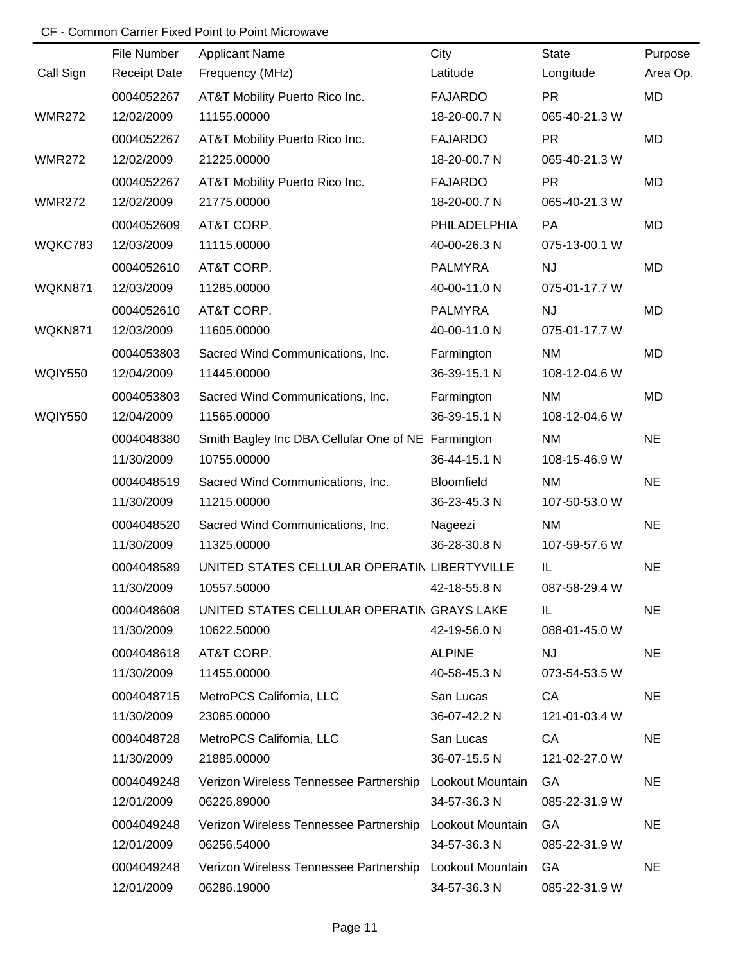|                | File Number         | <b>Applicant Name</b>                                   | City                | <b>State</b>  | Purpose   |
|----------------|---------------------|---------------------------------------------------------|---------------------|---------------|-----------|
| Call Sign      | <b>Receipt Date</b> | Frequency (MHz)                                         | Latitude            | Longitude     | Area Op.  |
|                | 0004052267          | AT&T Mobility Puerto Rico Inc.                          | <b>FAJARDO</b>      | <b>PR</b>     | <b>MD</b> |
| <b>WMR272</b>  | 12/02/2009          | 11155.00000                                             | 18-20-00.7 N        | 065-40-21.3 W |           |
|                | 0004052267          | AT&T Mobility Puerto Rico Inc.                          | <b>FAJARDO</b>      | <b>PR</b>     | MD        |
| <b>WMR272</b>  | 12/02/2009          | 21225.00000                                             | 18-20-00.7 N        | 065-40-21.3 W |           |
|                | 0004052267          | AT&T Mobility Puerto Rico Inc.                          | <b>FAJARDO</b>      | <b>PR</b>     | MD        |
| <b>WMR272</b>  | 12/02/2009          | 21775.00000                                             | 18-20-00.7 N        | 065-40-21.3 W |           |
|                | 0004052609          | AT&T CORP.                                              | <b>PHILADELPHIA</b> | PA            | MD        |
| WQKC783        | 12/03/2009          | 11115.00000                                             | 40-00-26.3 N        | 075-13-00.1 W |           |
|                | 0004052610          | AT&T CORP.                                              | <b>PALMYRA</b>      | <b>NJ</b>     | MD        |
| WQKN871        | 12/03/2009          | 11285.00000                                             | 40-00-11.0 N        | 075-01-17.7 W |           |
|                | 0004052610          | AT&T CORP.                                              | <b>PALMYRA</b>      | <b>NJ</b>     | MD        |
| WQKN871        | 12/03/2009          | 11605.00000                                             | 40-00-11.0 N        | 075-01-17.7 W |           |
|                | 0004053803          | Sacred Wind Communications, Inc.                        | Farmington          | <b>NM</b>     | MD        |
| <b>WQIY550</b> | 12/04/2009          | 11445.00000                                             | 36-39-15.1 N        | 108-12-04.6 W |           |
|                | 0004053803          | Sacred Wind Communications, Inc.                        | Farmington          | <b>NM</b>     | MD        |
| <b>WQIY550</b> | 12/04/2009          | 11565.00000                                             | 36-39-15.1 N        | 108-12-04.6 W |           |
|                | 0004048380          | Smith Bagley Inc DBA Cellular One of NE Farmington      |                     | <b>NM</b>     | <b>NE</b> |
|                | 11/30/2009          | 10755.00000                                             | 36-44-15.1 N        | 108-15-46.9 W |           |
|                | 0004048519          | Sacred Wind Communications, Inc.                        | Bloomfield          | <b>NM</b>     | <b>NE</b> |
|                | 11/30/2009          | 11215.00000                                             | 36-23-45.3 N        | 107-50-53.0 W |           |
|                | 0004048520          | Sacred Wind Communications, Inc.                        | Nageezi             | <b>NM</b>     | <b>NE</b> |
|                | 11/30/2009          | 11325.00000                                             | 36-28-30.8 N        | 107-59-57.6 W |           |
|                | 0004048589          | UNITED STATES CELLULAR OPERATIN LIBERTYVILLE            |                     | IL            | <b>NE</b> |
|                | 11/30/2009          | 10557.50000                                             | 42-18-55.8 N        | 087-58-29.4 W |           |
|                | 0004048608          | UNITED STATES CELLULAR OPERATIN GRAYS LAKE              |                     | IL.           | <b>NE</b> |
|                | 11/30/2009          | 10622.50000                                             | 42-19-56.0 N        | 088-01-45.0 W |           |
|                | 0004048618          | AT&T CORP.                                              | <b>ALPINE</b>       | <b>NJ</b>     | <b>NE</b> |
|                | 11/30/2009          | 11455.00000                                             | 40-58-45.3 N        | 073-54-53.5 W |           |
|                | 0004048715          | MetroPCS California, LLC                                | San Lucas           | CA            | <b>NE</b> |
|                | 11/30/2009          | 23085.00000                                             | 36-07-42.2 N        | 121-01-03.4 W |           |
|                | 0004048728          | MetroPCS California, LLC                                | San Lucas           | CA            | <b>NE</b> |
|                | 11/30/2009          | 21885.00000                                             | 36-07-15.5 N        | 121-02-27.0 W |           |
|                | 0004049248          | Verizon Wireless Tennessee Partnership Lookout Mountain |                     | GA            | <b>NE</b> |
|                | 12/01/2009          | 06226.89000                                             | 34-57-36.3 N        | 085-22-31.9 W |           |
|                | 0004049248          | Verizon Wireless Tennessee Partnership Lookout Mountain |                     | GA            | <b>NE</b> |
|                | 12/01/2009          | 06256.54000                                             | 34-57-36.3 N        | 085-22-31.9 W |           |
|                | 0004049248          | Verizon Wireless Tennessee Partnership Lookout Mountain |                     | GA            | <b>NE</b> |
|                | 12/01/2009          | 06286.19000                                             | 34-57-36.3 N        | 085-22-31.9 W |           |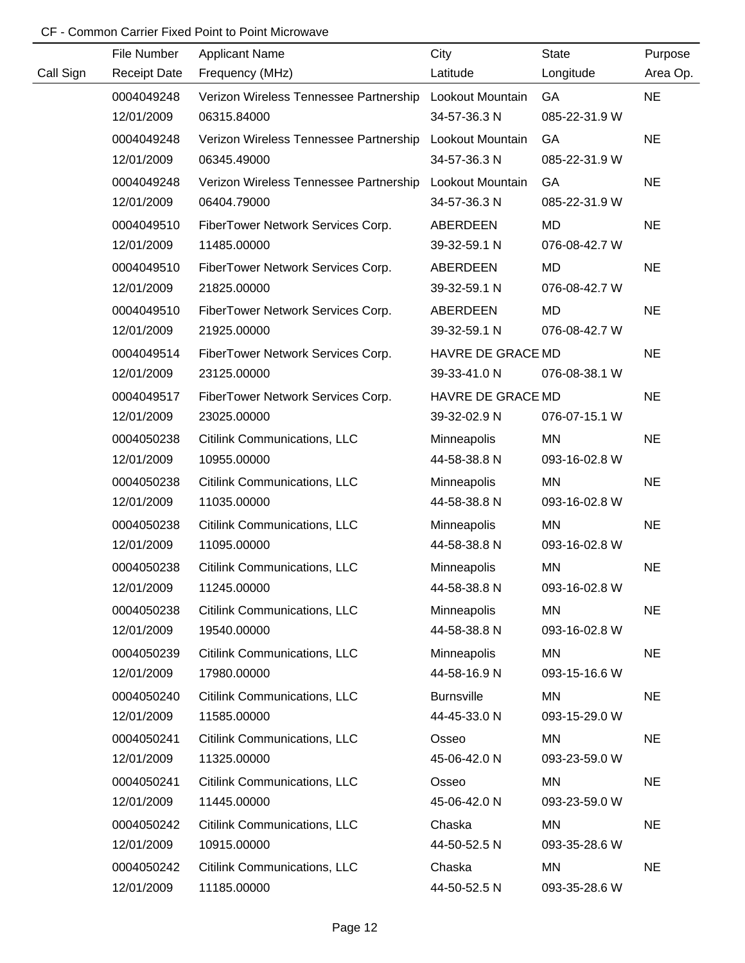|           | File Number         | <b>Applicant Name</b>                  | City              | <b>State</b>  | Purpose   |
|-----------|---------------------|----------------------------------------|-------------------|---------------|-----------|
| Call Sign | <b>Receipt Date</b> | Frequency (MHz)                        | Latitude          | Longitude     | Area Op.  |
|           | 0004049248          | Verizon Wireless Tennessee Partnership | Lookout Mountain  | GA            | <b>NE</b> |
|           | 12/01/2009          | 06315.84000                            | 34-57-36.3 N      | 085-22-31.9 W |           |
|           | 0004049248          | Verizon Wireless Tennessee Partnership | Lookout Mountain  | GA            | <b>NE</b> |
|           | 12/01/2009          | 06345.49000                            | 34-57-36.3 N      | 085-22-31.9 W |           |
|           | 0004049248          | Verizon Wireless Tennessee Partnership | Lookout Mountain  | GA            | <b>NE</b> |
|           | 12/01/2009          | 06404.79000                            | 34-57-36.3 N      | 085-22-31.9 W |           |
|           | 0004049510          | FiberTower Network Services Corp.      | ABERDEEN          | <b>MD</b>     | <b>NE</b> |
|           | 12/01/2009          | 11485.00000                            | 39-32-59.1 N      | 076-08-42.7 W |           |
|           | 0004049510          | FiberTower Network Services Corp.      | ABERDEEN          | <b>MD</b>     | <b>NE</b> |
|           | 12/01/2009          | 21825.00000                            | 39-32-59.1 N      | 076-08-42.7 W |           |
|           | 0004049510          | FiberTower Network Services Corp.      | <b>ABERDEEN</b>   | <b>MD</b>     | <b>NE</b> |
|           | 12/01/2009          | 21925.00000                            | 39-32-59.1 N      | 076-08-42.7 W |           |
|           | 0004049514          | FiberTower Network Services Corp.      | HAVRE DE GRACE MD |               | <b>NE</b> |
|           | 12/01/2009          | 23125.00000                            | 39-33-41.0 N      | 076-08-38.1 W |           |
|           | 0004049517          | FiberTower Network Services Corp.      | HAVRE DE GRACE MD |               | <b>NE</b> |
|           | 12/01/2009          | 23025.00000                            | 39-32-02.9 N      | 076-07-15.1 W |           |
|           | 0004050238          | Citilink Communications, LLC           | Minneapolis       | <b>MN</b>     | <b>NE</b> |
|           | 12/01/2009          | 10955.00000                            | 44-58-38.8 N      | 093-16-02.8 W |           |
|           | 0004050238          | Citilink Communications, LLC           | Minneapolis       | <b>MN</b>     | <b>NE</b> |
|           | 12/01/2009          | 11035.00000                            | 44-58-38.8 N      | 093-16-02.8 W |           |
|           | 0004050238          | Citilink Communications, LLC           | Minneapolis       | <b>MN</b>     | <b>NE</b> |
|           | 12/01/2009          | 11095.00000                            | 44-58-38.8 N      | 093-16-02.8 W |           |
|           | 0004050238          | <b>Citilink Communications, LLC</b>    | Minneapolis       | <b>MN</b>     | <b>NE</b> |
|           | 12/01/2009          | 11245.00000                            | 44-58-38.8 N      | 093-16-02.8 W |           |
|           | 0004050238          | Citilink Communications, LLC           | Minneapolis       | MN            | <b>NE</b> |
|           | 12/01/2009          | 19540.00000                            | 44-58-38.8 N      | 093-16-02.8 W |           |
|           | 0004050239          | Citilink Communications, LLC           | Minneapolis       | MN            | <b>NE</b> |
|           | 12/01/2009          | 17980.00000                            | 44-58-16.9 N      | 093-15-16.6 W |           |
|           | 0004050240          | Citilink Communications, LLC           | <b>Burnsville</b> | <b>MN</b>     | <b>NE</b> |
|           | 12/01/2009          | 11585.00000                            | 44-45-33.0 N      | 093-15-29.0 W |           |
|           | 0004050241          | Citilink Communications, LLC           | Osseo             | MN            | <b>NE</b> |
|           | 12/01/2009          | 11325.00000                            | 45-06-42.0 N      | 093-23-59.0 W |           |
|           | 0004050241          | Citilink Communications, LLC           | Osseo             | <b>MN</b>     | <b>NE</b> |
|           | 12/01/2009          | 11445.00000                            | 45-06-42.0 N      | 093-23-59.0 W |           |
|           | 0004050242          | <b>Citilink Communications, LLC</b>    | Chaska            | MN            | <b>NE</b> |
|           | 12/01/2009          | 10915.00000                            | 44-50-52.5 N      | 093-35-28.6 W |           |
|           | 0004050242          | Citilink Communications, LLC           | Chaska            | MN            | <b>NE</b> |
|           | 12/01/2009          | 11185.00000                            | 44-50-52.5 N      | 093-35-28.6 W |           |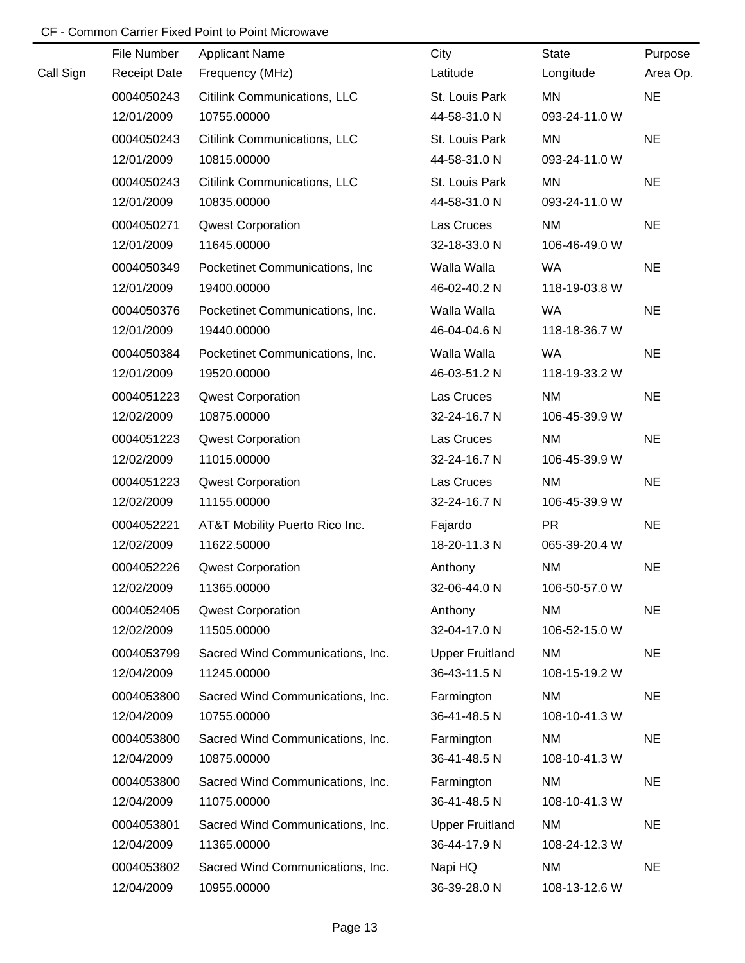|           | File Number         | <b>Applicant Name</b>            | City                   | <b>State</b>  | Purpose   |
|-----------|---------------------|----------------------------------|------------------------|---------------|-----------|
| Call Sign | <b>Receipt Date</b> | Frequency (MHz)                  | Latitude               | Longitude     | Area Op.  |
|           | 0004050243          | Citilink Communications, LLC     | St. Louis Park         | MN            | <b>NE</b> |
|           | 12/01/2009          | 10755.00000                      | 44-58-31.0 N           | 093-24-11.0 W |           |
|           | 0004050243          | Citilink Communications, LLC     | St. Louis Park         | <b>MN</b>     | <b>NE</b> |
|           | 12/01/2009          | 10815.00000                      | 44-58-31.0 N           | 093-24-11.0 W |           |
|           | 0004050243          | Citilink Communications, LLC     | St. Louis Park         | MN            | <b>NE</b> |
|           | 12/01/2009          | 10835.00000                      | 44-58-31.0 N           | 093-24-11.0 W |           |
|           | 0004050271          | <b>Qwest Corporation</b>         | Las Cruces             | <b>NM</b>     | <b>NE</b> |
|           | 12/01/2009          | 11645.00000                      | 32-18-33.0 N           | 106-46-49.0 W |           |
|           | 0004050349          | Pocketinet Communications, Inc.  | Walla Walla            | WA            | <b>NE</b> |
|           | 12/01/2009          | 19400.00000                      | 46-02-40.2 N           | 118-19-03.8 W |           |
|           | 0004050376          | Pocketinet Communications, Inc.  | Walla Walla            | WA            | <b>NE</b> |
|           | 12/01/2009          | 19440.00000                      | 46-04-04.6 N           | 118-18-36.7 W |           |
|           | 0004050384          | Pocketinet Communications, Inc.  | Walla Walla            | WA            | <b>NE</b> |
|           | 12/01/2009          | 19520.00000                      | 46-03-51.2 N           | 118-19-33.2 W |           |
|           | 0004051223          | <b>Qwest Corporation</b>         | Las Cruces             | <b>NM</b>     | <b>NE</b> |
|           | 12/02/2009          | 10875.00000                      | 32-24-16.7 N           | 106-45-39.9 W |           |
|           | 0004051223          | <b>Qwest Corporation</b>         | Las Cruces             | <b>NM</b>     | <b>NE</b> |
|           | 12/02/2009          | 11015.00000                      | 32-24-16.7 N           | 106-45-39.9 W |           |
|           | 0004051223          | <b>Qwest Corporation</b>         | Las Cruces             | <b>NM</b>     | <b>NE</b> |
|           | 12/02/2009          | 11155.00000                      | 32-24-16.7 N           | 106-45-39.9 W |           |
|           | 0004052221          | AT&T Mobility Puerto Rico Inc.   | Fajardo                | <b>PR</b>     | <b>NE</b> |
|           | 12/02/2009          | 11622.50000                      | 18-20-11.3 N           | 065-39-20.4 W |           |
|           | 0004052226          | <b>Qwest Corporation</b>         | Anthony                | <b>NM</b>     | <b>NE</b> |
|           | 12/02/2009          | 11365.00000                      | 32-06-44.0 N           | 106-50-57.0 W |           |
|           | 0004052405          | <b>Qwest Corporation</b>         | Anthony                | <b>NM</b>     | <b>NE</b> |
|           | 12/02/2009          | 11505.00000                      | 32-04-17.0 N           | 106-52-15.0 W |           |
|           | 0004053799          | Sacred Wind Communications, Inc. | <b>Upper Fruitland</b> | <b>NM</b>     | <b>NE</b> |
|           | 12/04/2009          | 11245.00000                      | 36-43-11.5 N           | 108-15-19.2 W |           |
|           | 0004053800          | Sacred Wind Communications, Inc. | Farmington             | <b>NM</b>     | <b>NE</b> |
|           | 12/04/2009          | 10755.00000                      | 36-41-48.5 N           | 108-10-41.3 W |           |
|           | 0004053800          | Sacred Wind Communications, Inc. | Farmington             | <b>NM</b>     | <b>NE</b> |
|           | 12/04/2009          | 10875.00000                      | 36-41-48.5 N           | 108-10-41.3 W |           |
|           | 0004053800          | Sacred Wind Communications, Inc. | Farmington             | <b>NM</b>     | <b>NE</b> |
|           | 12/04/2009          | 11075.00000                      | 36-41-48.5 N           | 108-10-41.3 W |           |
|           | 0004053801          | Sacred Wind Communications, Inc. | <b>Upper Fruitland</b> | <b>NM</b>     | <b>NE</b> |
|           | 12/04/2009          | 11365.00000                      | 36-44-17.9 N           | 108-24-12.3 W |           |
|           | 0004053802          | Sacred Wind Communications, Inc. | Napi HQ                | <b>NM</b>     | <b>NE</b> |
|           | 12/04/2009          | 10955.00000                      | 36-39-28.0 N           | 108-13-12.6 W |           |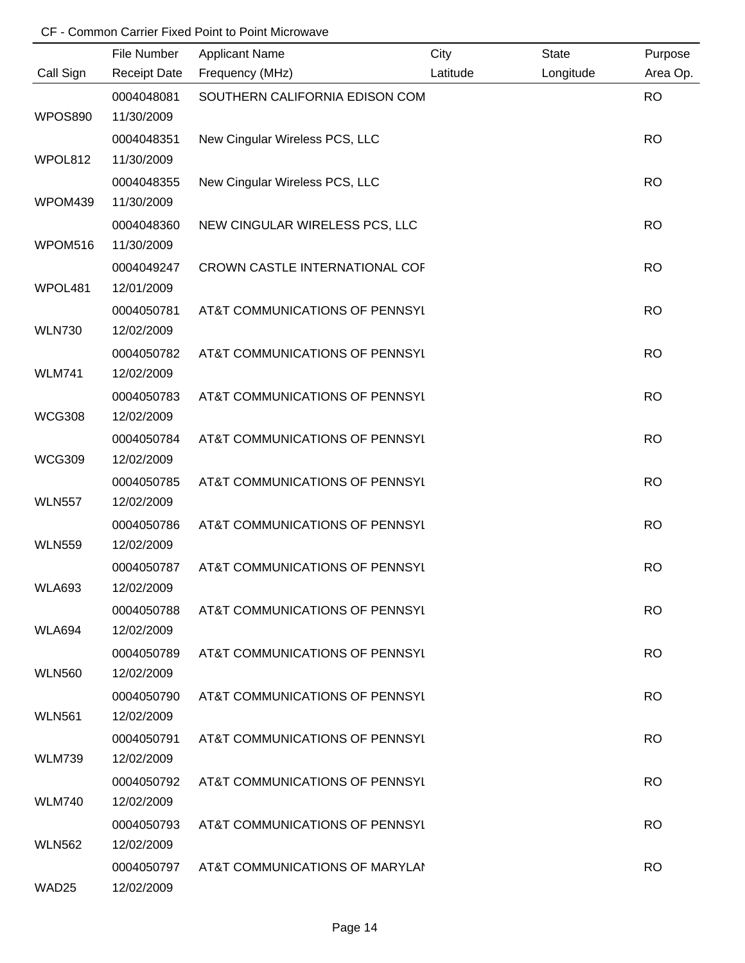|                | File Number         | <b>Applicant Name</b>          | City     | <b>State</b> | Purpose   |
|----------------|---------------------|--------------------------------|----------|--------------|-----------|
| Call Sign      | <b>Receipt Date</b> | Frequency (MHz)                | Latitude | Longitude    | Area Op.  |
|                | 0004048081          | SOUTHERN CALIFORNIA EDISON COM |          |              | <b>RO</b> |
| <b>WPOS890</b> | 11/30/2009          |                                |          |              |           |
|                | 0004048351          | New Cingular Wireless PCS, LLC |          |              | <b>RO</b> |
| WPOL812        | 11/30/2009          |                                |          |              |           |
|                | 0004048355          | New Cingular Wireless PCS, LLC |          |              | <b>RO</b> |
| WPOM439        | 11/30/2009          |                                |          |              |           |
|                | 0004048360          | NEW CINGULAR WIRELESS PCS, LLC |          |              | <b>RO</b> |
| WPOM516        | 11/30/2009          |                                |          |              |           |
|                | 0004049247          | CROWN CASTLE INTERNATIONAL COF |          |              | <b>RO</b> |
| WPOL481        | 12/01/2009          |                                |          |              |           |
|                | 0004050781          | AT&T COMMUNICATIONS OF PENNSYL |          |              | <b>RO</b> |
| <b>WLN730</b>  | 12/02/2009          |                                |          |              |           |
|                | 0004050782          | AT&T COMMUNICATIONS OF PENNSYL |          |              | <b>RO</b> |
| <b>WLM741</b>  | 12/02/2009          |                                |          |              |           |
|                | 0004050783          | AT&T COMMUNICATIONS OF PENNSYL |          |              | <b>RO</b> |
| <b>WCG308</b>  | 12/02/2009          |                                |          |              |           |
|                | 0004050784          | AT&T COMMUNICATIONS OF PENNSYL |          |              | <b>RO</b> |
| <b>WCG309</b>  | 12/02/2009          |                                |          |              |           |
|                | 0004050785          | AT&T COMMUNICATIONS OF PENNSYL |          |              | <b>RO</b> |
| <b>WLN557</b>  | 12/02/2009          |                                |          |              |           |
|                | 0004050786          | AT&T COMMUNICATIONS OF PENNSYL |          |              | <b>RO</b> |
| <b>WLN559</b>  | 12/02/2009          |                                |          |              |           |
|                | 0004050787          | AT&T COMMUNICATIONS OF PENNSYL |          |              | <b>RO</b> |
| <b>WLA693</b>  | 12/02/2009          |                                |          |              |           |
|                | 0004050788          | AT&T COMMUNICATIONS OF PENNSYL |          |              | <b>RO</b> |
| WLA694         | 12/02/2009          |                                |          |              |           |
|                | 0004050789          | AT&T COMMUNICATIONS OF PENNSYL |          |              | <b>RO</b> |
| <b>WLN560</b>  | 12/02/2009          |                                |          |              |           |
|                | 0004050790          | AT&T COMMUNICATIONS OF PENNSYL |          |              | <b>RO</b> |
| <b>WLN561</b>  | 12/02/2009          |                                |          |              |           |
|                | 0004050791          | AT&T COMMUNICATIONS OF PENNSYL |          |              | <b>RO</b> |
| <b>WLM739</b>  | 12/02/2009          |                                |          |              |           |
|                | 0004050792          | AT&T COMMUNICATIONS OF PENNSYL |          |              | <b>RO</b> |
| <b>WLM740</b>  | 12/02/2009          |                                |          |              |           |
|                | 0004050793          | AT&T COMMUNICATIONS OF PENNSYL |          |              | <b>RO</b> |
| <b>WLN562</b>  | 12/02/2009          |                                |          |              |           |
|                | 0004050797          | AT&T COMMUNICATIONS OF MARYLAI |          |              | <b>RO</b> |
| WAD25          | 12/02/2009          |                                |          |              |           |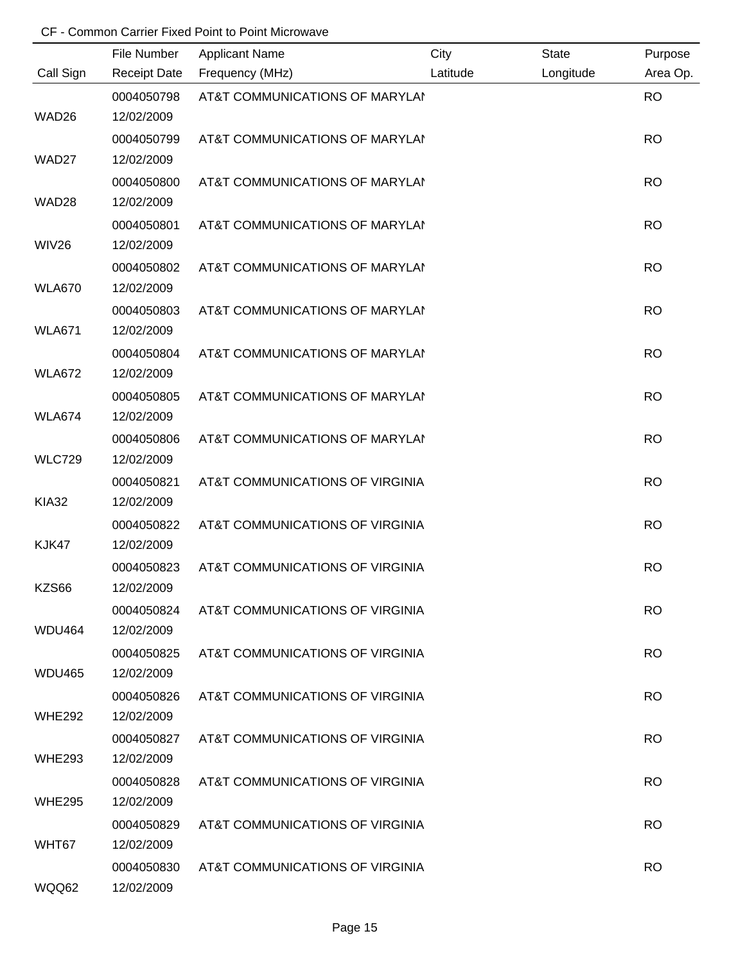|               | File Number              | <b>Applicant Name</b>           | City     | <b>State</b> | Purpose   |
|---------------|--------------------------|---------------------------------|----------|--------------|-----------|
| Call Sign     | <b>Receipt Date</b>      | Frequency (MHz)                 | Latitude | Longitude    | Area Op.  |
| WAD26         | 0004050798<br>12/02/2009 | AT&T COMMUNICATIONS OF MARYLAI  |          |              | <b>RO</b> |
|               |                          |                                 |          |              |           |
| WAD27         | 0004050799<br>12/02/2009 | AT&T COMMUNICATIONS OF MARYLAI  |          |              | <b>RO</b> |
|               |                          |                                 |          |              |           |
| WAD28         | 0004050800<br>12/02/2009 | AT&T COMMUNICATIONS OF MARYLAI  |          |              | <b>RO</b> |
|               | 0004050801               | AT&T COMMUNICATIONS OF MARYLAI  |          |              | <b>RO</b> |
| <b>WIV26</b>  | 12/02/2009               |                                 |          |              |           |
|               | 0004050802               | AT&T COMMUNICATIONS OF MARYLAI  |          |              | <b>RO</b> |
| <b>WLA670</b> | 12/02/2009               |                                 |          |              |           |
|               | 0004050803               | AT&T COMMUNICATIONS OF MARYLAI  |          |              | <b>RO</b> |
| <b>WLA671</b> | 12/02/2009               |                                 |          |              |           |
|               | 0004050804               | AT&T COMMUNICATIONS OF MARYLAI  |          |              | <b>RO</b> |
| <b>WLA672</b> | 12/02/2009               |                                 |          |              |           |
|               | 0004050805               | AT&T COMMUNICATIONS OF MARYLAI  |          |              | <b>RO</b> |
| <b>WLA674</b> | 12/02/2009               |                                 |          |              |           |
|               | 0004050806               | AT&T COMMUNICATIONS OF MARYLAI  |          |              | <b>RO</b> |
| <b>WLC729</b> | 12/02/2009               |                                 |          |              |           |
|               | 0004050821               | AT&T COMMUNICATIONS OF VIRGINIA |          |              | <b>RO</b> |
| <b>KIA32</b>  | 12/02/2009               |                                 |          |              |           |
|               | 0004050822               | AT&T COMMUNICATIONS OF VIRGINIA |          |              | <b>RO</b> |
| KJK47         | 12/02/2009               |                                 |          |              |           |
|               | 0004050823               | AT&T COMMUNICATIONS OF VIRGINIA |          |              | <b>RO</b> |
| KZS66         | 12/02/2009               |                                 |          |              |           |
|               | 0004050824               | AT&T COMMUNICATIONS OF VIRGINIA |          |              | <b>RO</b> |
| WDU464        | 12/02/2009               |                                 |          |              |           |
|               | 0004050825               | AT&T COMMUNICATIONS OF VIRGINIA |          |              | <b>RO</b> |
| WDU465        | 12/02/2009               |                                 |          |              |           |
|               | 0004050826               | AT&T COMMUNICATIONS OF VIRGINIA |          |              | <b>RO</b> |
| <b>WHE292</b> | 12/02/2009               |                                 |          |              |           |
|               | 0004050827               | AT&T COMMUNICATIONS OF VIRGINIA |          |              | <b>RO</b> |
| <b>WHE293</b> | 12/02/2009               |                                 |          |              |           |
|               | 0004050828               | AT&T COMMUNICATIONS OF VIRGINIA |          |              | <b>RO</b> |
| <b>WHE295</b> | 12/02/2009               |                                 |          |              |           |
|               | 0004050829               | AT&T COMMUNICATIONS OF VIRGINIA |          |              | <b>RO</b> |
| WHT67         | 12/02/2009               |                                 |          |              |           |
|               | 0004050830               | AT&T COMMUNICATIONS OF VIRGINIA |          |              | <b>RO</b> |
| WQQ62         | 12/02/2009               |                                 |          |              |           |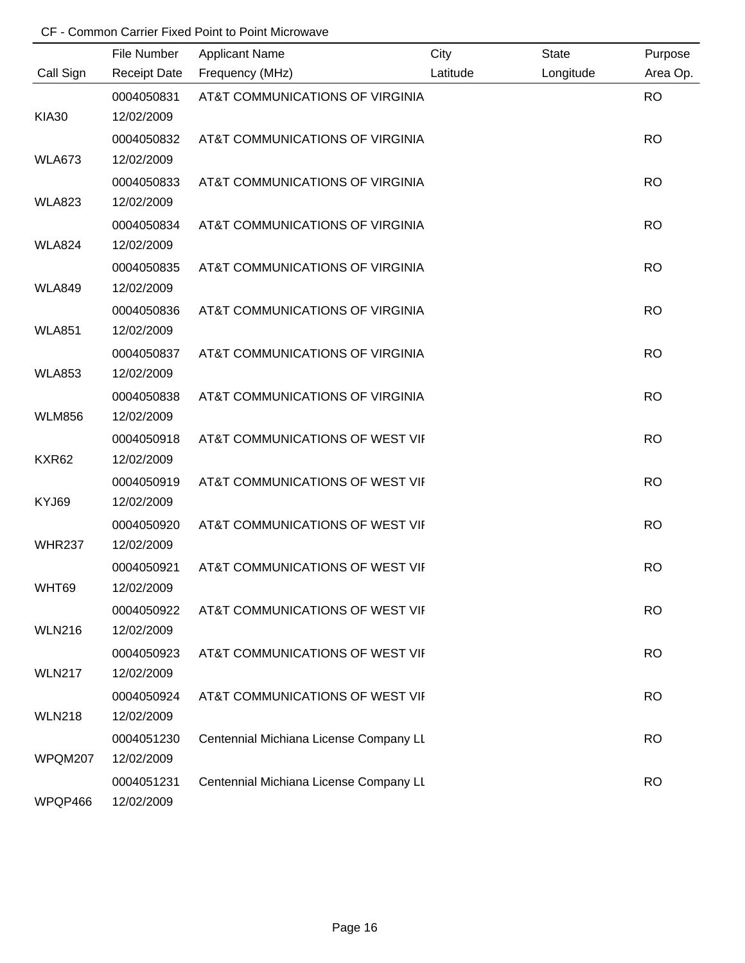|               | File Number              | <b>Applicant Name</b>                  | City     | <b>State</b> | Purpose   |
|---------------|--------------------------|----------------------------------------|----------|--------------|-----------|
| Call Sign     | <b>Receipt Date</b>      | Frequency (MHz)                        | Latitude | Longitude    | Area Op.  |
|               | 0004050831               | AT&T COMMUNICATIONS OF VIRGINIA        |          |              | <b>RO</b> |
| <b>KIA30</b>  | 12/02/2009               |                                        |          |              |           |
|               | 0004050832               | AT&T COMMUNICATIONS OF VIRGINIA        |          |              | <b>RO</b> |
| <b>WLA673</b> | 12/02/2009               |                                        |          |              |           |
|               | 0004050833               | AT&T COMMUNICATIONS OF VIRGINIA        |          |              | <b>RO</b> |
| <b>WLA823</b> | 12/02/2009               |                                        |          |              |           |
|               | 0004050834               | AT&T COMMUNICATIONS OF VIRGINIA        |          |              | <b>RO</b> |
| <b>WLA824</b> | 12/02/2009               |                                        |          |              |           |
|               | 0004050835               | AT&T COMMUNICATIONS OF VIRGINIA        |          |              | <b>RO</b> |
| <b>WLA849</b> | 12/02/2009               |                                        |          |              |           |
|               | 0004050836               | AT&T COMMUNICATIONS OF VIRGINIA        |          |              | <b>RO</b> |
| <b>WLA851</b> | 12/02/2009               |                                        |          |              |           |
|               | 0004050837               | AT&T COMMUNICATIONS OF VIRGINIA        |          |              | <b>RO</b> |
| <b>WLA853</b> | 12/02/2009               |                                        |          |              |           |
|               | 0004050838               | AT&T COMMUNICATIONS OF VIRGINIA        |          |              | <b>RO</b> |
| <b>WLM856</b> | 12/02/2009               |                                        |          |              |           |
|               | 0004050918               | AT&T COMMUNICATIONS OF WEST VII        |          |              | <b>RO</b> |
| KXR62         | 12/02/2009               |                                        |          |              |           |
|               | 0004050919               | AT&T COMMUNICATIONS OF WEST VII        |          |              | <b>RO</b> |
| KYJ69         | 12/02/2009               |                                        |          |              |           |
|               | 0004050920               | AT&T COMMUNICATIONS OF WEST VII        |          |              | <b>RO</b> |
| <b>WHR237</b> | 12/02/2009               |                                        |          |              |           |
|               | 0004050921               | AT&T COMMUNICATIONS OF WEST VII        |          |              | <b>RO</b> |
| WHT69         | 12/02/2009               |                                        |          |              |           |
|               | 0004050922               | AT&T COMMUNICATIONS OF WEST VII        |          |              | <b>RO</b> |
| <b>WLN216</b> | 12/02/2009               |                                        |          |              |           |
|               | 0004050923               | AT&T COMMUNICATIONS OF WEST VII        |          |              | <b>RO</b> |
| <b>WLN217</b> | 12/02/2009               |                                        |          |              |           |
|               | 0004050924               | AT&T COMMUNICATIONS OF WEST VII        |          |              | <b>RO</b> |
| <b>WLN218</b> | 12/02/2009               |                                        |          |              |           |
|               | 0004051230               | Centennial Michiana License Company LL |          |              | <b>RO</b> |
| WPQM207       | 12/02/2009               |                                        |          |              |           |
| WPQP466       | 0004051231<br>12/02/2009 | Centennial Michiana License Company LL |          |              | <b>RO</b> |
|               |                          |                                        |          |              |           |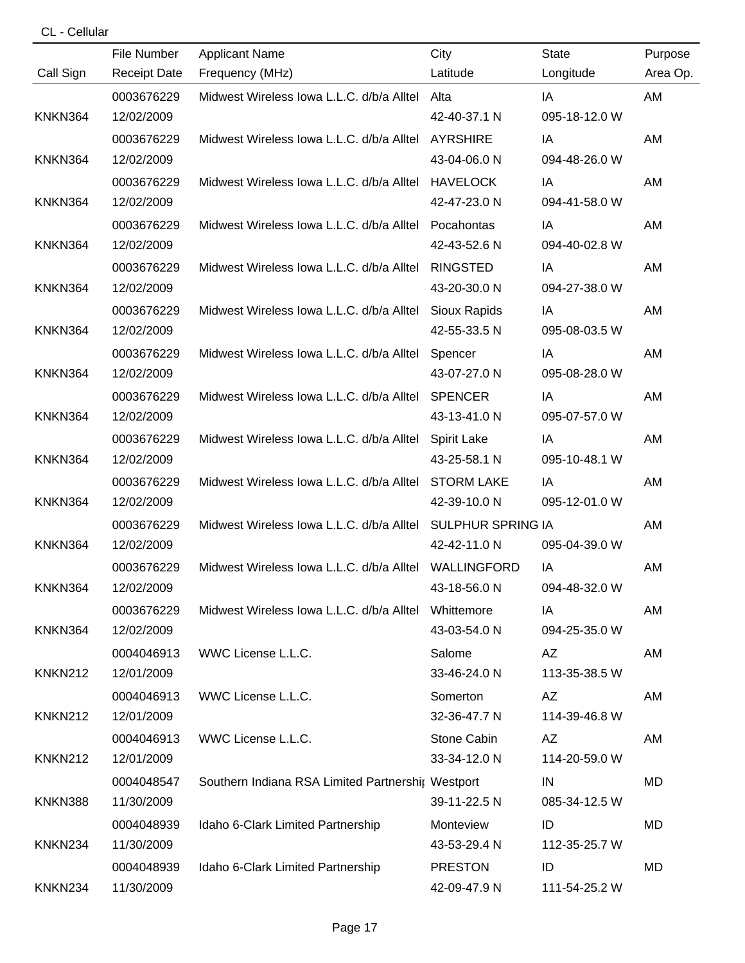CL - Cellular

|                     | File Number         | <b>Applicant Name</b>                                 | City                     | <b>State</b>  | Purpose  |
|---------------------|---------------------|-------------------------------------------------------|--------------------------|---------------|----------|
| Call Sign           | <b>Receipt Date</b> | Frequency (MHz)                                       | Latitude                 | Longitude     | Area Op. |
|                     | 0003676229          | Midwest Wireless Iowa L.L.C. d/b/a Alltel             | Alta                     | IA            | AM       |
| KNKN364             | 12/02/2009          |                                                       | 42-40-37.1 N             | 095-18-12.0 W |          |
|                     | 0003676229          | Midwest Wireless Iowa L.L.C. d/b/a Alltel             | <b>AYRSHIRE</b>          | IA            | AM       |
| KNKN364             | 12/02/2009          |                                                       | 43-04-06.0 N             | 094-48-26.0 W |          |
|                     | 0003676229          | Midwest Wireless Iowa L.L.C. d/b/a Alltel             | <b>HAVELOCK</b>          | IA            | AM       |
| KNKN364             | 12/02/2009          |                                                       | 42-47-23.0 N             | 094-41-58.0 W |          |
|                     | 0003676229          | Midwest Wireless Iowa L.L.C. d/b/a Alltel             | Pocahontas               | IA            | AM       |
| KNKN364             | 12/02/2009          |                                                       | 42-43-52.6 N             | 094-40-02.8 W |          |
|                     | 0003676229          | Midwest Wireless Iowa L.L.C. d/b/a Alltel             | <b>RINGSTED</b>          | IA            | AM       |
| KNKN364             | 12/02/2009          |                                                       | 43-20-30.0 N             | 094-27-38.0 W |          |
|                     | 0003676229          | Midwest Wireless Iowa L.L.C. d/b/a Alltel             | Sioux Rapids             | IA            | AM       |
| KNKN364             | 12/02/2009          |                                                       | 42-55-33.5 N             | 095-08-03.5 W |          |
|                     | 0003676229          | Midwest Wireless Iowa L.L.C. d/b/a Alltel             | Spencer                  | IA            | AM       |
| KNKN364             | 12/02/2009          |                                                       | 43-07-27.0 N             | 095-08-28.0 W |          |
|                     | 0003676229          | Midwest Wireless Iowa L.L.C. d/b/a Alltel             | <b>SPENCER</b>           | IA            | AM       |
| KNKN364             | 12/02/2009          |                                                       | 43-13-41.0 N             | 095-07-57.0 W |          |
|                     | 0003676229          | Midwest Wireless Iowa L.L.C. d/b/a Alltel             | Spirit Lake              | IA            | AM       |
| KNKN364             | 12/02/2009          |                                                       | 43-25-58.1 N             | 095-10-48.1 W |          |
|                     | 0003676229          | Midwest Wireless Iowa L.L.C. d/b/a Alltel             | <b>STORM LAKE</b>        | IA            | AM       |
| KNKN364             | 12/02/2009          |                                                       | 42-39-10.0 N             | 095-12-01.0 W |          |
|                     | 0003676229          | Midwest Wireless Iowa L.L.C. d/b/a Alltel             | <b>SULPHUR SPRING IA</b> |               | AM       |
| KNKN364             | 12/02/2009          |                                                       | 42-42-11.0 N             | 095-04-39.0 W |          |
|                     | 0003676229          | Midwest Wireless Iowa L.L.C. d/b/a Alltel WALLINGFORD |                          | IA            | AM       |
| KNKN364             | 12/02/2009          |                                                       | 43-18-56.0 N             | 094-48-32.0 W |          |
|                     | 0003676229          | Midwest Wireless Iowa L.L.C. d/b/a Alltel             | Whittemore               | IA            | AM       |
| KNKN364             | 12/02/2009          |                                                       | 43-03-54.0 N             | 094-25-35.0 W |          |
|                     | 0004046913          | WWC License L.L.C.                                    | Salome                   | AZ            | AM       |
| <b>KNKN212</b>      | 12/01/2009          |                                                       | 33-46-24.0 N             | 113-35-38.5 W |          |
|                     | 0004046913          | WWC License L.L.C.                                    | Somerton                 | AZ            | AM       |
| <b>KNKN212</b>      | 12/01/2009          |                                                       | 32-36-47.7 N             | 114-39-46.8 W |          |
|                     | 0004046913          | WWC License L.L.C.                                    | Stone Cabin              | AZ            | AM       |
| <b>KNKN212</b>      | 12/01/2009          |                                                       | 33-34-12.0 N             | 114-20-59.0 W |          |
|                     | 0004048547          | Southern Indiana RSA Limited Partnershir Westport     |                          | IN            | MD       |
| KNKN388             | 11/30/2009          |                                                       | 39-11-22.5 N             | 085-34-12.5 W |          |
|                     | 0004048939          | Idaho 6-Clark Limited Partnership                     | Monteview                | ID            | MD       |
| KNKN <sub>234</sub> | 11/30/2009          |                                                       | 43-53-29.4 N             | 112-35-25.7 W |          |
|                     | 0004048939          | Idaho 6-Clark Limited Partnership                     | <b>PRESTON</b>           | ID            | MD       |
| KNKN234             | 11/30/2009          |                                                       | 42-09-47.9 N             | 111-54-25.2 W |          |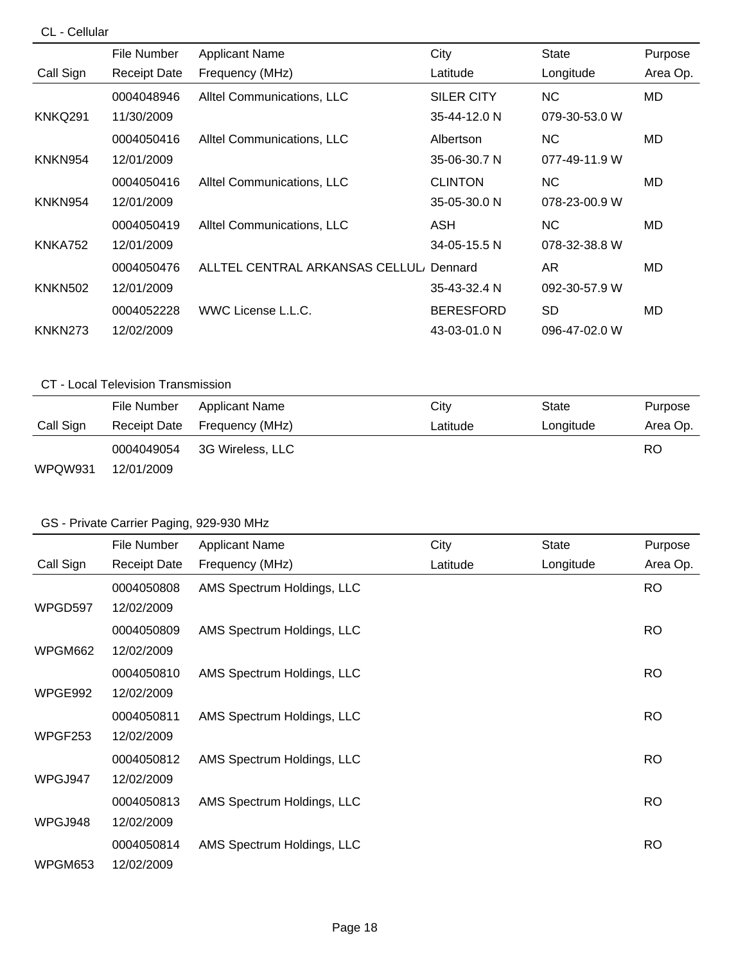### CL - Cellular

|                | File Number         | <b>Applicant Name</b>          | City              | <b>State</b>  | Purpose  |
|----------------|---------------------|--------------------------------|-------------------|---------------|----------|
| Call Sign      | <b>Receipt Date</b> | Frequency (MHz)                | Latitude          | Longitude     | Area Op. |
|                | 0004048946          | Alltel Communications, LLC     | <b>SILER CITY</b> | <b>NC</b>     | MD       |
| KNKQ291        | 11/30/2009          |                                | 35-44-12.0 N      | 079-30-53.0 W |          |
|                | 0004050416          | Alltel Communications, LLC     | Albertson         | NC.           | MD       |
| KNKN954        | 12/01/2009          |                                | 35-06-30.7 N      | 077-49-11.9 W |          |
|                | 0004050416          | Alltel Communications, LLC     | <b>CLINTON</b>    | NC.           | MD       |
| KNKN954        | 12/01/2009          |                                | 35-05-30.0 N      | 078-23-00.9 W |          |
|                | 0004050419          | Alltel Communications, LLC     | ASH               | NC.           | MD       |
| <b>KNKA752</b> | 12/01/2009          |                                | 34-05-15.5 N      | 078-32-38.8 W |          |
|                | 0004050476          | ALLTEL CENTRAL ARKANSAS CELLUL | Dennard           | AR.           | MD       |
| <b>KNKN502</b> | 12/01/2009          |                                | 35-43-32.4 N      | 092-30-57.9 W |          |
|                | 0004052228          | WWC License L.L.C.             | <b>BERESFORD</b>  | <b>SD</b>     | MD       |
| KNKN273        | 12/02/2009          |                                | 43-03-01.0 N      | 096-47-02.0 W |          |

# CT - Local Television Transmission

|           | File Number         | Applicant Name   | City     | State     | Purpose  |
|-----------|---------------------|------------------|----------|-----------|----------|
| Call Sign | <b>Receipt Date</b> | Frequency (MHz)  | Latitude | Longitude | Area Op. |
|           | 0004049054          | 3G Wireless, LLC |          |           | RO       |
| WPQW931   | 12/01/2009          |                  |          |           |          |

# GS - Private Carrier Paging, 929-930 MHz

|           | File Number         | <b>Applicant Name</b>      | City     | <b>State</b> | Purpose   |
|-----------|---------------------|----------------------------|----------|--------------|-----------|
| Call Sign | <b>Receipt Date</b> | Frequency (MHz)            | Latitude | Longitude    | Area Op.  |
|           | 0004050808          | AMS Spectrum Holdings, LLC |          |              | <b>RO</b> |
| WPGD597   | 12/02/2009          |                            |          |              |           |
|           | 0004050809          | AMS Spectrum Holdings, LLC |          |              | <b>RO</b> |
| WPGM662   | 12/02/2009          |                            |          |              |           |
|           | 0004050810          | AMS Spectrum Holdings, LLC |          |              | <b>RO</b> |
| WPGE992   | 12/02/2009          |                            |          |              |           |
|           | 0004050811          | AMS Spectrum Holdings, LLC |          |              | RO.       |
| WPGF253   | 12/02/2009          |                            |          |              |           |
|           | 0004050812          | AMS Spectrum Holdings, LLC |          |              | <b>RO</b> |
| WPGJ947   | 12/02/2009          |                            |          |              |           |
|           | 0004050813          | AMS Spectrum Holdings, LLC |          |              | <b>RO</b> |
| WPGJ948   | 12/02/2009          |                            |          |              |           |
|           | 0004050814          | AMS Spectrum Holdings, LLC |          |              | <b>RO</b> |
| WPGM653   | 12/02/2009          |                            |          |              |           |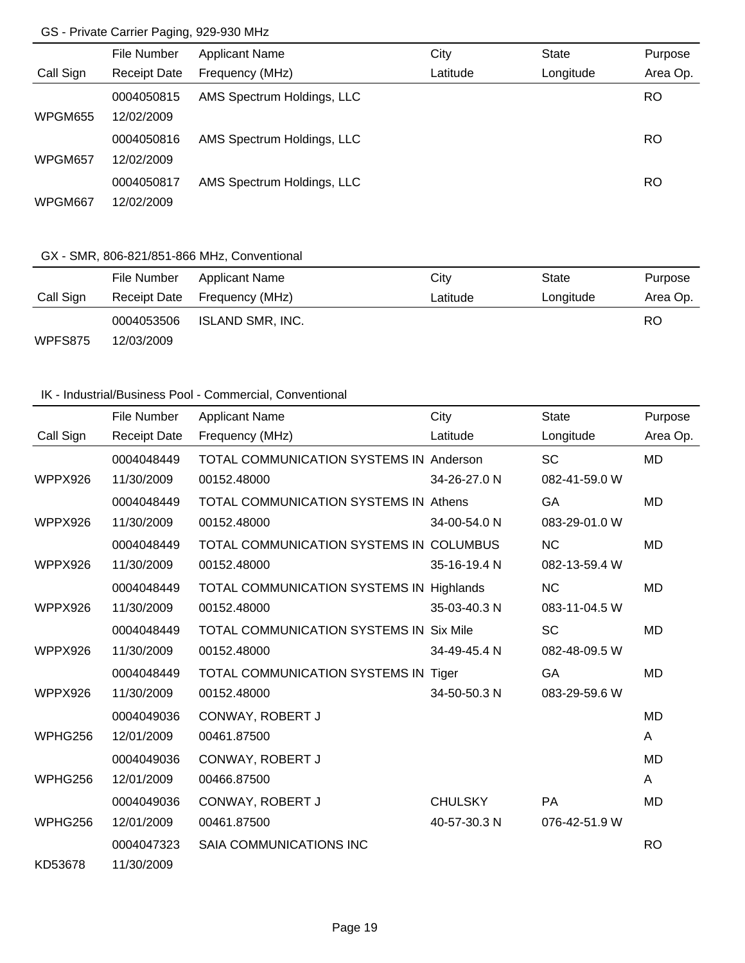## GS - Private Carrier Paging, 929-930 MHz

|                | File Number         | <b>Applicant Name</b>      | City     | <b>State</b> | Purpose   |
|----------------|---------------------|----------------------------|----------|--------------|-----------|
| Call Sign      | <b>Receipt Date</b> | Frequency (MHz)            | Latitude | Longitude    | Area Op.  |
|                | 0004050815          | AMS Spectrum Holdings, LLC |          |              | <b>RO</b> |
| <b>WPGM655</b> | 12/02/2009          |                            |          |              |           |
|                | 0004050816          | AMS Spectrum Holdings, LLC |          |              | RO        |
| WPGM657        | 12/02/2009          |                            |          |              |           |
|                | 0004050817          | AMS Spectrum Holdings, LLC |          |              | RO        |
| WPGM667        | 12/02/2009          |                            |          |              |           |

# GX - SMR, 806-821/851-866 MHz, Conventional

|           | File Number | Applicant Name               | City     | State     | Purpose  |
|-----------|-------------|------------------------------|----------|-----------|----------|
| Call Sign |             | Receipt Date Frequency (MHz) | Latitude | Longitude | Area Op. |
|           | 0004053506  | ISLAND SMR, INC.             |          |           | RO       |
| WPFS875   | 12/03/2009  |                              |          |           |          |

### IK - Industrial/Business Pool - Commercial, Conventional

|           | <b>File Number</b>  | <b>Applicant Name</b>                          | City           | <b>State</b>  | Purpose   |
|-----------|---------------------|------------------------------------------------|----------------|---------------|-----------|
| Call Sign | <b>Receipt Date</b> | Frequency (MHz)                                | Latitude       | Longitude     | Area Op.  |
|           | 0004048449          | <b>TOTAL COMMUNICATION SYSTEMS IN Anderson</b> |                | <b>SC</b>     | <b>MD</b> |
| WPPX926   | 11/30/2009          | 00152.48000                                    | 34-26-27.0 N   | 082-41-59.0 W |           |
|           | 0004048449          | TOTAL COMMUNICATION SYSTEMS IN Athens          |                | GA            | <b>MD</b> |
| WPPX926   | 11/30/2009          | 00152.48000                                    | 34-00-54.0 N   | 083-29-01.0 W |           |
|           | 0004048449          | TOTAL COMMUNICATION SYSTEMS IN COLUMBUS        |                | <b>NC</b>     | <b>MD</b> |
| WPPX926   | 11/30/2009          | 00152.48000                                    | 35-16-19.4 N   | 082-13-59.4 W |           |
|           | 0004048449          | TOTAL COMMUNICATION SYSTEMS IN Highlands       |                | <b>NC</b>     | <b>MD</b> |
| WPPX926   | 11/30/2009          | 00152.48000                                    | 35-03-40.3 N   | 083-11-04.5 W |           |
|           | 0004048449          | <b>TOTAL COMMUNICATION SYSTEMS IN Six Mile</b> |                | <b>SC</b>     | <b>MD</b> |
| WPPX926   | 11/30/2009          | 00152.48000                                    | 34-49-45.4 N   | 082-48-09.5 W |           |
|           | 0004048449          | TOTAL COMMUNICATION SYSTEMS IN Tiger           |                | GA            | <b>MD</b> |
| WPPX926   | 11/30/2009          | 00152.48000                                    | 34-50-50.3 N   | 083-29-59.6 W |           |
|           | 0004049036          | CONWAY, ROBERT J                               |                |               | <b>MD</b> |
| WPHG256   | 12/01/2009          | 00461.87500                                    |                |               | A         |
|           | 0004049036          | CONWAY, ROBERT J                               |                |               | <b>MD</b> |
| WPHG256   | 12/01/2009          | 00466.87500                                    |                |               | A         |
|           | 0004049036          | CONWAY, ROBERT J                               | <b>CHULSKY</b> | <b>PA</b>     | <b>MD</b> |
| WPHG256   | 12/01/2009          | 00461.87500                                    | 40-57-30.3 N   | 076-42-51.9 W |           |
|           | 0004047323          | SAIA COMMUNICATIONS INC                        |                |               | <b>RO</b> |
| KD53678   | 11/30/2009          |                                                |                |               |           |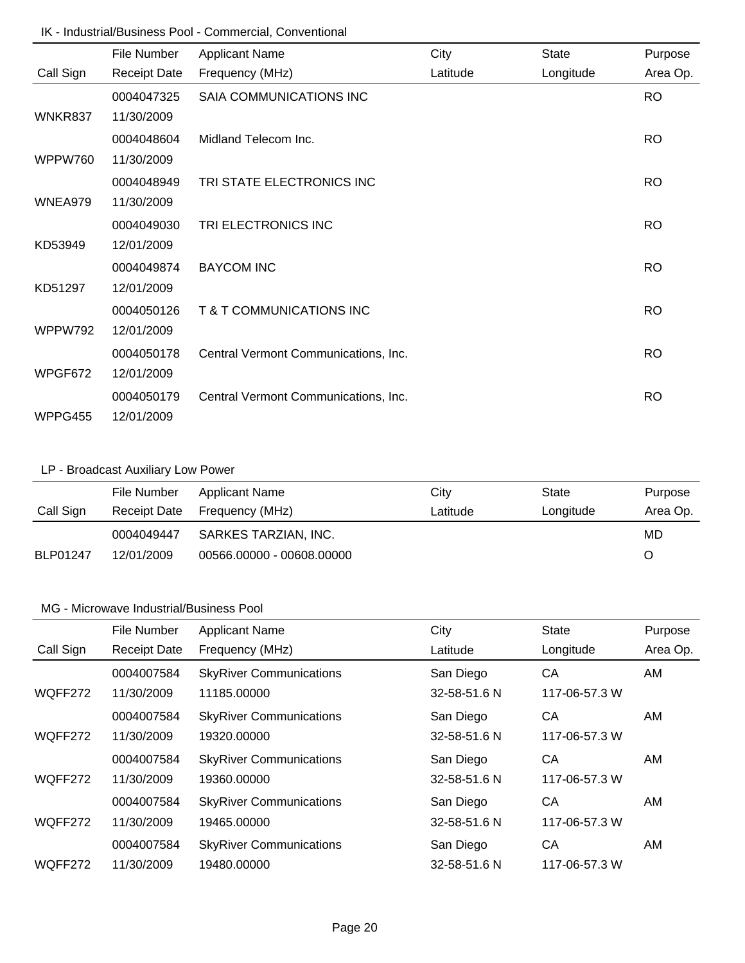### IK - Industrial/Business Pool - Commercial, Conventional

|           | File Number         | <b>Applicant Name</b>                | City     | <b>State</b> | Purpose   |
|-----------|---------------------|--------------------------------------|----------|--------------|-----------|
| Call Sign | <b>Receipt Date</b> | Frequency (MHz)                      | Latitude | Longitude    | Area Op.  |
|           | 0004047325          | SAIA COMMUNICATIONS INC              |          |              | <b>RO</b> |
| WNKR837   | 11/30/2009          |                                      |          |              |           |
|           | 0004048604          | Midland Telecom Inc.                 |          |              | <b>RO</b> |
| WPPW760   | 11/30/2009          |                                      |          |              |           |
|           | 0004048949          | TRI STATE ELECTRONICS INC            |          |              | <b>RO</b> |
| WNEA979   | 11/30/2009          |                                      |          |              |           |
|           | 0004049030          | TRI ELECTRONICS INC                  |          |              | <b>RO</b> |
| KD53949   | 12/01/2009          |                                      |          |              |           |
|           | 0004049874          | <b>BAYCOM INC</b>                    |          |              | <b>RO</b> |
| KD51297   | 12/01/2009          |                                      |          |              |           |
|           | 0004050126          | T & T COMMUNICATIONS INC             |          |              | <b>RO</b> |
| WPPW792   | 12/01/2009          |                                      |          |              |           |
|           | 0004050178          | Central Vermont Communications, Inc. |          |              | <b>RO</b> |
| WPGF672   | 12/01/2009          |                                      |          |              |           |
|           | 0004050179          | Central Vermont Communications, Inc. |          |              | <b>RO</b> |
| WPPG455   | 12/01/2009          |                                      |          |              |           |

# LP - Broadcast Auxiliary Low Power

|                 | File Number | <b>Applicant Name</b>        | City     | State     | Purpose  |
|-----------------|-------------|------------------------------|----------|-----------|----------|
| Call Sign       |             | Receipt Date Frequency (MHz) | Latitude | Longitude | Area Op. |
|                 | 0004049447  | SARKES TARZIAN, INC.         |          |           | MD       |
| <b>BLP01247</b> | 12/01/2009  | 00566.00000 - 00608.00000    |          |           | Ő        |

|           | File Number         | <b>Applicant Name</b>          | City         | <b>State</b>  | Purpose  |
|-----------|---------------------|--------------------------------|--------------|---------------|----------|
| Call Sign | <b>Receipt Date</b> | Frequency (MHz)                | Latitude     | Longitude     | Area Op. |
|           | 0004007584          | <b>SkyRiver Communications</b> | San Diego    | СA            | AM       |
| WQFF272   | 11/30/2009          | 11185.00000                    | 32-58-51.6 N | 117-06-57.3 W |          |
|           | 0004007584          | <b>SkyRiver Communications</b> | San Diego    | СA            | AM       |
| WQFF272   | 11/30/2009          | 19320.00000                    | 32-58-51.6 N | 117-06-57.3 W |          |
|           | 0004007584          | <b>SkyRiver Communications</b> | San Diego    | СA            | AM.      |
| WQFF272   | 11/30/2009          | 19360.00000                    | 32-58-51.6 N | 117-06-57.3 W |          |
|           | 0004007584          | <b>SkyRiver Communications</b> | San Diego    | CА            | AM       |
| WQFF272   | 11/30/2009          | 19465.00000                    | 32-58-51.6 N | 117-06-57.3 W |          |
|           | 0004007584          | <b>SkyRiver Communications</b> | San Diego    | CA            | AM       |
| WQFF272   | 11/30/2009          | 19480.00000                    | 32-58-51.6 N | 117-06-57.3 W |          |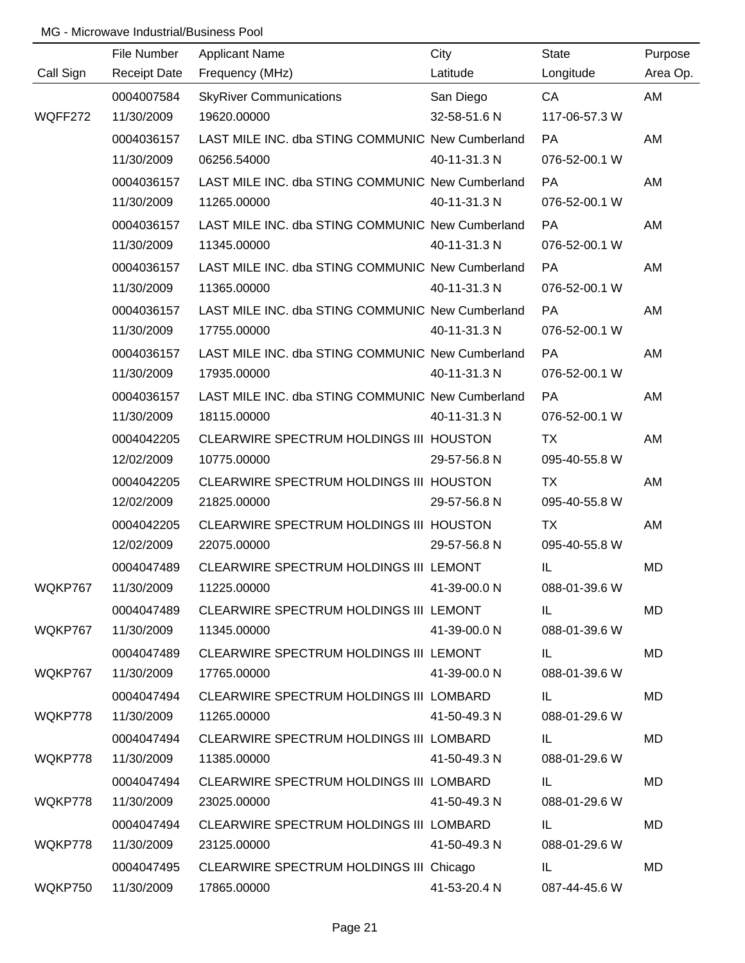|           | File Number         | <b>Applicant Name</b>                            | City         | <b>State</b>  | Purpose   |
|-----------|---------------------|--------------------------------------------------|--------------|---------------|-----------|
| Call Sign | <b>Receipt Date</b> | Frequency (MHz)                                  | Latitude     | Longitude     | Area Op.  |
|           | 0004007584          | <b>SkyRiver Communications</b>                   | San Diego    | CA            | AM        |
| WQFF272   | 11/30/2009          | 19620.00000                                      | 32-58-51.6 N | 117-06-57.3 W |           |
|           | 0004036157          | LAST MILE INC. dba STING COMMUNIC New Cumberland |              | <b>PA</b>     | AM        |
|           | 11/30/2009          | 06256.54000                                      | 40-11-31.3 N | 076-52-00.1 W |           |
|           | 0004036157          | LAST MILE INC. dba STING COMMUNIC New Cumberland |              | <b>PA</b>     | AM        |
|           | 11/30/2009          | 11265.00000                                      | 40-11-31.3 N | 076-52-00.1 W |           |
|           | 0004036157          | LAST MILE INC. dba STING COMMUNIC New Cumberland |              | <b>PA</b>     | AM        |
|           | 11/30/2009          | 11345.00000                                      | 40-11-31.3 N | 076-52-00.1 W |           |
|           | 0004036157          | LAST MILE INC. dba STING COMMUNIC New Cumberland |              | PA            | AM        |
|           | 11/30/2009          | 11365.00000                                      | 40-11-31.3 N | 076-52-00.1 W |           |
|           | 0004036157          | LAST MILE INC. dba STING COMMUNIC New Cumberland |              | PA            | AM        |
|           | 11/30/2009          | 17755.00000                                      | 40-11-31.3 N | 076-52-00.1 W |           |
|           | 0004036157          | LAST MILE INC. dba STING COMMUNIC New Cumberland |              | PA            | AM        |
|           | 11/30/2009          | 17935.00000                                      | 40-11-31.3 N | 076-52-00.1 W |           |
|           | 0004036157          | LAST MILE INC. dba STING COMMUNIC New Cumberland |              | <b>PA</b>     | AM        |
|           | 11/30/2009          | 18115.00000                                      | 40-11-31.3 N | 076-52-00.1 W |           |
|           | 0004042205          | CLEARWIRE SPECTRUM HOLDINGS III HOUSTON          |              | TX            | AM        |
|           | 12/02/2009          | 10775.00000                                      | 29-57-56.8 N | 095-40-55.8 W |           |
|           | 0004042205          | CLEARWIRE SPECTRUM HOLDINGS III HOUSTON          |              | <b>TX</b>     | AM        |
|           | 12/02/2009          | 21825.00000                                      | 29-57-56.8 N | 095-40-55.8 W |           |
|           | 0004042205          | CLEARWIRE SPECTRUM HOLDINGS III HOUSTON          |              | <b>TX</b>     | AM        |
|           | 12/02/2009          | 22075.00000                                      | 29-57-56.8 N | 095-40-55.8 W |           |
|           | 0004047489          | CLEARWIRE SPECTRUM HOLDINGS III LEMONT           |              | IL            | MD        |
| WQKP767   | 11/30/2009          | 11225.00000                                      | 41-39-00.0 N | 088-01-39.6 W |           |
|           | 0004047489          | CLEARWIRE SPECTRUM HOLDINGS III LEMONT           |              | IL.           | MD        |
| WQKP767   | 11/30/2009          | 11345.00000                                      | 41-39-00.0 N | 088-01-39.6 W |           |
|           | 0004047489          | CLEARWIRE SPECTRUM HOLDINGS III LEMONT           |              | IL            | MD        |
| WQKP767   | 11/30/2009          | 17765.00000                                      | 41-39-00.0 N | 088-01-39.6 W |           |
|           | 0004047494          | CLEARWIRE SPECTRUM HOLDINGS III LOMBARD          |              | IL            | <b>MD</b> |
| WQKP778   | 11/30/2009          | 11265.00000                                      | 41-50-49.3 N | 088-01-29.6 W |           |
|           | 0004047494          | CLEARWIRE SPECTRUM HOLDINGS III LOMBARD          |              | IL            | MD        |
| WQKP778   | 11/30/2009          | 11385.00000                                      | 41-50-49.3 N | 088-01-29.6 W |           |
|           | 0004047494          | CLEARWIRE SPECTRUM HOLDINGS III LOMBARD          |              | IL.           | MD        |
| WQKP778   | 11/30/2009          | 23025.00000                                      | 41-50-49.3 N | 088-01-29.6 W |           |
|           | 0004047494          | CLEARWIRE SPECTRUM HOLDINGS III LOMBARD          |              | IL            | MD        |
| WQKP778   | 11/30/2009          | 23125.00000                                      | 41-50-49.3 N | 088-01-29.6 W |           |
|           | 0004047495          | CLEARWIRE SPECTRUM HOLDINGS III Chicago          |              | IL.           | <b>MD</b> |
| WQKP750   | 11/30/2009          | 17865.00000                                      | 41-53-20.4 N | 087-44-45.6 W |           |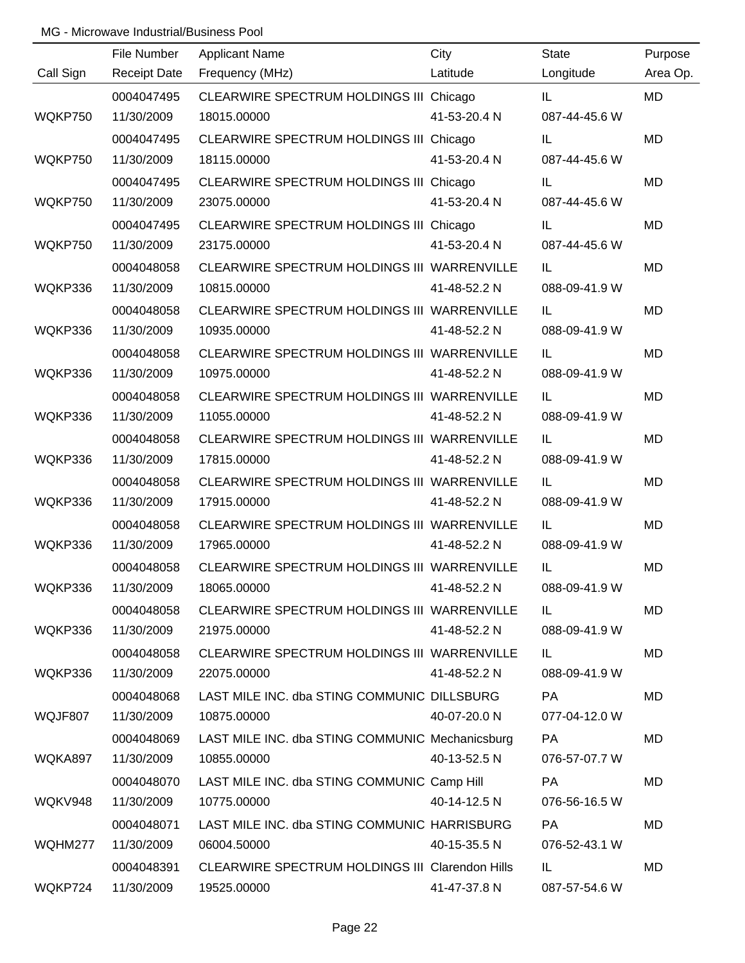|           | File Number         | <b>Applicant Name</b>                           | City         | <b>State</b>  | Purpose   |
|-----------|---------------------|-------------------------------------------------|--------------|---------------|-----------|
| Call Sign | <b>Receipt Date</b> | Frequency (MHz)                                 | Latitude     | Longitude     | Area Op.  |
|           | 0004047495          | CLEARWIRE SPECTRUM HOLDINGS III Chicago         |              | IL            | <b>MD</b> |
| WQKP750   | 11/30/2009          | 18015.00000                                     | 41-53-20.4 N | 087-44-45.6 W |           |
|           | 0004047495          | CLEARWIRE SPECTRUM HOLDINGS III Chicago         |              | IL            | <b>MD</b> |
| WQKP750   | 11/30/2009          | 18115.00000                                     | 41-53-20.4 N | 087-44-45.6 W |           |
|           | 0004047495          | CLEARWIRE SPECTRUM HOLDINGS III Chicago         |              | IL            | <b>MD</b> |
| WQKP750   | 11/30/2009          | 23075.00000                                     | 41-53-20.4 N | 087-44-45.6 W |           |
|           | 0004047495          | CLEARWIRE SPECTRUM HOLDINGS III Chicago         |              | IL            | <b>MD</b> |
| WQKP750   | 11/30/2009          | 23175.00000                                     | 41-53-20.4 N | 087-44-45.6 W |           |
|           | 0004048058          | CLEARWIRE SPECTRUM HOLDINGS III WARRENVILLE     |              | IL.           | <b>MD</b> |
| WQKP336   | 11/30/2009          | 10815.00000                                     | 41-48-52.2 N | 088-09-41.9 W |           |
|           | 0004048058          | CLEARWIRE SPECTRUM HOLDINGS III WARRENVILLE     |              | IL.           | <b>MD</b> |
| WQKP336   | 11/30/2009          | 10935.00000                                     | 41-48-52.2 N | 088-09-41.9 W |           |
|           | 0004048058          | CLEARWIRE SPECTRUM HOLDINGS III WARRENVILLE     |              | IL            | <b>MD</b> |
| WQKP336   | 11/30/2009          | 10975.00000                                     | 41-48-52.2 N | 088-09-41.9 W |           |
|           | 0004048058          | CLEARWIRE SPECTRUM HOLDINGS III WARRENVILLE     |              | IL            | <b>MD</b> |
| WQKP336   | 11/30/2009          | 11055.00000                                     | 41-48-52.2 N | 088-09-41.9 W |           |
|           | 0004048058          | CLEARWIRE SPECTRUM HOLDINGS III WARRENVILLE     |              | IL            | <b>MD</b> |
| WQKP336   | 11/30/2009          | 17815.00000                                     | 41-48-52.2 N | 088-09-41.9 W |           |
|           | 0004048058          | CLEARWIRE SPECTRUM HOLDINGS III WARRENVILLE     |              | IL            | <b>MD</b> |
| WQKP336   | 11/30/2009          | 17915.00000                                     | 41-48-52.2 N | 088-09-41.9 W |           |
|           | 0004048058          | CLEARWIRE SPECTRUM HOLDINGS III WARRENVILLE     |              | IL            | <b>MD</b> |
| WQKP336   | 11/30/2009          | 17965.00000                                     | 41-48-52.2 N | 088-09-41.9 W |           |
|           | 0004048058          | CLEARWIRE SPECTRUM HOLDINGS III WARRENVILLE     |              | IL            | <b>MD</b> |
| WQKP336   | 11/30/2009          | 18065.00000                                     | 41-48-52.2 N | 088-09-41.9 W |           |
|           | 0004048058          | CLEARWIRE SPECTRUM HOLDINGS III WARRENVILLE     |              | IL.           | MD        |
| WQKP336   | 11/30/2009          | 21975.00000                                     | 41-48-52.2 N | 088-09-41.9 W |           |
|           | 0004048058          | CLEARWIRE SPECTRUM HOLDINGS III WARRENVILLE     |              | IL.           | MD        |
| WQKP336   | 11/30/2009          | 22075.00000                                     | 41-48-52.2 N | 088-09-41.9 W |           |
|           | 0004048068          | LAST MILE INC. dba STING COMMUNIC DILLSBURG     |              | PA            | MD        |
| WQJF807   | 11/30/2009          | 10875.00000                                     | 40-07-20.0 N | 077-04-12.0 W |           |
|           | 0004048069          | LAST MILE INC. dba STING COMMUNIC Mechanicsburg |              | PA            | MD        |
| WQKA897   | 11/30/2009          | 10855.00000                                     | 40-13-52.5 N | 076-57-07.7 W |           |
|           | 0004048070          | LAST MILE INC. dba STING COMMUNIC Camp Hill     |              | PA            | <b>MD</b> |
| WQKV948   | 11/30/2009          | 10775.00000                                     | 40-14-12.5 N | 076-56-16.5 W |           |
|           | 0004048071          | LAST MILE INC. dba STING COMMUNIC HARRISBURG    |              | PA            | <b>MD</b> |
| WQHM277   | 11/30/2009          | 06004.50000                                     | 40-15-35.5 N | 076-52-43.1 W |           |
|           | 0004048391          | CLEARWIRE SPECTRUM HOLDINGS III Clarendon Hills |              | IL.           | MD        |
| WQKP724   | 11/30/2009          | 19525.00000                                     | 41-47-37.8 N | 087-57-54.6 W |           |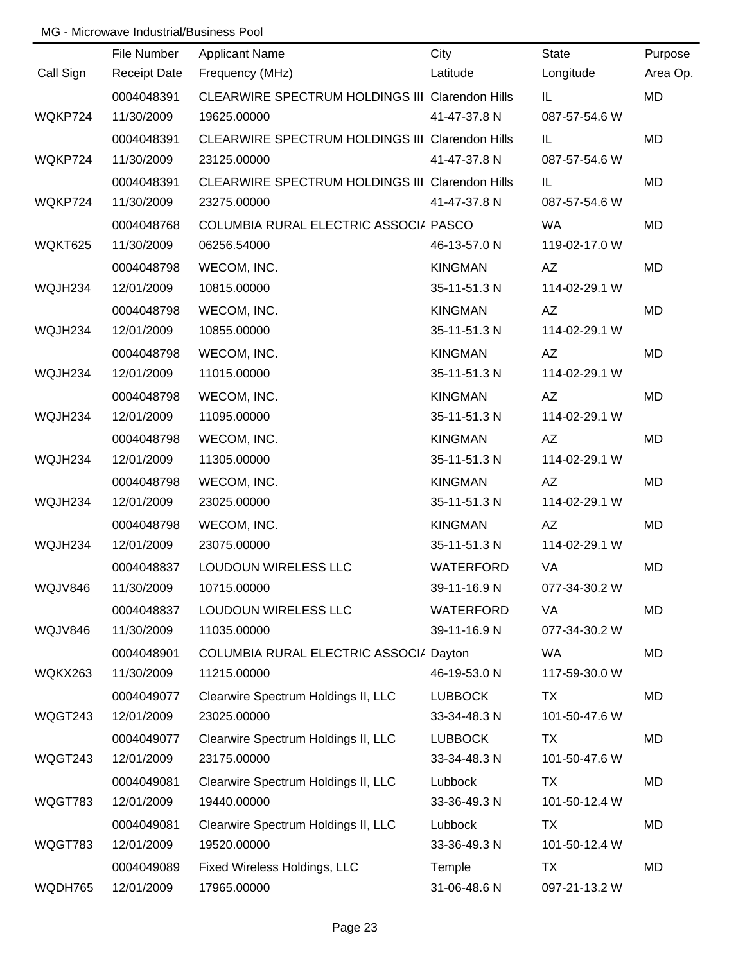|           | File Number         | <b>Applicant Name</b>                                  | City             | <b>State</b>  | Purpose   |
|-----------|---------------------|--------------------------------------------------------|------------------|---------------|-----------|
| Call Sign | <b>Receipt Date</b> | Frequency (MHz)                                        | Latitude         | Longitude     | Area Op.  |
|           | 0004048391          | <b>CLEARWIRE SPECTRUM HOLDINGS III Clarendon Hills</b> |                  | IL.           | <b>MD</b> |
| WQKP724   | 11/30/2009          | 19625.00000                                            | 41-47-37.8 N     | 087-57-54.6 W |           |
|           | 0004048391          | CLEARWIRE SPECTRUM HOLDINGS III Clarendon Hills        |                  | IL.           | <b>MD</b> |
| WQKP724   | 11/30/2009          | 23125.00000                                            | 41-47-37.8 N     | 087-57-54.6 W |           |
|           | 0004048391          | CLEARWIRE SPECTRUM HOLDINGS III Clarendon Hills        |                  | IL.           | <b>MD</b> |
| WQKP724   | 11/30/2009          | 23275.00000                                            | 41-47-37.8 N     | 087-57-54.6 W |           |
|           | 0004048768          | COLUMBIA RURAL ELECTRIC ASSOCI/ PASCO                  |                  | WA            | <b>MD</b> |
| WQKT625   | 11/30/2009          | 06256.54000                                            | 46-13-57.0 N     | 119-02-17.0 W |           |
|           | 0004048798          | WECOM, INC.                                            | <b>KINGMAN</b>   | AZ            | <b>MD</b> |
| WQJH234   | 12/01/2009          | 10815.00000                                            | 35-11-51.3 N     | 114-02-29.1 W |           |
|           | 0004048798          | WECOM, INC.                                            | <b>KINGMAN</b>   | AZ            | <b>MD</b> |
| WQJH234   | 12/01/2009          | 10855.00000                                            | 35-11-51.3 N     | 114-02-29.1 W |           |
|           | 0004048798          | WECOM, INC.                                            | <b>KINGMAN</b>   | AZ            | <b>MD</b> |
| WQJH234   | 12/01/2009          | 11015.00000                                            | 35-11-51.3 N     | 114-02-29.1 W |           |
|           | 0004048798          | WECOM, INC.                                            | <b>KINGMAN</b>   | AZ            | <b>MD</b> |
| WQJH234   | 12/01/2009          | 11095.00000                                            | 35-11-51.3 N     | 114-02-29.1 W |           |
|           | 0004048798          | WECOM, INC.                                            | <b>KINGMAN</b>   | AZ            | <b>MD</b> |
| WQJH234   | 12/01/2009          | 11305.00000                                            | 35-11-51.3 N     | 114-02-29.1 W |           |
|           | 0004048798          | WECOM, INC.                                            | <b>KINGMAN</b>   | AZ            | <b>MD</b> |
| WQJH234   | 12/01/2009          | 23025.00000                                            | 35-11-51.3 N     | 114-02-29.1 W |           |
|           | 0004048798          | WECOM, INC.                                            | <b>KINGMAN</b>   | AZ            | <b>MD</b> |
| WQJH234   | 12/01/2009          | 23075.00000                                            | 35-11-51.3 N     | 114-02-29.1 W |           |
|           | 0004048837          | LOUDOUN WIRELESS LLC                                   | <b>WATERFORD</b> | VA            | <b>MD</b> |
| WQJV846   | 11/30/2009          | 10715.00000                                            | 39-11-16.9 N     | 077-34-30.2 W |           |
|           | 0004048837          | LOUDOUN WIRELESS LLC                                   | <b>WATERFORD</b> | VA            | <b>MD</b> |
| WQJV846   | 11/30/2009          | 11035.00000                                            | 39-11-16.9 N     | 077-34-30.2 W |           |
|           | 0004048901          | COLUMBIA RURAL ELECTRIC ASSOCI/ Dayton                 |                  | WA            | <b>MD</b> |
| WQKX263   | 11/30/2009          | 11215.00000                                            | 46-19-53.0 N     | 117-59-30.0 W |           |
|           | 0004049077          | Clearwire Spectrum Holdings II, LLC                    | <b>LUBBOCK</b>   | <b>TX</b>     | <b>MD</b> |
| WQGT243   | 12/01/2009          | 23025.00000                                            | 33-34-48.3 N     | 101-50-47.6 W |           |
|           | 0004049077          | Clearwire Spectrum Holdings II, LLC                    | <b>LUBBOCK</b>   | TX            | <b>MD</b> |
| WQGT243   | 12/01/2009          | 23175.00000                                            | 33-34-48.3 N     | 101-50-47.6 W |           |
|           | 0004049081          | Clearwire Spectrum Holdings II, LLC                    | Lubbock          | <b>TX</b>     | <b>MD</b> |
| WQGT783   | 12/01/2009          | 19440.00000                                            | 33-36-49.3 N     | 101-50-12.4 W |           |
|           | 0004049081          | Clearwire Spectrum Holdings II, LLC                    | Lubbock          | <b>TX</b>     | <b>MD</b> |
| WQGT783   | 12/01/2009          | 19520.00000                                            | 33-36-49.3 N     | 101-50-12.4 W |           |
|           | 0004049089          | Fixed Wireless Holdings, LLC                           | Temple           | <b>TX</b>     | <b>MD</b> |
| WQDH765   | 12/01/2009          | 17965.00000                                            | 31-06-48.6 N     | 097-21-13.2 W |           |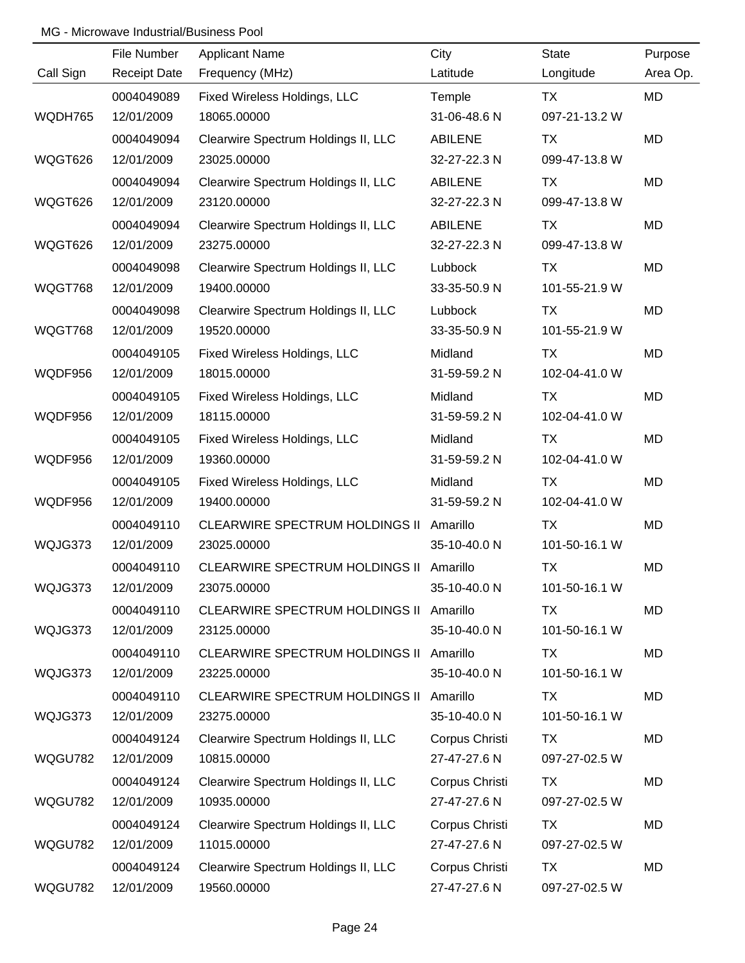|           | File Number         | <b>Applicant Name</b>                 | City           | <b>State</b>  | Purpose   |
|-----------|---------------------|---------------------------------------|----------------|---------------|-----------|
| Call Sign | <b>Receipt Date</b> | Frequency (MHz)                       | Latitude       | Longitude     | Area Op.  |
|           | 0004049089          | Fixed Wireless Holdings, LLC          | Temple         | <b>TX</b>     | MD        |
| WQDH765   | 12/01/2009          | 18065.00000                           | 31-06-48.6 N   | 097-21-13.2 W |           |
|           | 0004049094          | Clearwire Spectrum Holdings II, LLC   | <b>ABILENE</b> | <b>TX</b>     | <b>MD</b> |
| WQGT626   | 12/01/2009          | 23025.00000                           | 32-27-22.3 N   | 099-47-13.8 W |           |
|           | 0004049094          | Clearwire Spectrum Holdings II, LLC   | <b>ABILENE</b> | TX            | <b>MD</b> |
| WQGT626   | 12/01/2009          | 23120.00000                           | 32-27-22.3 N   | 099-47-13.8 W |           |
|           | 0004049094          | Clearwire Spectrum Holdings II, LLC   | <b>ABILENE</b> | TX            | MD        |
| WQGT626   | 12/01/2009          | 23275.00000                           | 32-27-22.3 N   | 099-47-13.8 W |           |
|           | 0004049098          | Clearwire Spectrum Holdings II, LLC   | Lubbock        | <b>TX</b>     | MD        |
| WQGT768   | 12/01/2009          | 19400.00000                           | 33-35-50.9 N   | 101-55-21.9 W |           |
|           | 0004049098          | Clearwire Spectrum Holdings II, LLC   | Lubbock        | TX            | MD        |
| WQGT768   | 12/01/2009          | 19520.00000                           | 33-35-50.9 N   | 101-55-21.9 W |           |
|           | 0004049105          | Fixed Wireless Holdings, LLC          | Midland        | TX            | MD        |
| WQDF956   | 12/01/2009          | 18015.00000                           | 31-59-59.2 N   | 102-04-41.0 W |           |
|           | 0004049105          | Fixed Wireless Holdings, LLC          | Midland        | <b>TX</b>     | MD        |
| WQDF956   | 12/01/2009          | 18115.00000                           | 31-59-59.2 N   | 102-04-41.0 W |           |
|           | 0004049105          | Fixed Wireless Holdings, LLC          | Midland        | <b>TX</b>     | MD        |
| WQDF956   | 12/01/2009          | 19360.00000                           | 31-59-59.2 N   | 102-04-41.0 W |           |
|           | 0004049105          | Fixed Wireless Holdings, LLC          | Midland        | <b>TX</b>     | MD        |
| WQDF956   | 12/01/2009          | 19400.00000                           | 31-59-59.2 N   | 102-04-41.0 W |           |
|           | 0004049110          | <b>CLEARWIRE SPECTRUM HOLDINGS II</b> | Amarillo       | <b>TX</b>     | MD        |
| WQJG373   | 12/01/2009          | 23025.00000                           | 35-10-40.0 N   | 101-50-16.1 W |           |
|           | 0004049110          | <b>CLEARWIRE SPECTRUM HOLDINGS II</b> | Amarillo       | <b>TX</b>     | MD        |
| WQJG373   | 12/01/2009          | 23075.00000                           | 35-10-40.0 N   | 101-50-16.1 W |           |
|           | 0004049110          | CLEARWIRE SPECTRUM HOLDINGS II        | Amarillo       | TX            | MD        |
| WQJG373   | 12/01/2009          | 23125.00000                           | 35-10-40.0 N   | 101-50-16.1 W |           |
|           | 0004049110          | CLEARWIRE SPECTRUM HOLDINGS II        | Amarillo       | <b>TX</b>     | MD        |
| WQJG373   | 12/01/2009          | 23225.00000                           | 35-10-40.0 N   | 101-50-16.1 W |           |
|           | 0004049110          | <b>CLEARWIRE SPECTRUM HOLDINGS II</b> | Amarillo       | TX            | MD        |
| WQJG373   | 12/01/2009          | 23275.00000                           | 35-10-40.0 N   | 101-50-16.1 W |           |
|           | 0004049124          | Clearwire Spectrum Holdings II, LLC   | Corpus Christi | <b>TX</b>     | MD        |
| WQGU782   | 12/01/2009          | 10815.00000                           | 27-47-27.6 N   | 097-27-02.5 W |           |
|           | 0004049124          | Clearwire Spectrum Holdings II, LLC   | Corpus Christi | TX            | MD        |
| WQGU782   | 12/01/2009          | 10935.00000                           | 27-47-27.6 N   | 097-27-02.5 W |           |
|           | 0004049124          | Clearwire Spectrum Holdings II, LLC   | Corpus Christi | TX            | MD        |
| WQGU782   | 12/01/2009          | 11015.00000                           | 27-47-27.6 N   | 097-27-02.5 W |           |
|           | 0004049124          | Clearwire Spectrum Holdings II, LLC   | Corpus Christi | <b>TX</b>     | MD        |
| WQGU782   | 12/01/2009          | 19560.00000                           | 27-47-27.6 N   | 097-27-02.5 W |           |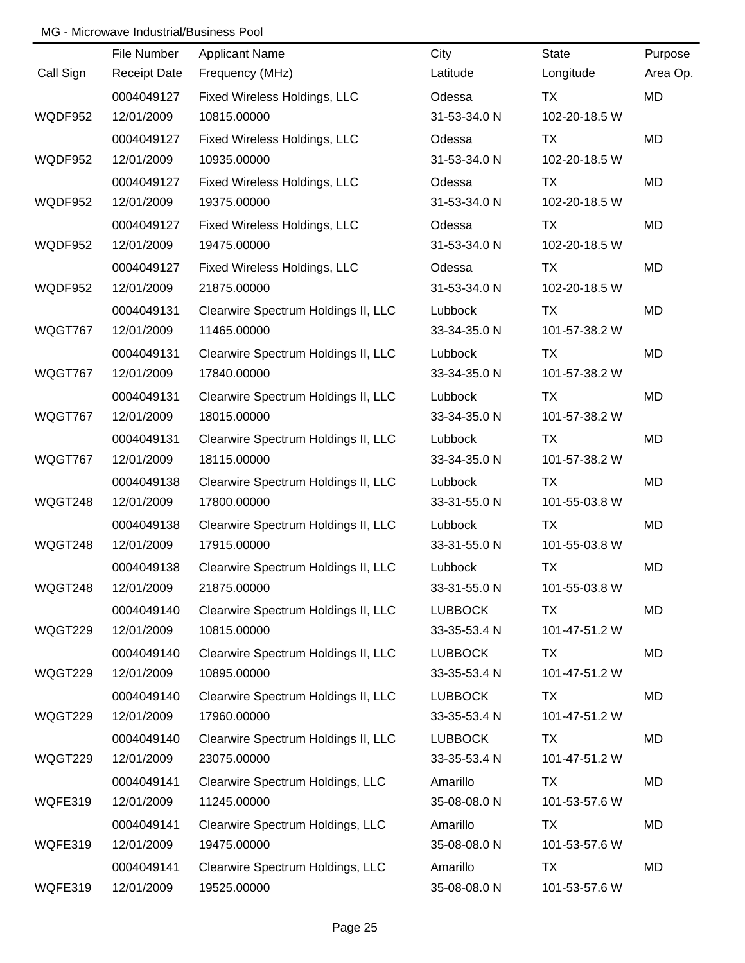|           | File Number         | <b>Applicant Name</b>               | City           | <b>State</b>  | Purpose   |
|-----------|---------------------|-------------------------------------|----------------|---------------|-----------|
| Call Sign | <b>Receipt Date</b> | Frequency (MHz)                     | Latitude       | Longitude     | Area Op.  |
|           | 0004049127          | Fixed Wireless Holdings, LLC        | Odessa         | <b>TX</b>     | MD        |
| WQDF952   | 12/01/2009          | 10815.00000                         | 31-53-34.0 N   | 102-20-18.5 W |           |
|           | 0004049127          | Fixed Wireless Holdings, LLC        | Odessa         | <b>TX</b>     | <b>MD</b> |
| WQDF952   | 12/01/2009          | 10935.00000                         | 31-53-34.0 N   | 102-20-18.5 W |           |
|           | 0004049127          | Fixed Wireless Holdings, LLC        | Odessa         | <b>TX</b>     | <b>MD</b> |
| WQDF952   | 12/01/2009          | 19375.00000                         | 31-53-34.0 N   | 102-20-18.5 W |           |
|           | 0004049127          | Fixed Wireless Holdings, LLC        | Odessa         | TX            | MD        |
| WQDF952   | 12/01/2009          | 19475.00000                         | 31-53-34.0 N   | 102-20-18.5 W |           |
|           | 0004049127          | Fixed Wireless Holdings, LLC        | Odessa         | <b>TX</b>     | MD        |
| WQDF952   | 12/01/2009          | 21875.00000                         | 31-53-34.0 N   | 102-20-18.5 W |           |
|           | 0004049131          | Clearwire Spectrum Holdings II, LLC | Lubbock        | TX            | MD        |
| WQGT767   | 12/01/2009          | 11465.00000                         | 33-34-35.0 N   | 101-57-38.2 W |           |
|           | 0004049131          | Clearwire Spectrum Holdings II, LLC | Lubbock        | TX            | MD        |
| WQGT767   | 12/01/2009          | 17840.00000                         | 33-34-35.0 N   | 101-57-38.2 W |           |
|           | 0004049131          | Clearwire Spectrum Holdings II, LLC | Lubbock        | <b>TX</b>     | MD        |
| WQGT767   | 12/01/2009          | 18015.00000                         | 33-34-35.0 N   | 101-57-38.2 W |           |
|           | 0004049131          | Clearwire Spectrum Holdings II, LLC | Lubbock        | <b>TX</b>     | MD        |
| WQGT767   | 12/01/2009          | 18115.00000                         | 33-34-35.0 N   | 101-57-38.2 W |           |
|           | 0004049138          | Clearwire Spectrum Holdings II, LLC | Lubbock        | <b>TX</b>     | MD        |
| WQGT248   | 12/01/2009          | 17800.00000                         | 33-31-55.0 N   | 101-55-03.8 W |           |
|           | 0004049138          | Clearwire Spectrum Holdings II, LLC | Lubbock        | <b>TX</b>     | MD        |
| WQGT248   | 12/01/2009          | 17915.00000                         | 33-31-55.0 N   | 101-55-03.8 W |           |
|           | 0004049138          | Clearwire Spectrum Holdings II, LLC | Lubbock        | <b>TX</b>     | MD        |
| WQGT248   | 12/01/2009          | 21875.00000                         | 33-31-55.0 N   | 101-55-03.8 W |           |
|           | 0004049140          | Clearwire Spectrum Holdings II, LLC | <b>LUBBOCK</b> | TX            | MD        |
| WQGT229   | 12/01/2009          | 10815.00000                         | 33-35-53.4 N   | 101-47-51.2 W |           |
|           | 0004049140          | Clearwire Spectrum Holdings II, LLC | <b>LUBBOCK</b> | <b>TX</b>     | MD        |
| WQGT229   | 12/01/2009          | 10895.00000                         | 33-35-53.4 N   | 101-47-51.2 W |           |
|           | 0004049140          | Clearwire Spectrum Holdings II, LLC | <b>LUBBOCK</b> | <b>TX</b>     | MD        |
| WQGT229   | 12/01/2009          | 17960.00000                         | 33-35-53.4 N   | 101-47-51.2 W |           |
|           | 0004049140          | Clearwire Spectrum Holdings II, LLC | <b>LUBBOCK</b> | <b>TX</b>     | MD        |
| WQGT229   | 12/01/2009          | 23075.00000                         | 33-35-53.4 N   | 101-47-51.2 W |           |
|           | 0004049141          | Clearwire Spectrum Holdings, LLC    | Amarillo       | <b>TX</b>     | MD        |
| WQFE319   | 12/01/2009          | 11245.00000                         | 35-08-08.0 N   | 101-53-57.6 W |           |
|           | 0004049141          | Clearwire Spectrum Holdings, LLC    | Amarillo       | <b>TX</b>     | MD        |
| WQFE319   | 12/01/2009          | 19475.00000                         | 35-08-08.0 N   | 101-53-57.6 W |           |
|           | 0004049141          | Clearwire Spectrum Holdings, LLC    | Amarillo       | <b>TX</b>     | MD        |
| WQFE319   | 12/01/2009          | 19525.00000                         | 35-08-08.0 N   | 101-53-57.6 W |           |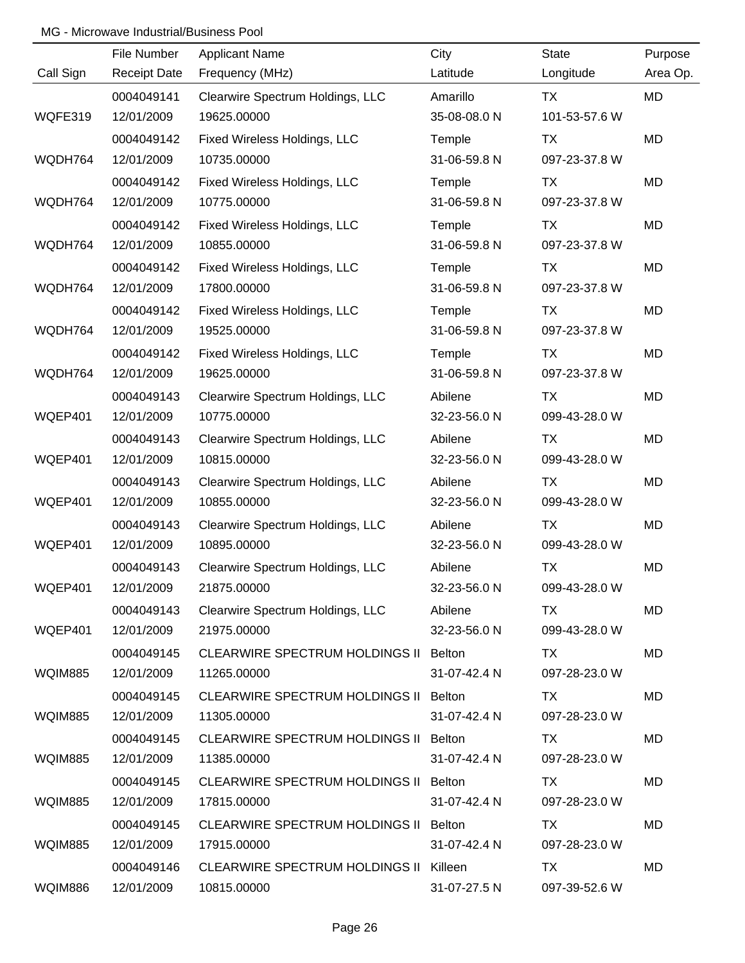|                | File Number         | <b>Applicant Name</b>                  | City         | <b>State</b>  | Purpose   |
|----------------|---------------------|----------------------------------------|--------------|---------------|-----------|
| Call Sign      | <b>Receipt Date</b> | Frequency (MHz)                        | Latitude     | Longitude     | Area Op.  |
|                | 0004049141          | Clearwire Spectrum Holdings, LLC       | Amarillo     | <b>TX</b>     | MD        |
| WQFE319        | 12/01/2009          | 19625.00000                            | 35-08-08.0 N | 101-53-57.6 W |           |
|                | 0004049142          | Fixed Wireless Holdings, LLC           | Temple       | TX            | MD        |
| WQDH764        | 12/01/2009          | 10735.00000                            | 31-06-59.8 N | 097-23-37.8 W |           |
|                | 0004049142          | Fixed Wireless Holdings, LLC           | Temple       | <b>TX</b>     | MD        |
| WQDH764        | 12/01/2009          | 10775.00000                            | 31-06-59.8 N | 097-23-37.8 W |           |
|                | 0004049142          | Fixed Wireless Holdings, LLC           | Temple       | <b>TX</b>     | MD        |
| WQDH764        | 12/01/2009          | 10855.00000                            | 31-06-59.8 N | 097-23-37.8 W |           |
|                | 0004049142          | Fixed Wireless Holdings, LLC           | Temple       | <b>TX</b>     | MD        |
| WQDH764        | 12/01/2009          | 17800.00000                            | 31-06-59.8 N | 097-23-37.8 W |           |
|                | 0004049142          | Fixed Wireless Holdings, LLC           | Temple       | <b>TX</b>     | MD        |
| WQDH764        | 12/01/2009          | 19525.00000                            | 31-06-59.8 N | 097-23-37.8 W |           |
|                | 0004049142          | Fixed Wireless Holdings, LLC           | Temple       | <b>TX</b>     | MD        |
| WQDH764        | 12/01/2009          | 19625.00000                            | 31-06-59.8 N | 097-23-37.8 W |           |
|                | 0004049143          | Clearwire Spectrum Holdings, LLC       | Abilene      | TX            | MD        |
| WQEP401        | 12/01/2009          | 10775.00000                            | 32-23-56.0 N | 099-43-28.0 W |           |
|                | 0004049143          | Clearwire Spectrum Holdings, LLC       | Abilene      | TX            | MD        |
| WQEP401        | 12/01/2009          | 10815.00000                            | 32-23-56.0 N | 099-43-28.0 W |           |
|                | 0004049143          | Clearwire Spectrum Holdings, LLC       | Abilene      | <b>TX</b>     | MD        |
| WQEP401        | 12/01/2009          | 10855.00000                            | 32-23-56.0 N | 099-43-28.0 W |           |
|                | 0004049143          | Clearwire Spectrum Holdings, LLC       | Abilene      | <b>TX</b>     | MD        |
| WQEP401        | 12/01/2009          | 10895.00000                            | 32-23-56.0 N | 099-43-28.0 W |           |
|                | 0004049143          | Clearwire Spectrum Holdings, LLC       | Abilene      | <b>TX</b>     | <b>MD</b> |
| WQEP401        | 12/01/2009          | 21875.00000                            | 32-23-56.0 N | 099-43-28.0 W |           |
|                | 0004049143          | Clearwire Spectrum Holdings, LLC       | Abilene      | TX.           | MD        |
| WQEP401        | 12/01/2009          | 21975.00000                            | 32-23-56.0 N | 099-43-28.0 W |           |
|                | 0004049145          | CLEARWIRE SPECTRUM HOLDINGS II Belton  |              | TX.           | MD        |
| <b>WQIM885</b> | 12/01/2009          | 11265.00000                            | 31-07-42.4 N | 097-28-23.0 W |           |
|                | 0004049145          | CLEARWIRE SPECTRUM HOLDINGS II Belton  |              | TX            | MD        |
| <b>WQIM885</b> | 12/01/2009          | 11305.00000                            | 31-07-42.4 N | 097-28-23.0 W |           |
|                | 0004049145          | CLEARWIRE SPECTRUM HOLDINGS II Belton  |              | TX            | MD        |
| <b>WQIM885</b> | 12/01/2009          | 11385.00000                            | 31-07-42.4 N | 097-28-23.0 W |           |
|                | 0004049145          | CLEARWIRE SPECTRUM HOLDINGS II Belton  |              | TX            | MD        |
| <b>WQIM885</b> | 12/01/2009          | 17815.00000                            | 31-07-42.4 N | 097-28-23.0 W |           |
|                | 0004049145          | CLEARWIRE SPECTRUM HOLDINGS II Belton  |              | TX            | MD        |
| <b>WQIM885</b> | 12/01/2009          | 17915.00000                            | 31-07-42.4 N | 097-28-23.0 W |           |
|                | 0004049146          | CLEARWIRE SPECTRUM HOLDINGS II Killeen |              | TX            | MD        |
| <b>WQIM886</b> | 12/01/2009          | 10815.00000                            | 31-07-27.5 N | 097-39-52.6 W |           |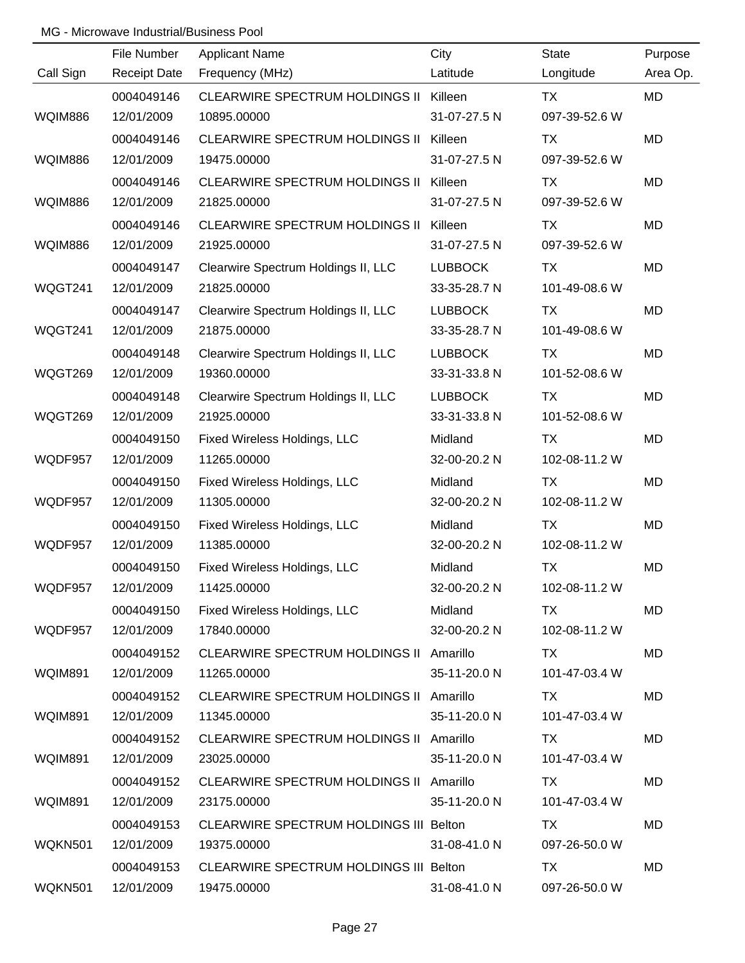|                | File Number         | <b>Applicant Name</b>                   | City           | <b>State</b>  | Purpose   |
|----------------|---------------------|-----------------------------------------|----------------|---------------|-----------|
| Call Sign      | <b>Receipt Date</b> | Frequency (MHz)                         | Latitude       | Longitude     | Area Op.  |
|                | 0004049146          | CLEARWIRE SPECTRUM HOLDINGS II Killeen  |                | <b>TX</b>     | MD        |
| <b>WQIM886</b> | 12/01/2009          | 10895.00000                             | 31-07-27.5 N   | 097-39-52.6 W |           |
|                | 0004049146          | <b>CLEARWIRE SPECTRUM HOLDINGS II</b>   | Killeen        | <b>TX</b>     | <b>MD</b> |
| <b>WQIM886</b> | 12/01/2009          | 19475.00000                             | 31-07-27.5 N   | 097-39-52.6 W |           |
|                | 0004049146          | <b>CLEARWIRE SPECTRUM HOLDINGS II</b>   | Killeen        | TX            | MD        |
| <b>WQIM886</b> | 12/01/2009          | 21825.00000                             | 31-07-27.5 N   | 097-39-52.6 W |           |
|                | 0004049146          | <b>CLEARWIRE SPECTRUM HOLDINGS II</b>   | Killeen        | TX            | MD        |
| <b>WQIM886</b> | 12/01/2009          | 21925.00000                             | 31-07-27.5 N   | 097-39-52.6 W |           |
|                | 0004049147          | Clearwire Spectrum Holdings II, LLC     | <b>LUBBOCK</b> | TX            | MD        |
| WQGT241        | 12/01/2009          | 21825.00000                             | 33-35-28.7 N   | 101-49-08.6 W |           |
|                | 0004049147          | Clearwire Spectrum Holdings II, LLC     | <b>LUBBOCK</b> | TX            | <b>MD</b> |
| WQGT241        | 12/01/2009          | 21875.00000                             | 33-35-28.7 N   | 101-49-08.6 W |           |
|                | 0004049148          | Clearwire Spectrum Holdings II, LLC     | <b>LUBBOCK</b> | TX            | MD        |
| WQGT269        | 12/01/2009          | 19360.00000                             | 33-31-33.8 N   | 101-52-08.6 W |           |
|                | 0004049148          | Clearwire Spectrum Holdings II, LLC     | <b>LUBBOCK</b> | <b>TX</b>     | MD        |
| WQGT269        | 12/01/2009          | 21925.00000                             | 33-31-33.8 N   | 101-52-08.6 W |           |
|                | 0004049150          | Fixed Wireless Holdings, LLC            | Midland        | <b>TX</b>     | MD        |
| WQDF957        | 12/01/2009          | 11265.00000                             | 32-00-20.2 N   | 102-08-11.2 W |           |
|                | 0004049150          | Fixed Wireless Holdings, LLC            | Midland        | <b>TX</b>     | MD        |
| WQDF957        | 12/01/2009          | 11305.00000                             | 32-00-20.2 N   | 102-08-11.2 W |           |
|                | 0004049150          | Fixed Wireless Holdings, LLC            | Midland        | <b>TX</b>     | MD        |
| WQDF957        | 12/01/2009          | 11385.00000                             | 32-00-20.2 N   | 102-08-11.2 W |           |
|                | 0004049150          | Fixed Wireless Holdings, LLC            | Midland        | <b>TX</b>     | MD        |
| WQDF957        | 12/01/2009          | 11425.00000                             | 32-00-20.2 N   | 102-08-11.2 W |           |
|                | 0004049150          | Fixed Wireless Holdings, LLC            | Midland        | TX.           | MD        |
| WQDF957        | 12/01/2009          | 17840.00000                             | 32-00-20.2 N   | 102-08-11.2 W |           |
|                | 0004049152          | CLEARWIRE SPECTRUM HOLDINGS II Amarillo |                | TX            | MD        |
| WQIM891        | 12/01/2009          | 11265.00000                             | 35-11-20.0 N   | 101-47-03.4 W |           |
|                | 0004049152          | CLEARWIRE SPECTRUM HOLDINGS II Amarillo |                | TX.           | MD        |
| WQIM891        | 12/01/2009          | 11345.00000                             | 35-11-20.0 N   | 101-47-03.4 W |           |
|                | 0004049152          | CLEARWIRE SPECTRUM HOLDINGS II Amarillo |                | TX.           | MD        |
| WQIM891        | 12/01/2009          | 23025.00000                             | 35-11-20.0 N   | 101-47-03.4 W |           |
|                | 0004049152          | CLEARWIRE SPECTRUM HOLDINGS II Amarillo |                | TX.           | MD        |
| WQIM891        | 12/01/2009          | 23175.00000                             | 35-11-20.0 N   | 101-47-03.4 W |           |
|                | 0004049153          | CLEARWIRE SPECTRUM HOLDINGS III Belton  |                | TX            | MD        |
| WQKN501        | 12/01/2009          | 19375.00000                             | 31-08-41.0 N   | 097-26-50.0 W |           |
|                | 0004049153          | CLEARWIRE SPECTRUM HOLDINGS III Belton  |                | <b>TX</b>     | MD        |
| WQKN501        | 12/01/2009          | 19475.00000                             | 31-08-41.0 N   | 097-26-50.0 W |           |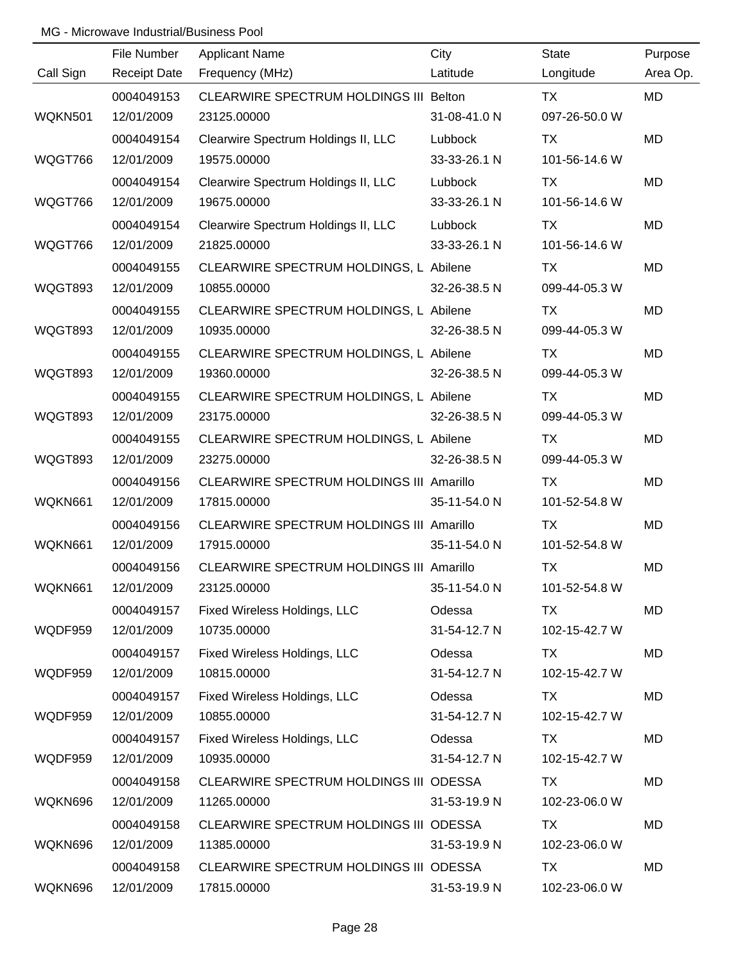|           | File Number         | <b>Applicant Name</b>                           | City         | <b>State</b>  | Purpose   |
|-----------|---------------------|-------------------------------------------------|--------------|---------------|-----------|
| Call Sign | <b>Receipt Date</b> | Frequency (MHz)                                 | Latitude     | Longitude     | Area Op.  |
|           | 0004049153          | CLEARWIRE SPECTRUM HOLDINGS III Belton          |              | <b>TX</b>     | <b>MD</b> |
| WQKN501   | 12/01/2009          | 23125.00000                                     | 31-08-41.0 N | 097-26-50.0 W |           |
|           | 0004049154          | Clearwire Spectrum Holdings II, LLC             | Lubbock      | <b>TX</b>     | MD        |
| WQGT766   | 12/01/2009          | 19575.00000                                     | 33-33-26.1 N | 101-56-14.6 W |           |
|           | 0004049154          | Clearwire Spectrum Holdings II, LLC             | Lubbock      | TX            | MD        |
| WQGT766   | 12/01/2009          | 19675.00000                                     | 33-33-26.1 N | 101-56-14.6 W |           |
|           | 0004049154          | Clearwire Spectrum Holdings II, LLC             | Lubbock      | TX            | MD        |
| WQGT766   | 12/01/2009          | 21825.00000                                     | 33-33-26.1 N | 101-56-14.6 W |           |
|           | 0004049155          | CLEARWIRE SPECTRUM HOLDINGS, L Abilene          |              | TX            | MD        |
| WQGT893   | 12/01/2009          | 10855.00000                                     | 32-26-38.5 N | 099-44-05.3 W |           |
|           | 0004049155          | CLEARWIRE SPECTRUM HOLDINGS, L Abilene          |              | TX            | <b>MD</b> |
| WQGT893   | 12/01/2009          | 10935.00000                                     | 32-26-38.5 N | 099-44-05.3 W |           |
|           | 0004049155          | CLEARWIRE SPECTRUM HOLDINGS, L Abilene          |              | TX            | MD        |
| WQGT893   | 12/01/2009          | 19360.00000                                     | 32-26-38.5 N | 099-44-05.3 W |           |
|           | 0004049155          | CLEARWIRE SPECTRUM HOLDINGS, L Abilene          |              | TX            | <b>MD</b> |
| WQGT893   | 12/01/2009          | 23175.00000                                     | 32-26-38.5 N | 099-44-05.3 W |           |
|           | 0004049155          | CLEARWIRE SPECTRUM HOLDINGS, L Abilene          |              | TX            | <b>MD</b> |
| WQGT893   | 12/01/2009          | 23275.00000                                     | 32-26-38.5 N | 099-44-05.3 W |           |
|           | 0004049156          | CLEARWIRE SPECTRUM HOLDINGS III Amarillo        |              | <b>TX</b>     | MD        |
| WQKN661   | 12/01/2009          | 17815.00000                                     | 35-11-54.0 N | 101-52-54.8 W |           |
|           | 0004049156          | <b>CLEARWIRE SPECTRUM HOLDINGS III Amarillo</b> |              | <b>TX</b>     | MD        |
| WQKN661   | 12/01/2009          | 17915.00000                                     | 35-11-54.0 N | 101-52-54.8 W |           |
|           | 0004049156          | <b>CLEARWIRE SPECTRUM HOLDINGS III Amarillo</b> |              | <b>TX</b>     | <b>MD</b> |
| WQKN661   | 12/01/2009          | 23125.00000                                     | 35-11-54.0 N | 101-52-54.8 W |           |
|           | 0004049157          | Fixed Wireless Holdings, LLC                    | Odessa       | TX            | MD        |
| WQDF959   | 12/01/2009          | 10735.00000                                     | 31-54-12.7 N | 102-15-42.7 W |           |
|           | 0004049157          | Fixed Wireless Holdings, LLC                    | Odessa       | TX            | MD        |
| WQDF959   | 12/01/2009          | 10815.00000                                     | 31-54-12.7 N | 102-15-42.7 W |           |
|           | 0004049157          | Fixed Wireless Holdings, LLC                    | Odessa       | TX            | MD        |
| WQDF959   | 12/01/2009          | 10855.00000                                     | 31-54-12.7 N | 102-15-42.7 W |           |
|           | 0004049157          | Fixed Wireless Holdings, LLC                    | Odessa       | TX            | MD        |
| WQDF959   | 12/01/2009          | 10935.00000                                     | 31-54-12.7 N | 102-15-42.7 W |           |
|           | 0004049158          | CLEARWIRE SPECTRUM HOLDINGS III ODESSA          |              | TX            | MD        |
| WQKN696   | 12/01/2009          | 11265.00000                                     | 31-53-19.9 N | 102-23-06.0 W |           |
|           | 0004049158          | CLEARWIRE SPECTRUM HOLDINGS III ODESSA          |              | <b>TX</b>     | MD        |
| WQKN696   | 12/01/2009          | 11385.00000                                     | 31-53-19.9 N | 102-23-06.0 W |           |
|           | 0004049158          | CLEARWIRE SPECTRUM HOLDINGS III ODESSA          |              | <b>TX</b>     | MD        |
| WQKN696   | 12/01/2009          | 17815.00000                                     | 31-53-19.9 N | 102-23-06.0 W |           |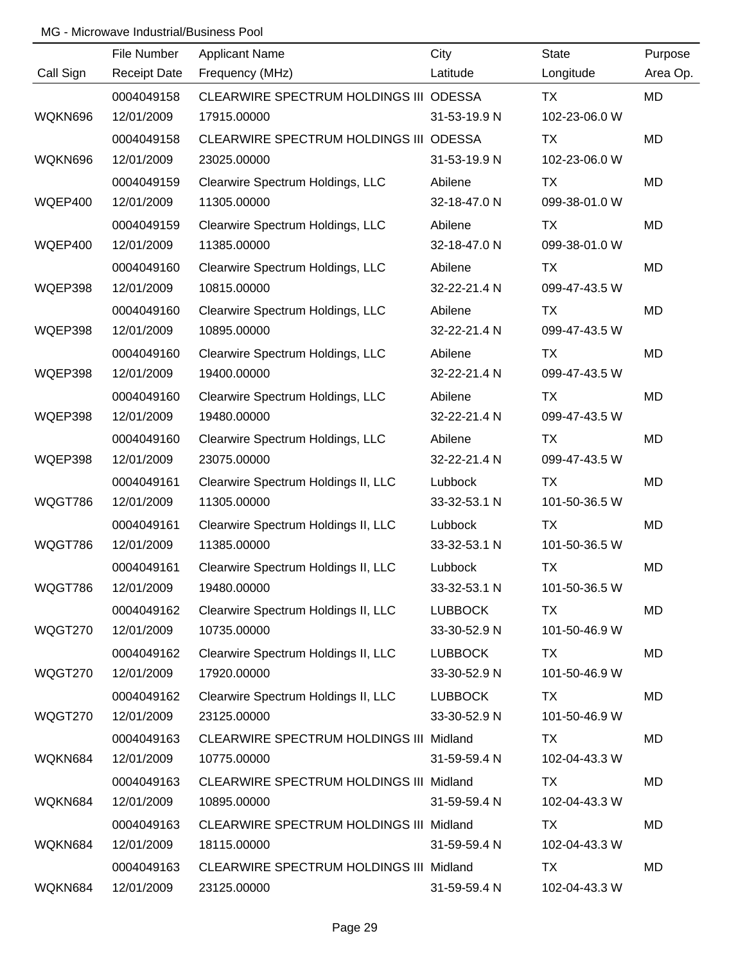|           | File Number         | <b>Applicant Name</b>                          | City           | <b>State</b>  | Purpose   |
|-----------|---------------------|------------------------------------------------|----------------|---------------|-----------|
| Call Sign | <b>Receipt Date</b> | Frequency (MHz)                                | Latitude       | Longitude     | Area Op.  |
|           | 0004049158          | CLEARWIRE SPECTRUM HOLDINGS III ODESSA         |                | <b>TX</b>     | <b>MD</b> |
| WQKN696   | 12/01/2009          | 17915.00000                                    | 31-53-19.9 N   | 102-23-06.0 W |           |
|           | 0004049158          | CLEARWIRE SPECTRUM HOLDINGS III ODESSA         |                | <b>TX</b>     | <b>MD</b> |
| WQKN696   | 12/01/2009          | 23025.00000                                    | 31-53-19.9 N   | 102-23-06.0 W |           |
|           | 0004049159          | Clearwire Spectrum Holdings, LLC               | Abilene        | <b>TX</b>     | MD        |
| WQEP400   | 12/01/2009          | 11305.00000                                    | 32-18-47.0 N   | 099-38-01.0 W |           |
|           | 0004049159          | Clearwire Spectrum Holdings, LLC               | Abilene        | <b>TX</b>     | MD        |
| WQEP400   | 12/01/2009          | 11385.00000                                    | 32-18-47.0 N   | 099-38-01.0 W |           |
|           | 0004049160          | Clearwire Spectrum Holdings, LLC               | Abilene        | TX            | MD        |
| WQEP398   | 12/01/2009          | 10815.00000                                    | 32-22-21.4 N   | 099-47-43.5 W |           |
|           | 0004049160          | Clearwire Spectrum Holdings, LLC               | Abilene        | TX            | MD        |
| WQEP398   | 12/01/2009          | 10895.00000                                    | 32-22-21.4 N   | 099-47-43.5 W |           |
|           | 0004049160          | Clearwire Spectrum Holdings, LLC               | Abilene        | TX            | MD        |
| WQEP398   | 12/01/2009          | 19400.00000                                    | 32-22-21.4 N   | 099-47-43.5 W |           |
|           | 0004049160          | Clearwire Spectrum Holdings, LLC               | Abilene        | TX            | MD        |
| WQEP398   | 12/01/2009          | 19480.00000                                    | 32-22-21.4 N   | 099-47-43.5 W |           |
|           | 0004049160          | Clearwire Spectrum Holdings, LLC               | Abilene        | TX            | MD        |
| WQEP398   | 12/01/2009          | 23075.00000                                    | 32-22-21.4 N   | 099-47-43.5 W |           |
|           | 0004049161          | Clearwire Spectrum Holdings II, LLC            | Lubbock        | TX            | MD        |
| WQGT786   | 12/01/2009          | 11305.00000                                    | 33-32-53.1 N   | 101-50-36.5 W |           |
|           | 0004049161          | Clearwire Spectrum Holdings II, LLC            | Lubbock        | <b>TX</b>     | MD        |
| WQGT786   | 12/01/2009          | 11385.00000                                    | 33-32-53.1 N   | 101-50-36.5 W |           |
|           | 0004049161          | Clearwire Spectrum Holdings II, LLC            | Lubbock        | <b>TX</b>     | <b>MD</b> |
| WQGT786   | 12/01/2009          | 19480.00000                                    | 33-32-53.1 N   | 101-50-36.5 W |           |
|           | 0004049162          | Clearwire Spectrum Holdings II, LLC            | <b>LUBBOCK</b> | TX            | MD        |
| WQGT270   | 12/01/2009          | 10735.00000                                    | 33-30-52.9 N   | 101-50-46.9 W |           |
|           | 0004049162          | Clearwire Spectrum Holdings II, LLC            | <b>LUBBOCK</b> | TX            | MD        |
| WQGT270   | 12/01/2009          | 17920.00000                                    | 33-30-52.9 N   | 101-50-46.9 W |           |
|           | 0004049162          | Clearwire Spectrum Holdings II, LLC            | <b>LUBBOCK</b> | TX            | MD        |
| WQGT270   | 12/01/2009          | 23125.00000                                    | 33-30-52.9 N   | 101-50-46.9 W |           |
|           | 0004049163          | CLEARWIRE SPECTRUM HOLDINGS III Midland        |                | TX            | MD        |
| WQKN684   | 12/01/2009          | 10775.00000                                    | 31-59-59.4 N   | 102-04-43.3 W |           |
|           | 0004049163          | CLEARWIRE SPECTRUM HOLDINGS III Midland        |                | TX            | MD        |
| WQKN684   | 12/01/2009          | 10895.00000                                    | 31-59-59.4 N   | 102-04-43.3 W |           |
|           | 0004049163          | CLEARWIRE SPECTRUM HOLDINGS III Midland        |                | <b>TX</b>     | MD        |
| WQKN684   | 12/01/2009          | 18115.00000                                    | 31-59-59.4 N   | 102-04-43.3 W |           |
|           | 0004049163          | <b>CLEARWIRE SPECTRUM HOLDINGS III Midland</b> |                | TX            | MD        |
| WQKN684   | 12/01/2009          | 23125.00000                                    | 31-59-59.4 N   | 102-04-43.3 W |           |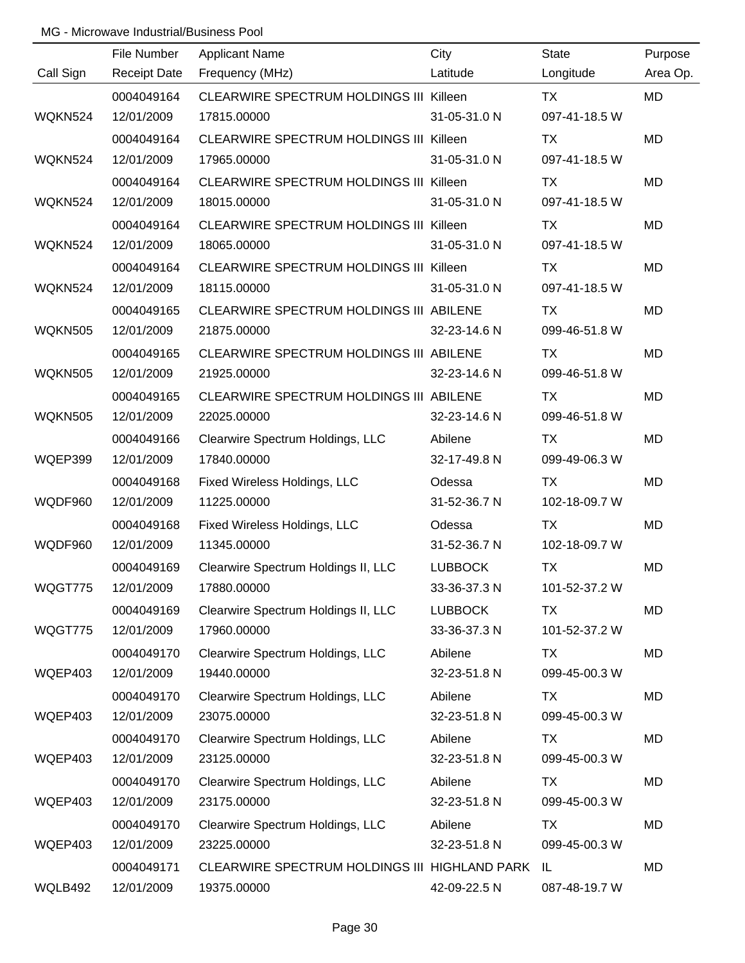|                | File Number         | <b>Applicant Name</b>                          | City           | <b>State</b>  | Purpose   |
|----------------|---------------------|------------------------------------------------|----------------|---------------|-----------|
| Call Sign      | <b>Receipt Date</b> | Frequency (MHz)                                | Latitude       | Longitude     | Area Op.  |
|                | 0004049164          | <b>CLEARWIRE SPECTRUM HOLDINGS III Killeen</b> |                | <b>TX</b>     | MD        |
| WQKN524        | 12/01/2009          | 17815.00000                                    | 31-05-31.0 N   | 097-41-18.5 W |           |
|                | 0004049164          | CLEARWIRE SPECTRUM HOLDINGS III Killeen        |                | TX            | MD        |
| WQKN524        | 12/01/2009          | 17965.00000                                    | 31-05-31.0 N   | 097-41-18.5 W |           |
|                | 0004049164          | CLEARWIRE SPECTRUM HOLDINGS III Killeen        |                | TX            | MD        |
| WQKN524        | 12/01/2009          | 18015.00000                                    | 31-05-31.0 N   | 097-41-18.5 W |           |
|                | 0004049164          | CLEARWIRE SPECTRUM HOLDINGS III Killeen        |                | TX            | MD        |
| WQKN524        | 12/01/2009          | 18065.00000                                    | 31-05-31.0 N   | 097-41-18.5 W |           |
|                | 0004049164          | CLEARWIRE SPECTRUM HOLDINGS III Killeen        |                | TX            | <b>MD</b> |
| WQKN524        | 12/01/2009          | 18115.00000                                    | 31-05-31.0 N   | 097-41-18.5 W |           |
|                | 0004049165          | CLEARWIRE SPECTRUM HOLDINGS III ABILENE        |                | TX            | MD        |
| WQKN505        | 12/01/2009          | 21875.00000                                    | 32-23-14.6 N   | 099-46-51.8 W |           |
|                | 0004049165          | CLEARWIRE SPECTRUM HOLDINGS III ABILENE        |                | TX            | <b>MD</b> |
| <b>WQKN505</b> | 12/01/2009          | 21925.00000                                    | 32-23-14.6 N   | 099-46-51.8 W |           |
|                | 0004049165          | CLEARWIRE SPECTRUM HOLDINGS III ABILENE        |                | TX            | <b>MD</b> |
| <b>WQKN505</b> | 12/01/2009          | 22025.00000                                    | 32-23-14.6 N   | 099-46-51.8 W |           |
|                | 0004049166          | Clearwire Spectrum Holdings, LLC               | Abilene        | TX            | <b>MD</b> |
| WQEP399        | 12/01/2009          | 17840.00000                                    | 32-17-49.8 N   | 099-49-06.3 W |           |
|                | 0004049168          | Fixed Wireless Holdings, LLC                   | Odessa         | TX            | <b>MD</b> |
| WQDF960        | 12/01/2009          | 11225.00000                                    | 31-52-36.7 N   | 102-18-09.7 W |           |
|                | 0004049168          | Fixed Wireless Holdings, LLC                   | Odessa         | <b>TX</b>     | MD        |
| WQDF960        | 12/01/2009          | 11345.00000                                    | 31-52-36.7 N   | 102-18-09.7 W |           |
|                | 0004049169          | Clearwire Spectrum Holdings II, LLC            | <b>LUBBOCK</b> | <b>TX</b>     | <b>MD</b> |
| WQGT775        | 12/01/2009          | 17880.00000                                    | 33-36-37.3 N   | 101-52-37.2 W |           |
|                | 0004049169          | Clearwire Spectrum Holdings II, LLC            | <b>LUBBOCK</b> | TX            | MD        |
| WQGT775        | 12/01/2009          | 17960.00000                                    | 33-36-37.3 N   | 101-52-37.2 W |           |
|                | 0004049170          | Clearwire Spectrum Holdings, LLC               | Abilene        | TX            | MD        |
| WQEP403        | 12/01/2009          | 19440.00000                                    | 32-23-51.8 N   | 099-45-00.3 W |           |
|                | 0004049170          | Clearwire Spectrum Holdings, LLC               | Abilene        | <b>TX</b>     | MD        |
| WQEP403        | 12/01/2009          | 23075.00000                                    | 32-23-51.8 N   | 099-45-00.3 W |           |
|                | 0004049170          | Clearwire Spectrum Holdings, LLC               | Abilene        | TX            | MD        |
| WQEP403        | 12/01/2009          | 23125.00000                                    | 32-23-51.8 N   | 099-45-00.3 W |           |
|                | 0004049170          | Clearwire Spectrum Holdings, LLC               | Abilene        | TX            | MD        |
| WQEP403        | 12/01/2009          | 23175.00000                                    | 32-23-51.8 N   | 099-45-00.3 W |           |
|                | 0004049170          | Clearwire Spectrum Holdings, LLC               | Abilene        | TX            | MD        |
| WQEP403        | 12/01/2009          | 23225.00000                                    | 32-23-51.8 N   | 099-45-00.3 W |           |
|                | 0004049171          | CLEARWIRE SPECTRUM HOLDINGS III HIGHLAND PARK  |                | IL            | MD        |
| WQLB492        | 12/01/2009          | 19375.00000                                    | 42-09-22.5 N   | 087-48-19.7 W |           |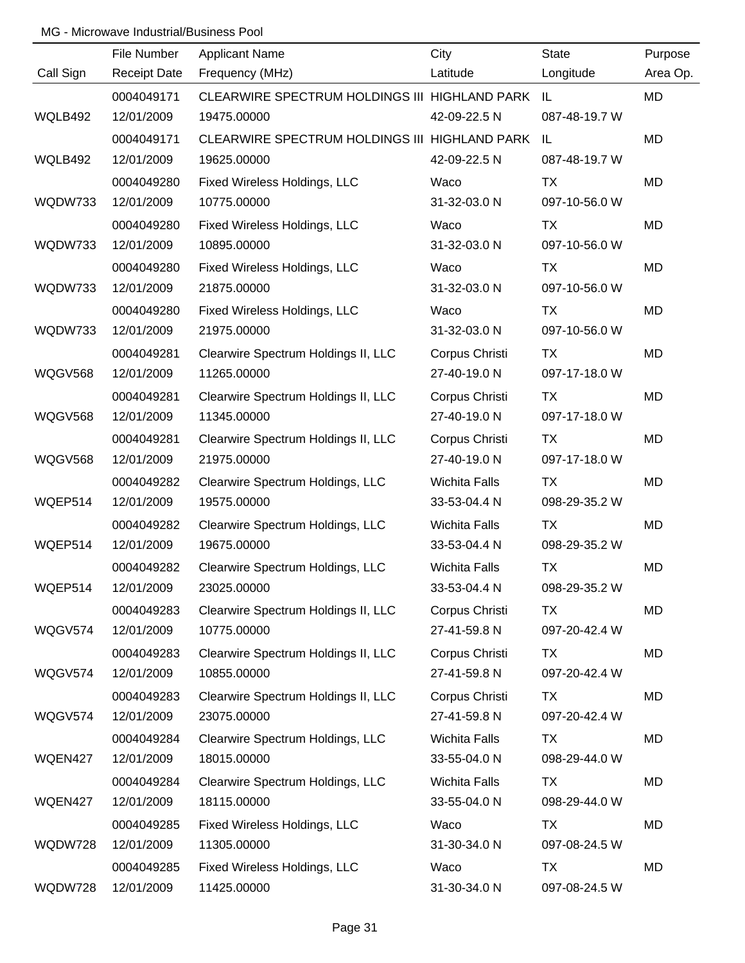|                | File Number         | <b>Applicant Name</b>                            | City                 | <b>State</b>  | Purpose   |
|----------------|---------------------|--------------------------------------------------|----------------------|---------------|-----------|
| Call Sign      | <b>Receipt Date</b> | Frequency (MHz)                                  | Latitude             | Longitude     | Area Op.  |
|                | 0004049171          | CLEARWIRE SPECTRUM HOLDINGS III HIGHLAND PARK IL |                      |               | <b>MD</b> |
| WQLB492        | 12/01/2009          | 19475.00000                                      | 42-09-22.5 N         | 087-48-19.7 W |           |
|                | 0004049171          | CLEARWIRE SPECTRUM HOLDINGS III HIGHLAND PARK    |                      | - IL          | <b>MD</b> |
| WQLB492        | 12/01/2009          | 19625.00000                                      | 42-09-22.5 N         | 087-48-19.7 W |           |
|                | 0004049280          | Fixed Wireless Holdings, LLC                     | Waco                 | <b>TX</b>     | <b>MD</b> |
| WQDW733        | 12/01/2009          | 10775.00000                                      | 31-32-03.0 N         | 097-10-56.0 W |           |
|                | 0004049280          | Fixed Wireless Holdings, LLC                     | Waco                 | <b>TX</b>     | <b>MD</b> |
| WQDW733        | 12/01/2009          | 10895.00000                                      | 31-32-03.0 N         | 097-10-56.0 W |           |
|                | 0004049280          | Fixed Wireless Holdings, LLC                     | Waco                 | <b>TX</b>     | <b>MD</b> |
| WQDW733        | 12/01/2009          | 21875.00000                                      | 31-32-03.0 N         | 097-10-56.0 W |           |
|                | 0004049280          | Fixed Wireless Holdings, LLC                     | Waco                 | <b>TX</b>     | <b>MD</b> |
| WQDW733        | 12/01/2009          | 21975.00000                                      | 31-32-03.0 N         | 097-10-56.0 W |           |
|                | 0004049281          | Clearwire Spectrum Holdings II, LLC              | Corpus Christi       | TX            | <b>MD</b> |
| WQGV568        | 12/01/2009          | 11265.00000                                      | 27-40-19.0 N         | 097-17-18.0 W |           |
|                | 0004049281          | Clearwire Spectrum Holdings II, LLC              | Corpus Christi       | <b>TX</b>     | <b>MD</b> |
| WQGV568        | 12/01/2009          | 11345.00000                                      | 27-40-19.0 N         | 097-17-18.0 W |           |
|                | 0004049281          | Clearwire Spectrum Holdings II, LLC              | Corpus Christi       | TX            | <b>MD</b> |
| <b>WQGV568</b> | 12/01/2009          | 21975.00000                                      | 27-40-19.0 N         | 097-17-18.0 W |           |
|                | 0004049282          | Clearwire Spectrum Holdings, LLC                 | <b>Wichita Falls</b> | TX            | <b>MD</b> |
| WQEP514        | 12/01/2009          | 19575.00000                                      | 33-53-04.4 N         | 098-29-35.2 W |           |
|                | 0004049282          | Clearwire Spectrum Holdings, LLC                 | Wichita Falls        | <b>TX</b>     | <b>MD</b> |
| WQEP514        | 12/01/2009          | 19675.00000                                      | 33-53-04.4 N         | 098-29-35.2 W |           |
|                | 0004049282          | Clearwire Spectrum Holdings, LLC                 | Wichita Falls        | <b>TX</b>     | <b>MD</b> |
| WQEP514        | 12/01/2009          | 23025.00000                                      | 33-53-04.4 N         | 098-29-35.2 W |           |
|                | 0004049283          | Clearwire Spectrum Holdings II, LLC              | Corpus Christi       | <b>TX</b>     | <b>MD</b> |
| WQGV574        | 12/01/2009          | 10775.00000                                      | 27-41-59.8 N         | 097-20-42.4 W |           |
|                | 0004049283          | Clearwire Spectrum Holdings II, LLC              | Corpus Christi       | <b>TX</b>     | <b>MD</b> |
| WQGV574        | 12/01/2009          | 10855.00000                                      | 27-41-59.8 N         | 097-20-42.4 W |           |
|                | 0004049283          | Clearwire Spectrum Holdings II, LLC              | Corpus Christi       | TX            | <b>MD</b> |
| WQGV574        | 12/01/2009          | 23075.00000                                      | 27-41-59.8 N         | 097-20-42.4 W |           |
|                | 0004049284          | Clearwire Spectrum Holdings, LLC                 | <b>Wichita Falls</b> | <b>TX</b>     | <b>MD</b> |
| WQEN427        | 12/01/2009          | 18015.00000                                      | 33-55-04.0 N         | 098-29-44.0 W |           |
|                | 0004049284          | Clearwire Spectrum Holdings, LLC                 | <b>Wichita Falls</b> | TX            | <b>MD</b> |
| WQEN427        | 12/01/2009          | 18115.00000                                      | 33-55-04.0 N         | 098-29-44.0 W |           |
|                | 0004049285          | Fixed Wireless Holdings, LLC                     | Waco                 | TX            | <b>MD</b> |
| WQDW728        | 12/01/2009          | 11305.00000                                      | 31-30-34.0 N         | 097-08-24.5 W |           |
|                | 0004049285          | Fixed Wireless Holdings, LLC                     | Waco                 | TX            | <b>MD</b> |
| WQDW728        | 12/01/2009          | 11425.00000                                      | 31-30-34.0 N         | 097-08-24.5 W |           |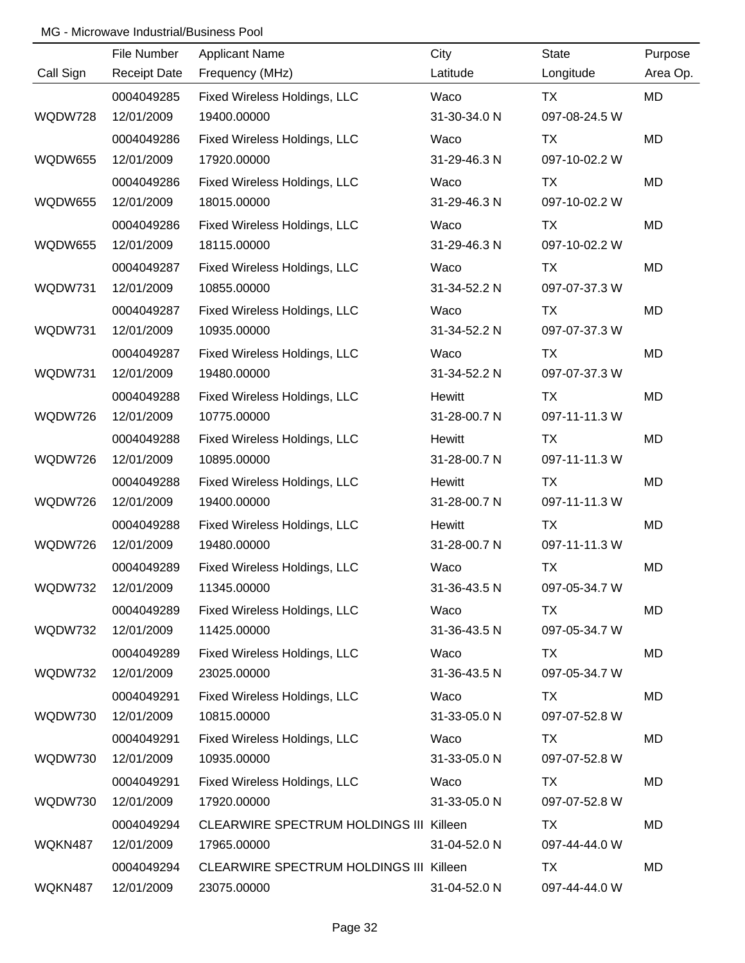|                | File Number         | <b>Applicant Name</b>                          | City         | <b>State</b>  | Purpose   |
|----------------|---------------------|------------------------------------------------|--------------|---------------|-----------|
| Call Sign      | <b>Receipt Date</b> | Frequency (MHz)                                | Latitude     | Longitude     | Area Op.  |
|                | 0004049285          | Fixed Wireless Holdings, LLC                   | Waco         | <b>TX</b>     | MD        |
| WQDW728        | 12/01/2009          | 19400.00000                                    | 31-30-34.0 N | 097-08-24.5 W |           |
|                | 0004049286          | Fixed Wireless Holdings, LLC                   | Waco         | <b>TX</b>     | <b>MD</b> |
| <b>WQDW655</b> | 12/01/2009          | 17920.00000                                    | 31-29-46.3 N | 097-10-02.2 W |           |
|                | 0004049286          | Fixed Wireless Holdings, LLC                   | Waco         | <b>TX</b>     | MD        |
| WQDW655        | 12/01/2009          | 18015.00000                                    | 31-29-46.3 N | 097-10-02.2 W |           |
|                | 0004049286          | Fixed Wireless Holdings, LLC                   | Waco         | TX            | MD        |
| WQDW655        | 12/01/2009          | 18115.00000                                    | 31-29-46.3 N | 097-10-02.2 W |           |
|                | 0004049287          | Fixed Wireless Holdings, LLC                   | Waco         | TX            | MD        |
| WQDW731        | 12/01/2009          | 10855.00000                                    | 31-34-52.2 N | 097-07-37.3 W |           |
|                | 0004049287          | Fixed Wireless Holdings, LLC                   | Waco         | TX            | MD        |
| WQDW731        | 12/01/2009          | 10935.00000                                    | 31-34-52.2 N | 097-07-37.3 W |           |
|                | 0004049287          | Fixed Wireless Holdings, LLC                   | Waco         | TX            | MD        |
| WQDW731        | 12/01/2009          | 19480.00000                                    | 31-34-52.2 N | 097-07-37.3 W |           |
|                | 0004049288          | Fixed Wireless Holdings, LLC                   | Hewitt       | TX            | MD        |
| WQDW726        | 12/01/2009          | 10775.00000                                    | 31-28-00.7 N | 097-11-11.3 W |           |
|                | 0004049288          | Fixed Wireless Holdings, LLC                   | Hewitt       | <b>TX</b>     | MD        |
| WQDW726        | 12/01/2009          | 10895.00000                                    | 31-28-00.7 N | 097-11-11.3 W |           |
|                | 0004049288          | Fixed Wireless Holdings, LLC                   | Hewitt       | <b>TX</b>     | MD        |
| WQDW726        | 12/01/2009          | 19400.00000                                    | 31-28-00.7 N | 097-11-11.3 W |           |
|                | 0004049288          | Fixed Wireless Holdings, LLC                   | Hewitt       | <b>TX</b>     | MD        |
| WQDW726        | 12/01/2009          | 19480.00000                                    | 31-28-00.7 N | 097-11-11.3 W |           |
|                | 0004049289          | Fixed Wireless Holdings, LLC                   | Waco         | <b>TX</b>     | MD        |
| WQDW732        | 12/01/2009          | 11345.00000                                    | 31-36-43.5 N | 097-05-34.7 W |           |
|                | 0004049289          | Fixed Wireless Holdings, LLC                   | Waco         | TX            | MD        |
| WQDW732        | 12/01/2009          | 11425.00000                                    | 31-36-43.5 N | 097-05-34.7 W |           |
|                | 0004049289          | Fixed Wireless Holdings, LLC                   | Waco         | TX            | MD        |
| WQDW732        | 12/01/2009          | 23025.00000                                    | 31-36-43.5 N | 097-05-34.7 W |           |
|                | 0004049291          | Fixed Wireless Holdings, LLC                   | Waco         | TX            | MD        |
| WQDW730        | 12/01/2009          | 10815.00000                                    | 31-33-05.0 N | 097-07-52.8 W |           |
|                | 0004049291          | Fixed Wireless Holdings, LLC                   | Waco         | TX            | MD        |
| WQDW730        | 12/01/2009          | 10935.00000                                    | 31-33-05.0 N | 097-07-52.8 W |           |
|                | 0004049291          | Fixed Wireless Holdings, LLC                   | Waco         | TX            | MD        |
| WQDW730        | 12/01/2009          | 17920.00000                                    | 31-33-05.0 N | 097-07-52.8 W |           |
|                | 0004049294          | <b>CLEARWIRE SPECTRUM HOLDINGS III Killeen</b> |              | TX            | MD        |
| WQKN487        | 12/01/2009          | 17965.00000                                    | 31-04-52.0 N | 097-44-44.0 W |           |
|                | 0004049294          | <b>CLEARWIRE SPECTRUM HOLDINGS III Killeen</b> |              | TX            | MD        |
| WQKN487        | 12/01/2009          | 23075.00000                                    | 31-04-52.0 N | 097-44-44.0 W |           |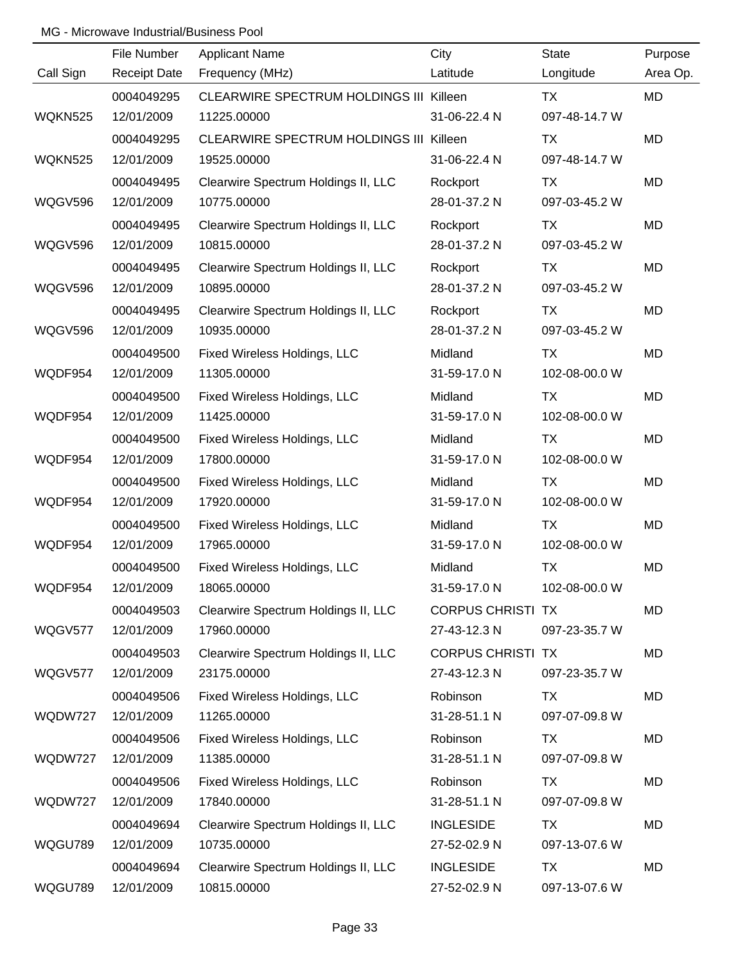|                | File Number         | <b>Applicant Name</b>                          | City                     | <b>State</b>  | Purpose   |
|----------------|---------------------|------------------------------------------------|--------------------------|---------------|-----------|
| Call Sign      | <b>Receipt Date</b> | Frequency (MHz)                                | Latitude                 | Longitude     | Area Op.  |
|                | 0004049295          | <b>CLEARWIRE SPECTRUM HOLDINGS III Killeen</b> |                          | <b>TX</b>     | MD        |
| <b>WQKN525</b> | 12/01/2009          | 11225.00000                                    | 31-06-22.4 N             | 097-48-14.7 W |           |
|                | 0004049295          | CLEARWIRE SPECTRUM HOLDINGS III Killeen        |                          | TX            | MD        |
| <b>WQKN525</b> | 12/01/2009          | 19525.00000                                    | 31-06-22.4 N             | 097-48-14.7 W |           |
|                | 0004049495          | Clearwire Spectrum Holdings II, LLC            | Rockport                 | TX            | MD        |
| WQGV596        | 12/01/2009          | 10775.00000                                    | 28-01-37.2 N             | 097-03-45.2 W |           |
|                | 0004049495          | Clearwire Spectrum Holdings II, LLC            | Rockport                 | <b>TX</b>     | MD        |
| WQGV596        | 12/01/2009          | 10815.00000                                    | 28-01-37.2 N             | 097-03-45.2 W |           |
|                | 0004049495          | Clearwire Spectrum Holdings II, LLC            | Rockport                 | TX            | MD        |
| WQGV596        | 12/01/2009          | 10895.00000                                    | 28-01-37.2 N             | 097-03-45.2 W |           |
|                | 0004049495          | Clearwire Spectrum Holdings II, LLC            | Rockport                 | <b>TX</b>     | MD        |
| <b>WQGV596</b> | 12/01/2009          | 10935.00000                                    | 28-01-37.2 N             | 097-03-45.2 W |           |
|                | 0004049500          | Fixed Wireless Holdings, LLC                   | Midland                  | TX            | MD        |
| WQDF954        | 12/01/2009          | 11305.00000                                    | 31-59-17.0 N             | 102-08-00.0 W |           |
|                | 0004049500          | Fixed Wireless Holdings, LLC                   | Midland                  | TX            | MD        |
| WQDF954        | 12/01/2009          | 11425.00000                                    | 31-59-17.0 N             | 102-08-00.0 W |           |
|                | 0004049500          | Fixed Wireless Holdings, LLC                   | Midland                  | <b>TX</b>     | <b>MD</b> |
| WQDF954        | 12/01/2009          | 17800.00000                                    | 31-59-17.0 N             | 102-08-00.0 W |           |
|                | 0004049500          | Fixed Wireless Holdings, LLC                   | Midland                  | TX            | MD        |
| WQDF954        | 12/01/2009          | 17920.00000                                    | 31-59-17.0 N             | 102-08-00.0 W |           |
|                | 0004049500          | Fixed Wireless Holdings, LLC                   | Midland                  | <b>TX</b>     | MD        |
| WQDF954        | 12/01/2009          | 17965.00000                                    | 31-59-17.0 N             | 102-08-00.0 W |           |
|                | 0004049500          | Fixed Wireless Holdings, LLC                   | Midland                  | <b>TX</b>     | <b>MD</b> |
| WQDF954        | 12/01/2009          | 18065.00000                                    | 31-59-17.0 N             | 102-08-00.0 W |           |
|                | 0004049503          | Clearwire Spectrum Holdings II, LLC            | <b>CORPUS CHRISTI TX</b> |               | MD        |
| WQGV577        | 12/01/2009          | 17960.00000                                    | 27-43-12.3 N             | 097-23-35.7 W |           |
|                | 0004049503          | Clearwire Spectrum Holdings II, LLC            | <b>CORPUS CHRISTI TX</b> |               | MD        |
| WQGV577        | 12/01/2009          | 23175.00000                                    | 27-43-12.3 N             | 097-23-35.7 W |           |
|                | 0004049506          | Fixed Wireless Holdings, LLC                   | Robinson                 | <b>TX</b>     | MD        |
| WQDW727        | 12/01/2009          | 11265.00000                                    | 31-28-51.1 N             | 097-07-09.8 W |           |
|                | 0004049506          | Fixed Wireless Holdings, LLC                   | Robinson                 | TX            | MD        |
| WQDW727        | 12/01/2009          | 11385.00000                                    | 31-28-51.1 N             | 097-07-09.8 W |           |
|                | 0004049506          | Fixed Wireless Holdings, LLC                   | Robinson                 | TX            | MD        |
| WQDW727        | 12/01/2009          | 17840.00000                                    | 31-28-51.1 N             | 097-07-09.8 W |           |
|                | 0004049694          | Clearwire Spectrum Holdings II, LLC            | <b>INGLESIDE</b>         | <b>TX</b>     | MD        |
| WQGU789        | 12/01/2009          | 10735.00000                                    | 27-52-02.9 N             | 097-13-07.6 W |           |
|                | 0004049694          | Clearwire Spectrum Holdings II, LLC            | <b>INGLESIDE</b>         | <b>TX</b>     | MD        |
| WQGU789        | 12/01/2009          | 10815.00000                                    | 27-52-02.9 N             | 097-13-07.6 W |           |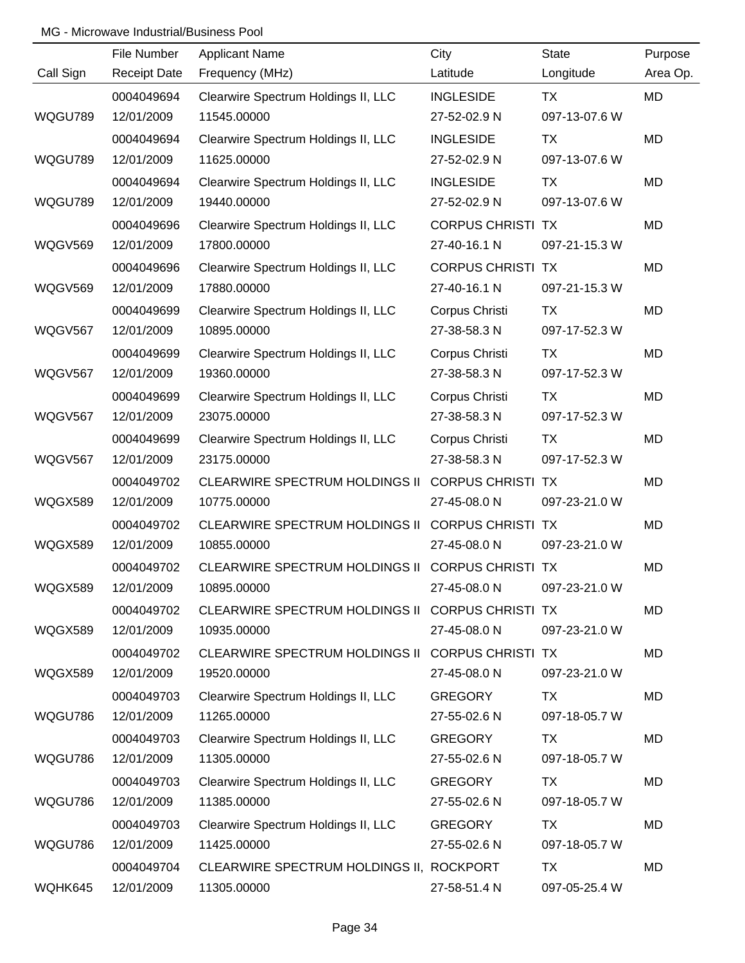|                | File Number         | <b>Applicant Name</b>                            | City                     | <b>State</b>  | Purpose   |
|----------------|---------------------|--------------------------------------------------|--------------------------|---------------|-----------|
| Call Sign      | <b>Receipt Date</b> | Frequency (MHz)                                  | Latitude                 | Longitude     | Area Op.  |
|                | 0004049694          | Clearwire Spectrum Holdings II, LLC              | <b>INGLESIDE</b>         | <b>TX</b>     | <b>MD</b> |
| WQGU789        | 12/01/2009          | 11545.00000                                      | 27-52-02.9 N             | 097-13-07.6 W |           |
|                | 0004049694          | Clearwire Spectrum Holdings II, LLC              | <b>INGLESIDE</b>         | TX            | <b>MD</b> |
| WQGU789        | 12/01/2009          | 11625.00000                                      | 27-52-02.9 N             | 097-13-07.6 W |           |
|                | 0004049694          | Clearwire Spectrum Holdings II, LLC              | <b>INGLESIDE</b>         | TX            | <b>MD</b> |
| WQGU789        | 12/01/2009          | 19440.00000                                      | 27-52-02.9 N             | 097-13-07.6 W |           |
|                | 0004049696          | Clearwire Spectrum Holdings II, LLC              | <b>CORPUS CHRISTI TX</b> |               | MD        |
| WQGV569        | 12/01/2009          | 17800.00000                                      | 27-40-16.1 N             | 097-21-15.3 W |           |
|                | 0004049696          | Clearwire Spectrum Holdings II, LLC              | <b>CORPUS CHRISTI TX</b> |               | <b>MD</b> |
| WQGV569        | 12/01/2009          | 17880.00000                                      | 27-40-16.1 N             | 097-21-15.3 W |           |
|                | 0004049699          | Clearwire Spectrum Holdings II, LLC              | Corpus Christi           | <b>TX</b>     | MD        |
| <b>WQGV567</b> | 12/01/2009          | 10895.00000                                      | 27-38-58.3 N             | 097-17-52.3 W |           |
|                | 0004049699          | Clearwire Spectrum Holdings II, LLC              | Corpus Christi           | TX            | MD        |
| WQGV567        | 12/01/2009          | 19360.00000                                      | 27-38-58.3 N             | 097-17-52.3 W |           |
|                | 0004049699          | Clearwire Spectrum Holdings II, LLC              | Corpus Christi           | TX            | MD        |
| <b>WQGV567</b> | 12/01/2009          | 23075.00000                                      | 27-38-58.3 N             | 097-17-52.3 W |           |
|                | 0004049699          | Clearwire Spectrum Holdings II, LLC              | Corpus Christi           | TX            | MD        |
| <b>WQGV567</b> | 12/01/2009          | 23175.00000                                      | 27-38-58.3 N             | 097-17-52.3 W |           |
|                | 0004049702          | <b>CLEARWIRE SPECTRUM HOLDINGS II</b>            | <b>CORPUS CHRISTI TX</b> |               | MD        |
| WQGX589        | 12/01/2009          | 10775.00000                                      | 27-45-08.0 N             | 097-23-21.0 W |           |
|                | 0004049702          | CLEARWIRE SPECTRUM HOLDINGS II                   | <b>CORPUS CHRISTI TX</b> |               | MD        |
| WQGX589        | 12/01/2009          | 10855.00000                                      | 27-45-08.0 N             | 097-23-21.0 W |           |
|                | 0004049702          | CLEARWIRE SPECTRUM HOLDINGS II CORPUS CHRISTI TX |                          |               | <b>MD</b> |
| WQGX589        | 12/01/2009          | 10895.00000                                      | 27-45-08.0 N             | 097-23-21.0 W |           |
|                | 0004049702          | CLEARWIRE SPECTRUM HOLDINGS II CORPUS CHRISTI TX |                          |               | MD        |
| WQGX589        | 12/01/2009          | 10935.00000                                      | 27-45-08.0 N             | 097-23-21.0 W |           |
|                | 0004049702          | CLEARWIRE SPECTRUM HOLDINGS II CORPUS CHRISTI TX |                          |               | MD        |
| WQGX589        | 12/01/2009          | 19520.00000                                      | 27-45-08.0 N             | 097-23-21.0 W |           |
|                | 0004049703          | Clearwire Spectrum Holdings II, LLC              | <b>GREGORY</b>           | TX            | MD        |
| WQGU786        | 12/01/2009          | 11265.00000                                      | 27-55-02.6 N             | 097-18-05.7 W |           |
|                | 0004049703          | Clearwire Spectrum Holdings II, LLC              | <b>GREGORY</b>           | TX            | MD        |
| WQGU786        | 12/01/2009          | 11305.00000                                      | 27-55-02.6 N             | 097-18-05.7 W |           |
|                | 0004049703          | Clearwire Spectrum Holdings II, LLC              | <b>GREGORY</b>           | TX            | MD        |
| WQGU786        | 12/01/2009          | 11385.00000                                      | 27-55-02.6 N             | 097-18-05.7 W |           |
|                | 0004049703          | Clearwire Spectrum Holdings II, LLC              | <b>GREGORY</b>           | TX            | MD        |
| WQGU786        | 12/01/2009          | 11425.00000                                      | 27-55-02.6 N             | 097-18-05.7 W |           |
|                | 0004049704          | CLEARWIRE SPECTRUM HOLDINGS II, ROCKPORT         |                          | <b>TX</b>     | MD        |
| WQHK645        | 12/01/2009          | 11305.00000                                      | 27-58-51.4 N             | 097-05-25.4 W |           |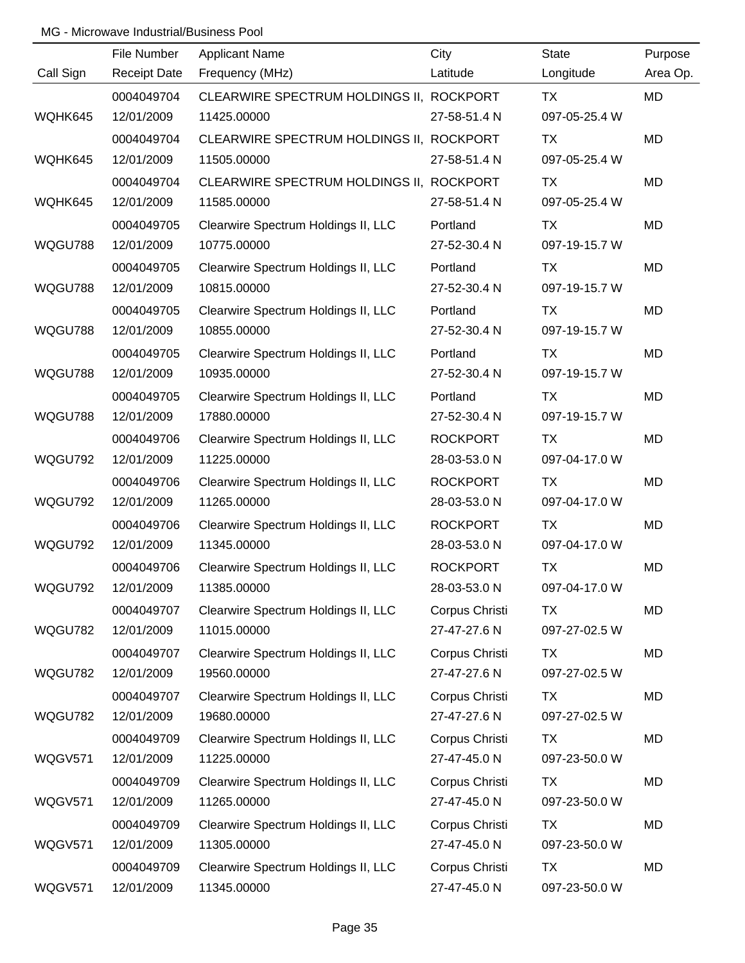|           | File Number         | <b>Applicant Name</b>                    | City            | <b>State</b>  | Purpose   |
|-----------|---------------------|------------------------------------------|-----------------|---------------|-----------|
| Call Sign | <b>Receipt Date</b> | Frequency (MHz)                          | Latitude        | Longitude     | Area Op.  |
|           | 0004049704          | CLEARWIRE SPECTRUM HOLDINGS II, ROCKPORT |                 | TX            | <b>MD</b> |
| WQHK645   | 12/01/2009          | 11425.00000                              | 27-58-51.4 N    | 097-05-25.4 W |           |
|           | 0004049704          | CLEARWIRE SPECTRUM HOLDINGS II, ROCKPORT |                 | TX            | <b>MD</b> |
| WQHK645   | 12/01/2009          | 11505.00000                              | 27-58-51.4 N    | 097-05-25.4 W |           |
|           | 0004049704          | CLEARWIRE SPECTRUM HOLDINGS II, ROCKPORT |                 | TX            | <b>MD</b> |
| WQHK645   | 12/01/2009          | 11585.00000                              | 27-58-51.4 N    | 097-05-25.4 W |           |
|           | 0004049705          | Clearwire Spectrum Holdings II, LLC      | Portland        | TX            | <b>MD</b> |
| WQGU788   | 12/01/2009          | 10775.00000                              | 27-52-30.4 N    | 097-19-15.7 W |           |
|           | 0004049705          | Clearwire Spectrum Holdings II, LLC      | Portland        | TX            | <b>MD</b> |
| WQGU788   | 12/01/2009          | 10815.00000                              | 27-52-30.4 N    | 097-19-15.7 W |           |
|           | 0004049705          | Clearwire Spectrum Holdings II, LLC      | Portland        | <b>TX</b>     | <b>MD</b> |
| WQGU788   | 12/01/2009          | 10855.00000                              | 27-52-30.4 N    | 097-19-15.7 W |           |
|           | 0004049705          | Clearwire Spectrum Holdings II, LLC      | Portland        | TX            | <b>MD</b> |
| WQGU788   | 12/01/2009          | 10935.00000                              | 27-52-30.4 N    | 097-19-15.7 W |           |
|           | 0004049705          | Clearwire Spectrum Holdings II, LLC      | Portland        | <b>TX</b>     | <b>MD</b> |
| WQGU788   | 12/01/2009          | 17880.00000                              | 27-52-30.4 N    | 097-19-15.7 W |           |
|           | 0004049706          | Clearwire Spectrum Holdings II, LLC      | <b>ROCKPORT</b> | TX            | <b>MD</b> |
| WQGU792   | 12/01/2009          | 11225.00000                              | 28-03-53.0 N    | 097-04-17.0 W |           |
|           | 0004049706          | Clearwire Spectrum Holdings II, LLC      | <b>ROCKPORT</b> | TX            | <b>MD</b> |
| WQGU792   | 12/01/2009          | 11265.00000                              | 28-03-53.0 N    | 097-04-17.0 W |           |
|           | 0004049706          | Clearwire Spectrum Holdings II, LLC      | <b>ROCKPORT</b> | <b>TX</b>     | <b>MD</b> |
| WQGU792   | 12/01/2009          | 11345.00000                              | 28-03-53.0 N    | 097-04-17.0 W |           |
|           | 0004049706          | Clearwire Spectrum Holdings II, LLC      | <b>ROCKPORT</b> | <b>TX</b>     | <b>MD</b> |
| WQGU792   | 12/01/2009          | 11385.00000                              | 28-03-53.0 N    | 097-04-17.0 W |           |
|           | 0004049707          | Clearwire Spectrum Holdings II, LLC      | Corpus Christi  | <b>TX</b>     | <b>MD</b> |
| WQGU782   | 12/01/2009          | 11015.00000                              | 27-47-27.6 N    | 097-27-02.5 W |           |
|           | 0004049707          | Clearwire Spectrum Holdings II, LLC      | Corpus Christi  | <b>TX</b>     | MD        |
| WQGU782   | 12/01/2009          | 19560.00000                              | 27-47-27.6 N    | 097-27-02.5 W |           |
|           | 0004049707          | Clearwire Spectrum Holdings II, LLC      | Corpus Christi  | TX            | MD        |
| WQGU782   | 12/01/2009          | 19680.00000                              | 27-47-27.6 N    | 097-27-02.5 W |           |
|           | 0004049709          | Clearwire Spectrum Holdings II, LLC      | Corpus Christi  | <b>TX</b>     | MD        |
| WQGV571   | 12/01/2009          | 11225.00000                              | 27-47-45.0 N    | 097-23-50.0 W |           |
|           | 0004049709          | Clearwire Spectrum Holdings II, LLC      | Corpus Christi  | <b>TX</b>     | <b>MD</b> |
| WQGV571   | 12/01/2009          | 11265.00000                              | 27-47-45.0 N    | 097-23-50.0 W |           |
|           | 0004049709          | Clearwire Spectrum Holdings II, LLC      | Corpus Christi  | TX            | <b>MD</b> |
| WQGV571   | 12/01/2009          | 11305.00000                              | 27-47-45.0 N    | 097-23-50.0 W |           |
|           | 0004049709          | Clearwire Spectrum Holdings II, LLC      | Corpus Christi  | <b>TX</b>     | MD        |
| WQGV571   | 12/01/2009          | 11345.00000                              | 27-47-45.0 N    | 097-23-50.0 W |           |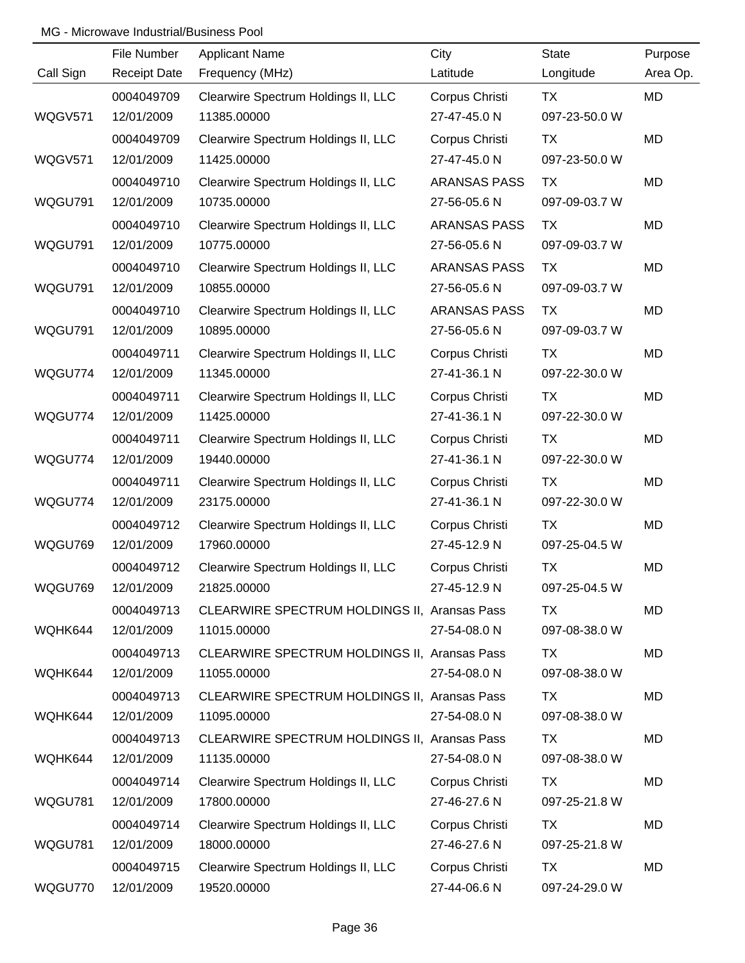|           | File Number         | <b>Applicant Name</b>                        | City                | <b>State</b>  | Purpose   |
|-----------|---------------------|----------------------------------------------|---------------------|---------------|-----------|
| Call Sign | <b>Receipt Date</b> | Frequency (MHz)                              | Latitude            | Longitude     | Area Op.  |
|           | 0004049709          | Clearwire Spectrum Holdings II, LLC          | Corpus Christi      | TX            | MD        |
| WQGV571   | 12/01/2009          | 11385.00000                                  | 27-47-45.0 N        | 097-23-50.0 W |           |
|           | 0004049709          | Clearwire Spectrum Holdings II, LLC          | Corpus Christi      | <b>TX</b>     | MD        |
| WQGV571   | 12/01/2009          | 11425.00000                                  | 27-47-45.0 N        | 097-23-50.0 W |           |
|           | 0004049710          | Clearwire Spectrum Holdings II, LLC          | <b>ARANSAS PASS</b> | <b>TX</b>     | <b>MD</b> |
| WQGU791   | 12/01/2009          | 10735.00000                                  | 27-56-05.6 N        | 097-09-03.7 W |           |
|           | 0004049710          | Clearwire Spectrum Holdings II, LLC          | <b>ARANSAS PASS</b> | TX            | MD        |
| WQGU791   | 12/01/2009          | 10775.00000                                  | 27-56-05.6 N        | 097-09-03.7 W |           |
|           | 0004049710          | Clearwire Spectrum Holdings II, LLC          | <b>ARANSAS PASS</b> | <b>TX</b>     | MD        |
| WQGU791   | 12/01/2009          | 10855.00000                                  | 27-56-05.6 N        | 097-09-03.7 W |           |
|           | 0004049710          | Clearwire Spectrum Holdings II, LLC          | <b>ARANSAS PASS</b> | <b>TX</b>     | MD        |
| WQGU791   | 12/01/2009          | 10895.00000                                  | 27-56-05.6 N        | 097-09-03.7 W |           |
|           | 0004049711          | Clearwire Spectrum Holdings II, LLC          | Corpus Christi      | <b>TX</b>     | MD        |
| WQGU774   | 12/01/2009          | 11345.00000                                  | 27-41-36.1 N        | 097-22-30.0 W |           |
|           | 0004049711          | Clearwire Spectrum Holdings II, LLC          | Corpus Christi      | TX            | MD        |
| WQGU774   | 12/01/2009          | 11425.00000                                  | 27-41-36.1 N        | 097-22-30.0 W |           |
|           | 0004049711          | Clearwire Spectrum Holdings II, LLC          | Corpus Christi      | TX            | MD        |
| WQGU774   | 12/01/2009          | 19440.00000                                  | 27-41-36.1 N        | 097-22-30.0 W |           |
|           | 0004049711          | Clearwire Spectrum Holdings II, LLC          | Corpus Christi      | <b>TX</b>     | MD        |
| WQGU774   | 12/01/2009          | 23175.00000                                  | 27-41-36.1 N        | 097-22-30.0 W |           |
|           | 0004049712          | Clearwire Spectrum Holdings II, LLC          | Corpus Christi      | <b>TX</b>     | MD        |
| WQGU769   | 12/01/2009          | 17960.00000                                  | 27-45-12.9 N        | 097-25-04.5 W |           |
|           | 0004049712          | Clearwire Spectrum Holdings II, LLC          | Corpus Christi      | <b>TX</b>     | <b>MD</b> |
| WQGU769   | 12/01/2009          | 21825.00000                                  | 27-45-12.9 N        | 097-25-04.5 W |           |
|           | 0004049713          | CLEARWIRE SPECTRUM HOLDINGS II, Aransas Pass |                     | TX            | MD        |
| WQHK644   | 12/01/2009          | 11015.00000                                  | 27-54-08.0 N        | 097-08-38.0 W |           |
|           | 0004049713          | CLEARWIRE SPECTRUM HOLDINGS II, Aransas Pass |                     | TX            | MD        |
| WQHK644   | 12/01/2009          | 11055.00000                                  | 27-54-08.0 N        | 097-08-38.0 W |           |
|           | 0004049713          | CLEARWIRE SPECTRUM HOLDINGS II, Aransas Pass |                     | TX            | MD        |
| WQHK644   | 12/01/2009          | 11095.00000                                  | 27-54-08.0 N        | 097-08-38.0 W |           |
|           | 0004049713          | CLEARWIRE SPECTRUM HOLDINGS II, Aransas Pass |                     | TX            | MD        |
| WQHK644   | 12/01/2009          | 11135.00000                                  | 27-54-08.0 N        | 097-08-38.0 W |           |
|           | 0004049714          | Clearwire Spectrum Holdings II, LLC          | Corpus Christi      | TX            | MD        |
| WQGU781   | 12/01/2009          | 17800.00000                                  | 27-46-27.6 N        | 097-25-21.8 W |           |
|           | 0004049714          | Clearwire Spectrum Holdings II, LLC          | Corpus Christi      | TX            | MD        |
| WQGU781   | 12/01/2009          | 18000.00000                                  | 27-46-27.6 N        | 097-25-21.8 W |           |
|           | 0004049715          | Clearwire Spectrum Holdings II, LLC          | Corpus Christi      | TX            | MD        |
| WQGU770   | 12/01/2009          | 19520.00000                                  | 27-44-06.6 N        | 097-24-29.0 W |           |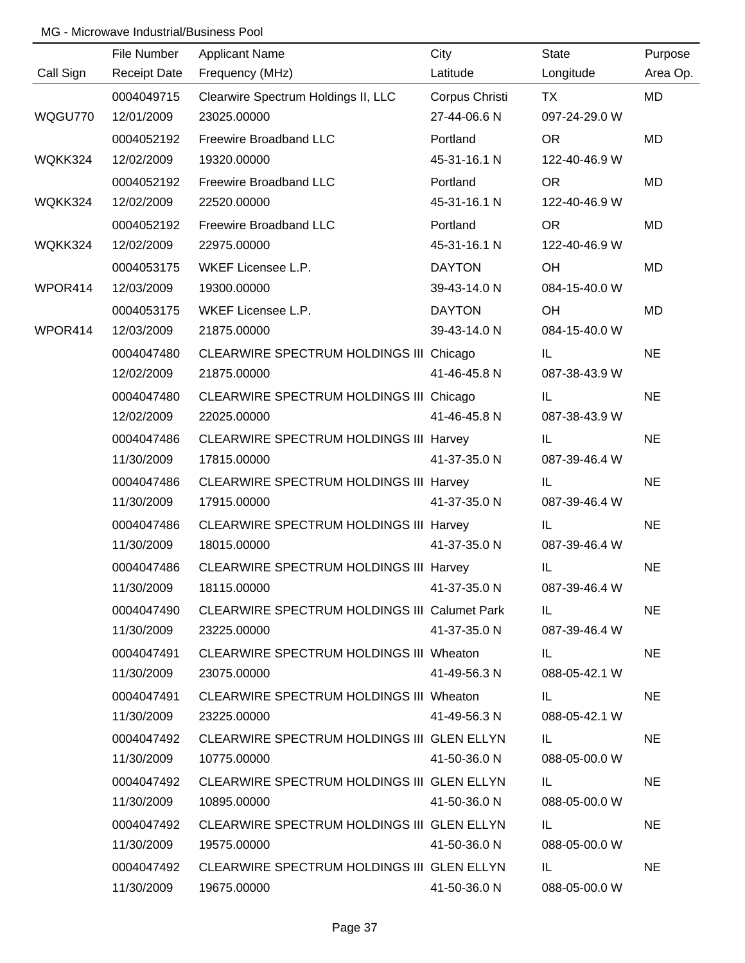|           | File Number         | <b>Applicant Name</b>                         | City           | <b>State</b>  | Purpose   |
|-----------|---------------------|-----------------------------------------------|----------------|---------------|-----------|
| Call Sign | <b>Receipt Date</b> | Frequency (MHz)                               | Latitude       | Longitude     | Area Op.  |
|           | 0004049715          | Clearwire Spectrum Holdings II, LLC           | Corpus Christi | <b>TX</b>     | <b>MD</b> |
| WQGU770   | 12/01/2009          | 23025.00000                                   | 27-44-06.6 N   | 097-24-29.0 W |           |
|           | 0004052192          | Freewire Broadband LLC                        | Portland       | OR            | MD        |
| WQKK324   | 12/02/2009          | 19320.00000                                   | 45-31-16.1 N   | 122-40-46.9 W |           |
|           | 0004052192          | Freewire Broadband LLC                        | Portland       | <b>OR</b>     | MD        |
| WQKK324   | 12/02/2009          | 22520.00000                                   | 45-31-16.1 N   | 122-40-46.9 W |           |
|           | 0004052192          | Freewire Broadband LLC                        | Portland       | <b>OR</b>     | MD        |
| WQKK324   | 12/02/2009          | 22975.00000                                   | 45-31-16.1 N   | 122-40-46.9 W |           |
|           | 0004053175          | WKEF Licensee L.P.                            | <b>DAYTON</b>  | OH.           | <b>MD</b> |
| WPOR414   | 12/03/2009          | 19300.00000                                   | 39-43-14.0 N   | 084-15-40.0 W |           |
|           | 0004053175          | WKEF Licensee L.P.                            | <b>DAYTON</b>  | OH            | MD        |
| WPOR414   | 12/03/2009          | 21875.00000                                   | 39-43-14.0 N   | 084-15-40.0 W |           |
|           | 0004047480          | CLEARWIRE SPECTRUM HOLDINGS III Chicago       |                | IL.           | <b>NE</b> |
|           | 12/02/2009          | 21875.00000                                   | 41-46-45.8 N   | 087-38-43.9 W |           |
|           | 0004047480          | CLEARWIRE SPECTRUM HOLDINGS III Chicago       |                | IL.           | <b>NE</b> |
|           | 12/02/2009          | 22025.00000                                   | 41-46-45.8 N   | 087-38-43.9 W |           |
|           | 0004047486          | <b>CLEARWIRE SPECTRUM HOLDINGS III Harvey</b> |                | IL.           | <b>NE</b> |
|           | 11/30/2009          | 17815.00000                                   | 41-37-35.0 N   | 087-39-46.4 W |           |
|           | 0004047486          | <b>CLEARWIRE SPECTRUM HOLDINGS III Harvey</b> |                | IL            | <b>NE</b> |
|           | 11/30/2009          | 17915.00000                                   | 41-37-35.0 N   | 087-39-46.4 W |           |
|           | 0004047486          | <b>CLEARWIRE SPECTRUM HOLDINGS III Harvey</b> |                | IL.           | <b>NE</b> |
|           | 11/30/2009          | 18015.00000                                   | 41-37-35.0 N   | 087-39-46.4 W |           |
|           | 0004047486          | CLEARWIRE SPECTRUM HOLDINGS III Harvey        |                | IL            | <b>NE</b> |
|           | 11/30/2009          | 18115.00000                                   | 41-37-35.0 N   | 087-39-46.4 W |           |
|           | 0004047490          | CLEARWIRE SPECTRUM HOLDINGS III Calumet Park  |                | IL.           | <b>NE</b> |
|           | 11/30/2009          | 23225.00000                                   | 41-37-35.0 N   | 087-39-46.4 W |           |
|           | 0004047491          | CLEARWIRE SPECTRUM HOLDINGS III Wheaton       |                | IL.           | <b>NE</b> |
|           | 11/30/2009          | 23075.00000                                   | 41-49-56.3 N   | 088-05-42.1 W |           |
|           | 0004047491          | CLEARWIRE SPECTRUM HOLDINGS III Wheaton       |                | IL.           | <b>NE</b> |
|           | 11/30/2009          | 23225.00000                                   | 41-49-56.3 N   | 088-05-42.1 W |           |
|           | 0004047492          | CLEARWIRE SPECTRUM HOLDINGS III GLEN ELLYN    |                | IL            | <b>NE</b> |
|           | 11/30/2009          | 10775.00000                                   | 41-50-36.0 N   | 088-05-00.0 W |           |
|           | 0004047492          | CLEARWIRE SPECTRUM HOLDINGS III GLEN ELLYN    |                | IL.           | <b>NE</b> |
|           | 11/30/2009          | 10895.00000                                   | 41-50-36.0 N   | 088-05-00.0 W |           |
|           | 0004047492          | CLEARWIRE SPECTRUM HOLDINGS III GLEN ELLYN    |                | IL.           | <b>NE</b> |
|           | 11/30/2009          | 19575.00000                                   | 41-50-36.0 N   | 088-05-00.0 W |           |
|           | 0004047492          | CLEARWIRE SPECTRUM HOLDINGS III GLEN ELLYN    |                | IL.           | <b>NE</b> |
|           | 11/30/2009          | 19675.00000                                   | 41-50-36.0 N   | 088-05-00.0 W |           |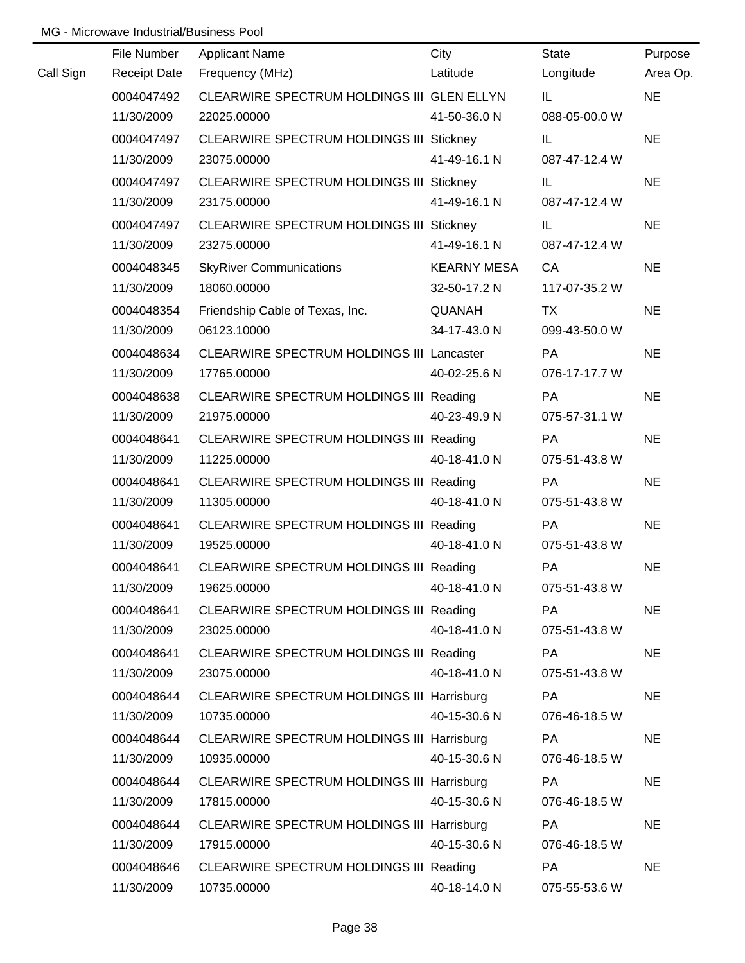|           | File Number         | <b>Applicant Name</b>                      | City               | <b>State</b>  | Purpose   |
|-----------|---------------------|--------------------------------------------|--------------------|---------------|-----------|
| Call Sign | <b>Receipt Date</b> | Frequency (MHz)                            | Latitude           | Longitude     | Area Op.  |
|           | 0004047492          | CLEARWIRE SPECTRUM HOLDINGS III GLEN ELLYN |                    | IL.           | <b>NE</b> |
|           | 11/30/2009          | 22025.00000                                | 41-50-36.0 N       | 088-05-00.0 W |           |
|           | 0004047497          | CLEARWIRE SPECTRUM HOLDINGS III Stickney   |                    | IL.           | <b>NE</b> |
|           | 11/30/2009          | 23075.00000                                | 41-49-16.1 N       | 087-47-12.4 W |           |
|           | 0004047497          | CLEARWIRE SPECTRUM HOLDINGS III Stickney   |                    | IL.           | <b>NE</b> |
|           | 11/30/2009          | 23175.00000                                | 41-49-16.1 N       | 087-47-12.4 W |           |
|           | 0004047497          | CLEARWIRE SPECTRUM HOLDINGS III Stickney   |                    | IL.           | <b>NE</b> |
|           | 11/30/2009          | 23275.00000                                | 41-49-16.1 N       | 087-47-12.4 W |           |
|           | 0004048345          | <b>SkyRiver Communications</b>             | <b>KEARNY MESA</b> | CA            | <b>NE</b> |
|           | 11/30/2009          | 18060.00000                                | 32-50-17.2 N       | 117-07-35.2 W |           |
|           | 0004048354          | Friendship Cable of Texas, Inc.            | <b>QUANAH</b>      | <b>TX</b>     | <b>NE</b> |
|           | 11/30/2009          | 06123.10000                                | 34-17-43.0 N       | 099-43-50.0 W |           |
|           | 0004048634          | CLEARWIRE SPECTRUM HOLDINGS III Lancaster  |                    | PA            | <b>NE</b> |
|           | 11/30/2009          | 17765.00000                                | 40-02-25.6 N       | 076-17-17.7 W |           |
|           | 0004048638          | CLEARWIRE SPECTRUM HOLDINGS III Reading    |                    | PA            | <b>NE</b> |
|           | 11/30/2009          | 21975.00000                                | 40-23-49.9 N       | 075-57-31.1 W |           |
|           | 0004048641          | CLEARWIRE SPECTRUM HOLDINGS III Reading    |                    | PA            | <b>NE</b> |
|           | 11/30/2009          | 11225.00000                                | 40-18-41.0 N       | 075-51-43.8 W |           |
|           | 0004048641          | CLEARWIRE SPECTRUM HOLDINGS III Reading    |                    | PA            | <b>NE</b> |
|           | 11/30/2009          | 11305.00000                                | 40-18-41.0 N       | 075-51-43.8 W |           |
|           | 0004048641          | CLEARWIRE SPECTRUM HOLDINGS III Reading    |                    | PA            | <b>NE</b> |
|           | 11/30/2009          | 19525.00000                                | 40-18-41.0 N       | 075-51-43.8 W |           |
|           | 0004048641          | CLEARWIRE SPECTRUM HOLDINGS III Reading    |                    | PA            | <b>NE</b> |
|           | 11/30/2009          | 19625.00000                                | 40-18-41.0 N       | 075-51-43.8 W |           |
|           | 0004048641          | CLEARWIRE SPECTRUM HOLDINGS III Reading    |                    | <b>PA</b>     | <b>NE</b> |
|           | 11/30/2009          | 23025.00000                                | 40-18-41.0 N       | 075-51-43.8 W |           |
|           | 0004048641          | CLEARWIRE SPECTRUM HOLDINGS III Reading    |                    | PA            | <b>NE</b> |
|           | 11/30/2009          | 23075.00000                                | 40-18-41.0 N       | 075-51-43.8 W |           |
|           | 0004048644          | CLEARWIRE SPECTRUM HOLDINGS III Harrisburg |                    | PA            | <b>NE</b> |
|           | 11/30/2009          | 10735.00000                                | 40-15-30.6 N       | 076-46-18.5 W |           |
|           | 0004048644          | CLEARWIRE SPECTRUM HOLDINGS III Harrisburg |                    | PA            | <b>NE</b> |
|           | 11/30/2009          | 10935.00000                                | 40-15-30.6 N       | 076-46-18.5 W |           |
|           | 0004048644          | CLEARWIRE SPECTRUM HOLDINGS III Harrisburg |                    | <b>PA</b>     | <b>NE</b> |
|           | 11/30/2009          | 17815.00000                                | 40-15-30.6 N       | 076-46-18.5 W |           |
|           | 0004048644          | CLEARWIRE SPECTRUM HOLDINGS III Harrisburg |                    | PA            | <b>NE</b> |
|           | 11/30/2009          | 17915.00000                                | 40-15-30.6 N       | 076-46-18.5 W |           |
|           | 0004048646          | CLEARWIRE SPECTRUM HOLDINGS III Reading    |                    | PA            | <b>NE</b> |
|           | 11/30/2009          | 10735.00000                                | 40-18-14.0 N       | 075-55-53.6 W |           |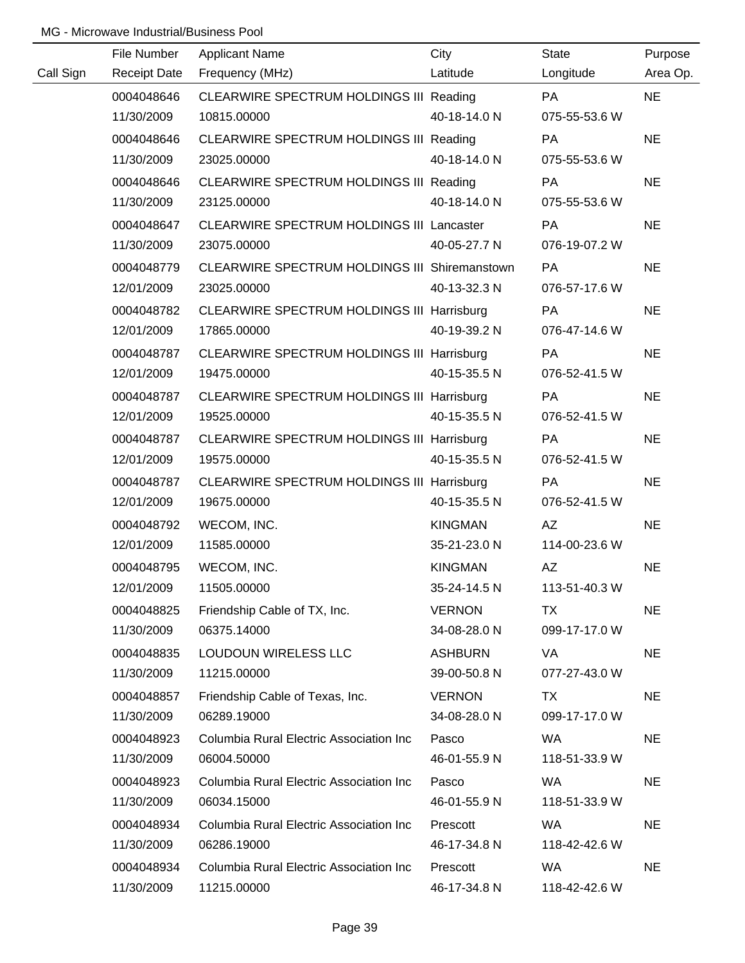|           | File Number         | <b>Applicant Name</b>                         | City           | State         | Purpose   |
|-----------|---------------------|-----------------------------------------------|----------------|---------------|-----------|
| Call Sign | <b>Receipt Date</b> | Frequency (MHz)                               | Latitude       | Longitude     | Area Op.  |
|           | 0004048646          | CLEARWIRE SPECTRUM HOLDINGS III Reading       |                | PA            | <b>NE</b> |
|           | 11/30/2009          | 10815.00000                                   | 40-18-14.0 N   | 075-55-53.6 W |           |
|           | 0004048646          | CLEARWIRE SPECTRUM HOLDINGS III Reading       |                | <b>PA</b>     | <b>NE</b> |
|           | 11/30/2009          | 23025.00000                                   | 40-18-14.0 N   | 075-55-53.6 W |           |
|           | 0004048646          | CLEARWIRE SPECTRUM HOLDINGS III Reading       |                | PA            | <b>NE</b> |
|           | 11/30/2009          | 23125.00000                                   | 40-18-14.0 N   | 075-55-53.6 W |           |
|           | 0004048647          | CLEARWIRE SPECTRUM HOLDINGS III Lancaster     |                | PA            | <b>NE</b> |
|           | 11/30/2009          | 23075.00000                                   | 40-05-27.7 N   | 076-19-07.2 W |           |
|           | 0004048779          | CLEARWIRE SPECTRUM HOLDINGS III Shiremanstown |                | <b>PA</b>     | <b>NE</b> |
|           | 12/01/2009          | 23025.00000                                   | 40-13-32.3 N   | 076-57-17.6 W |           |
|           | 0004048782          | CLEARWIRE SPECTRUM HOLDINGS III Harrisburg    |                | PA            | <b>NE</b> |
|           | 12/01/2009          | 17865.00000                                   | 40-19-39.2 N   | 076-47-14.6 W |           |
|           | 0004048787          | CLEARWIRE SPECTRUM HOLDINGS III Harrisburg    |                | PA            | <b>NE</b> |
|           | 12/01/2009          | 19475.00000                                   | 40-15-35.5 N   | 076-52-41.5 W |           |
|           | 0004048787          | CLEARWIRE SPECTRUM HOLDINGS III Harrisburg    |                | PA            | <b>NE</b> |
|           | 12/01/2009          | 19525.00000                                   | 40-15-35.5 N   | 076-52-41.5 W |           |
|           | 0004048787          | CLEARWIRE SPECTRUM HOLDINGS III Harrisburg    |                | PA            | <b>NE</b> |
|           | 12/01/2009          | 19575.00000                                   | 40-15-35.5 N   | 076-52-41.5 W |           |
|           | 0004048787          | CLEARWIRE SPECTRUM HOLDINGS III Harrisburg    |                | PA            | <b>NE</b> |
|           | 12/01/2009          | 19675.00000                                   | 40-15-35.5 N   | 076-52-41.5 W |           |
|           | 0004048792          | WECOM, INC.                                   | <b>KINGMAN</b> | AZ            | <b>NE</b> |
|           | 12/01/2009          | 11585.00000                                   | 35-21-23.0 N   | 114-00-23.6 W |           |
|           | 0004048795          | WECOM, INC.                                   | <b>KINGMAN</b> | AZ            | <b>NE</b> |
|           | 12/01/2009          | 11505.00000                                   | 35-24-14.5 N   | 113-51-40.3 W |           |
|           | 0004048825          | Friendship Cable of TX, Inc.                  | <b>VERNON</b>  | TX            | <b>NE</b> |
|           | 11/30/2009          | 06375.14000                                   | 34-08-28.0 N   | 099-17-17.0 W |           |
|           | 0004048835          | LOUDOUN WIRELESS LLC                          | <b>ASHBURN</b> | VA            | <b>NE</b> |
|           | 11/30/2009          | 11215.00000                                   | 39-00-50.8 N   | 077-27-43.0 W |           |
|           | 0004048857          | Friendship Cable of Texas, Inc.               | <b>VERNON</b>  | TX            | <b>NE</b> |
|           | 11/30/2009          | 06289.19000                                   | 34-08-28.0 N   | 099-17-17.0 W |           |
|           | 0004048923          | Columbia Rural Electric Association Inc       | Pasco          | WA.           | <b>NE</b> |
|           | 11/30/2009          | 06004.50000                                   | 46-01-55.9 N   | 118-51-33.9 W |           |
|           | 0004048923          | Columbia Rural Electric Association Inc       | Pasco          | <b>WA</b>     | <b>NE</b> |
|           | 11/30/2009          | 06034.15000                                   | 46-01-55.9 N   | 118-51-33.9 W |           |
|           | 0004048934          | Columbia Rural Electric Association Inc       | Prescott       | <b>WA</b>     | <b>NE</b> |
|           | 11/30/2009          | 06286.19000                                   | 46-17-34.8 N   | 118-42-42.6 W |           |
|           | 0004048934          | Columbia Rural Electric Association Inc       | Prescott       | <b>WA</b>     | <b>NE</b> |
|           | 11/30/2009          | 11215.00000                                   | 46-17-34.8 N   | 118-42-42.6 W |           |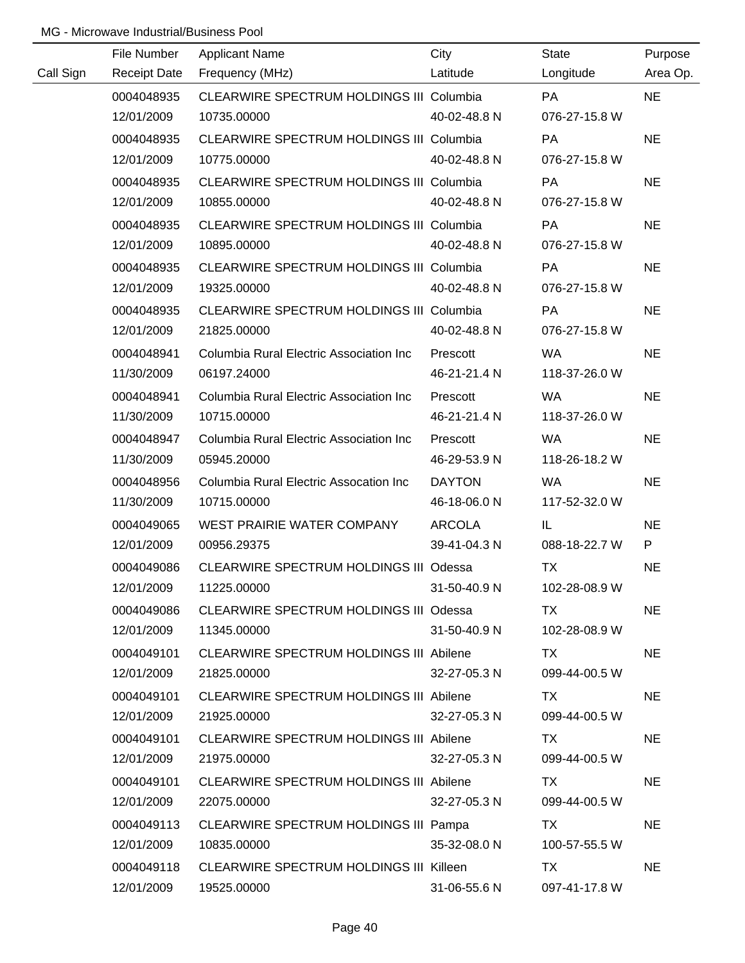|           | File Number         | <b>Applicant Name</b>                           | City          | <b>State</b>  | Purpose   |
|-----------|---------------------|-------------------------------------------------|---------------|---------------|-----------|
| Call Sign | <b>Receipt Date</b> | Frequency (MHz)                                 | Latitude      | Longitude     | Area Op.  |
|           | 0004048935          | CLEARWIRE SPECTRUM HOLDINGS III Columbia        |               | <b>PA</b>     | <b>NE</b> |
|           | 12/01/2009          | 10735.00000                                     | 40-02-48.8 N  | 076-27-15.8 W |           |
|           | 0004048935          | CLEARWIRE SPECTRUM HOLDINGS III Columbia        |               | <b>PA</b>     | <b>NE</b> |
|           | 12/01/2009          | 10775.00000                                     | 40-02-48.8 N  | 076-27-15.8 W |           |
|           | 0004048935          | <b>CLEARWIRE SPECTRUM HOLDINGS III Columbia</b> |               | <b>PA</b>     | <b>NE</b> |
|           | 12/01/2009          | 10855.00000                                     | 40-02-48.8 N  | 076-27-15.8 W |           |
|           | 0004048935          | <b>CLEARWIRE SPECTRUM HOLDINGS III Columbia</b> |               | <b>PA</b>     | <b>NE</b> |
|           | 12/01/2009          | 10895.00000                                     | 40-02-48.8 N  | 076-27-15.8 W |           |
|           | 0004048935          | <b>CLEARWIRE SPECTRUM HOLDINGS III Columbia</b> |               | <b>PA</b>     | <b>NE</b> |
|           | 12/01/2009          | 19325.00000                                     | 40-02-48.8 N  | 076-27-15.8 W |           |
|           | 0004048935          | <b>CLEARWIRE SPECTRUM HOLDINGS III Columbia</b> |               | <b>PA</b>     | <b>NE</b> |
|           | 12/01/2009          | 21825.00000                                     | 40-02-48.8 N  | 076-27-15.8 W |           |
|           | 0004048941          | Columbia Rural Electric Association Inc         | Prescott      | WA.           | <b>NE</b> |
|           | 11/30/2009          | 06197.24000                                     | 46-21-21.4 N  | 118-37-26.0 W |           |
|           | 0004048941          | Columbia Rural Electric Association Inc         | Prescott      | WA.           | <b>NE</b> |
|           | 11/30/2009          | 10715.00000                                     | 46-21-21.4 N  | 118-37-26.0 W |           |
|           | 0004048947          | Columbia Rural Electric Association Inc         | Prescott      | WA.           | <b>NE</b> |
|           | 11/30/2009          | 05945.20000                                     | 46-29-53.9 N  | 118-26-18.2 W |           |
|           | 0004048956          | Columbia Rural Electric Assocation Inc          | <b>DAYTON</b> | <b>WA</b>     | <b>NE</b> |
|           | 11/30/2009          | 10715.00000                                     | 46-18-06.0 N  | 117-52-32.0 W |           |
|           | 0004049065          | WEST PRAIRIE WATER COMPANY                      | <b>ARCOLA</b> | IL.           | <b>NE</b> |
|           | 12/01/2009          | 00956.29375                                     | 39-41-04.3 N  | 088-18-22.7 W | P         |
|           | 0004049086          | CLEARWIRE SPECTRUM HOLDINGS III Odessa          |               | <b>TX</b>     | <b>NE</b> |
|           | 12/01/2009          | 11225.00000                                     | 31-50-40.9 N  | 102-28-08.9 W |           |
|           | 0004049086          | CLEARWIRE SPECTRUM HOLDINGS III Odessa          |               | TX.           | <b>NE</b> |
|           | 12/01/2009          | 11345.00000                                     | 31-50-40.9 N  | 102-28-08.9 W |           |
|           | 0004049101          | CLEARWIRE SPECTRUM HOLDINGS III Abilene         |               | TX.           | <b>NE</b> |
|           | 12/01/2009          | 21825.00000                                     | 32-27-05.3 N  | 099-44-00.5 W |           |
|           | 0004049101          | <b>CLEARWIRE SPECTRUM HOLDINGS III Abilene</b>  |               | TX            | <b>NE</b> |
|           | 12/01/2009          | 21925.00000                                     | 32-27-05.3 N  | 099-44-00.5 W |           |
|           | 0004049101          | CLEARWIRE SPECTRUM HOLDINGS III Abilene         |               | TX.           | <b>NE</b> |
|           | 12/01/2009          | 21975.00000                                     | 32-27-05.3 N  | 099-44-00.5 W |           |
|           | 0004049101          | CLEARWIRE SPECTRUM HOLDINGS III Abilene         |               | TX.           | <b>NE</b> |
|           | 12/01/2009          | 22075.00000                                     | 32-27-05.3 N  | 099-44-00.5 W |           |
|           | 0004049113          | CLEARWIRE SPECTRUM HOLDINGS III Pampa           |               | TX.           | <b>NE</b> |
|           | 12/01/2009          | 10835.00000                                     | 35-32-08.0 N  | 100-57-55.5 W |           |
|           | 0004049118          | CLEARWIRE SPECTRUM HOLDINGS III Killeen         |               | TX            | <b>NE</b> |
|           | 12/01/2009          | 19525.00000                                     | 31-06-55.6 N  | 097-41-17.8 W |           |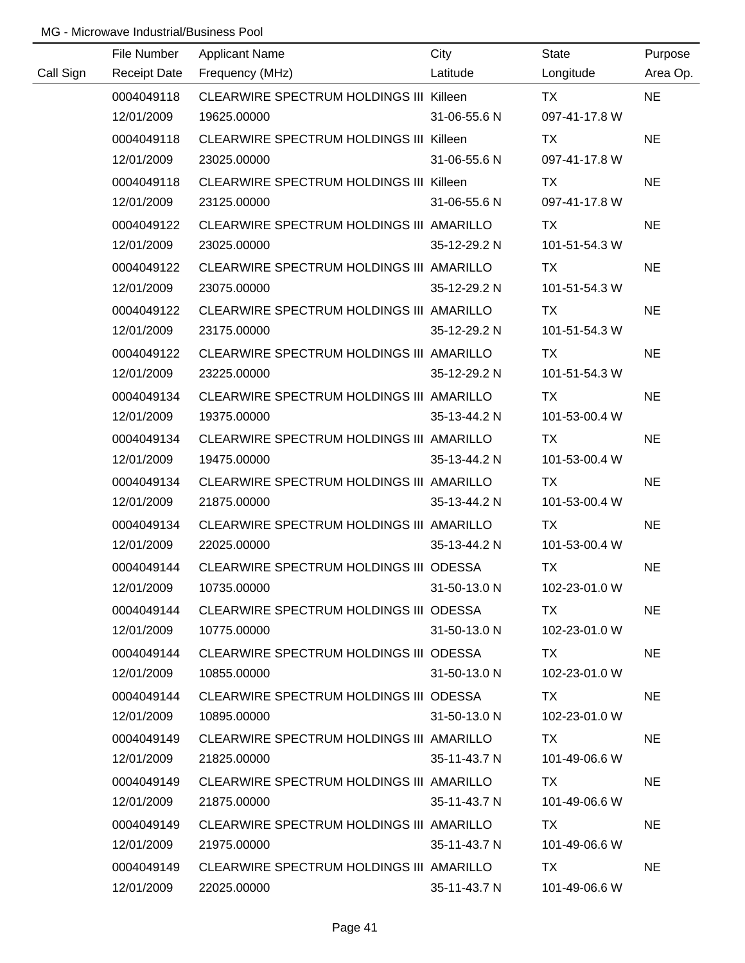|           | File Number         | <b>Applicant Name</b>                    | City         | State         | Purpose   |
|-----------|---------------------|------------------------------------------|--------------|---------------|-----------|
| Call Sign | <b>Receipt Date</b> | Frequency (MHz)                          | Latitude     | Longitude     | Area Op.  |
|           | 0004049118          | CLEARWIRE SPECTRUM HOLDINGS III Killeen  |              | <b>TX</b>     | <b>NE</b> |
|           | 12/01/2009          | 19625.00000                              | 31-06-55.6 N | 097-41-17.8 W |           |
|           | 0004049118          | CLEARWIRE SPECTRUM HOLDINGS III Killeen  |              | <b>TX</b>     | <b>NE</b> |
|           | 12/01/2009          | 23025.00000                              | 31-06-55.6 N | 097-41-17.8 W |           |
|           | 0004049118          | CLEARWIRE SPECTRUM HOLDINGS III Killeen  |              | TX            | <b>NE</b> |
|           | 12/01/2009          | 23125.00000                              | 31-06-55.6 N | 097-41-17.8 W |           |
|           | 0004049122          | CLEARWIRE SPECTRUM HOLDINGS III AMARILLO |              | TX            | <b>NE</b> |
|           | 12/01/2009          | 23025.00000                              | 35-12-29.2 N | 101-51-54.3 W |           |
|           | 0004049122          | CLEARWIRE SPECTRUM HOLDINGS III AMARILLO |              | TX            | <b>NE</b> |
|           | 12/01/2009          | 23075.00000                              | 35-12-29.2 N | 101-51-54.3 W |           |
|           | 0004049122          | CLEARWIRE SPECTRUM HOLDINGS III AMARILLO |              | TX            | <b>NE</b> |
|           | 12/01/2009          | 23175.00000                              | 35-12-29.2 N | 101-51-54.3 W |           |
|           | 0004049122          | CLEARWIRE SPECTRUM HOLDINGS III AMARILLO |              | TX            | <b>NE</b> |
|           | 12/01/2009          | 23225.00000                              | 35-12-29.2 N | 101-51-54.3 W |           |
|           | 0004049134          | CLEARWIRE SPECTRUM HOLDINGS III AMARILLO |              | TX            | <b>NE</b> |
|           | 12/01/2009          | 19375.00000                              | 35-13-44.2 N | 101-53-00.4 W |           |
|           | 0004049134          | CLEARWIRE SPECTRUM HOLDINGS III AMARILLO |              | TX            | <b>NE</b> |
|           | 12/01/2009          | 19475.00000                              | 35-13-44.2 N | 101-53-00.4 W |           |
|           | 0004049134          | CLEARWIRE SPECTRUM HOLDINGS III AMARILLO |              | <b>TX</b>     | <b>NE</b> |
|           | 12/01/2009          | 21875.00000                              | 35-13-44.2 N | 101-53-00.4 W |           |
|           | 0004049134          | CLEARWIRE SPECTRUM HOLDINGS III AMARILLO |              | <b>TX</b>     | <b>NE</b> |
|           | 12/01/2009          | 22025.00000                              | 35-13-44.2 N | 101-53-00.4 W |           |
|           | 0004049144          | CLEARWIRE SPECTRUM HOLDINGS III ODESSA   |              | <b>TX</b>     | <b>NE</b> |
|           | 12/01/2009          | 10735.00000                              | 31-50-13.0 N | 102-23-01.0 W |           |
|           | 0004049144          | CLEARWIRE SPECTRUM HOLDINGS III ODESSA   |              | TX.           | <b>NE</b> |
|           | 12/01/2009          | 10775.00000                              | 31-50-13.0 N | 102-23-01.0 W |           |
|           | 0004049144          | CLEARWIRE SPECTRUM HOLDINGS III ODESSA   |              | TX TX         | <b>NE</b> |
|           | 12/01/2009          | 10855.00000                              | 31-50-13.0 N | 102-23-01.0 W |           |
|           | 0004049144          | CLEARWIRE SPECTRUM HOLDINGS III ODESSA   |              | TX.           | <b>NE</b> |
|           | 12/01/2009          | 10895.00000                              | 31-50-13.0 N | 102-23-01.0 W |           |
|           | 0004049149          | CLEARWIRE SPECTRUM HOLDINGS III AMARILLO |              | TX.           | <b>NE</b> |
|           | 12/01/2009          | 21825.00000                              | 35-11-43.7 N | 101-49-06.6 W |           |
|           | 0004049149          | CLEARWIRE SPECTRUM HOLDINGS III AMARILLO |              | TX.           | <b>NE</b> |
|           | 12/01/2009          | 21875.00000                              | 35-11-43.7 N | 101-49-06.6 W |           |
|           | 0004049149          | CLEARWIRE SPECTRUM HOLDINGS III AMARILLO |              | TX            | <b>NE</b> |
|           | 12/01/2009          | 21975.00000                              | 35-11-43.7 N | 101-49-06.6 W |           |
|           | 0004049149          | CLEARWIRE SPECTRUM HOLDINGS III AMARILLO |              | <b>TX</b>     | <b>NE</b> |
|           | 12/01/2009          | 22025.00000                              | 35-11-43.7 N | 101-49-06.6 W |           |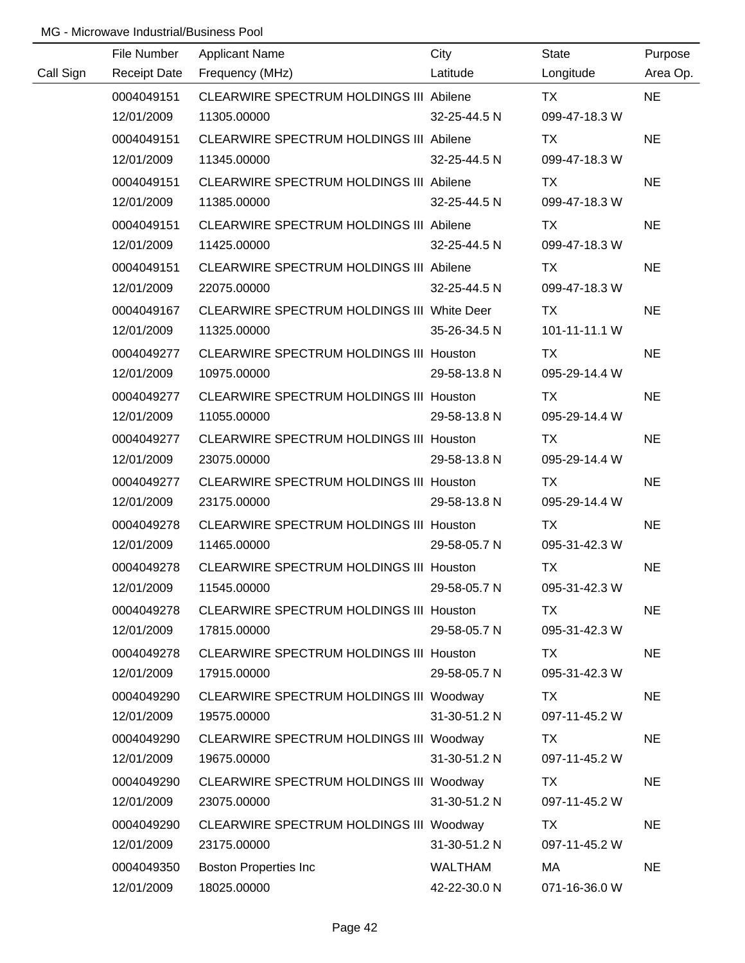|           | File Number         | <b>Applicant Name</b>                          | City         | <b>State</b>  | Purpose   |
|-----------|---------------------|------------------------------------------------|--------------|---------------|-----------|
| Call Sign | <b>Receipt Date</b> | Frequency (MHz)                                | Latitude     | Longitude     | Area Op.  |
|           | 0004049151          | CLEARWIRE SPECTRUM HOLDINGS III Abilene        |              | <b>TX</b>     | <b>NE</b> |
|           | 12/01/2009          | 11305.00000                                    | 32-25-44.5 N | 099-47-18.3 W |           |
|           | 0004049151          | CLEARWIRE SPECTRUM HOLDINGS III Abilene        |              | TX.           | <b>NE</b> |
|           | 12/01/2009          | 11345.00000                                    | 32-25-44.5 N | 099-47-18.3 W |           |
|           | 0004049151          | CLEARWIRE SPECTRUM HOLDINGS III Abilene        |              | TX            | <b>NE</b> |
|           | 12/01/2009          | 11385.00000                                    | 32-25-44.5 N | 099-47-18.3 W |           |
|           | 0004049151          | CLEARWIRE SPECTRUM HOLDINGS III Abilene        |              | TX            | <b>NE</b> |
|           | 12/01/2009          | 11425.00000                                    | 32-25-44.5 N | 099-47-18.3 W |           |
|           | 0004049151          | CLEARWIRE SPECTRUM HOLDINGS III Abilene        |              | TX            | <b>NE</b> |
|           | 12/01/2009          | 22075.00000                                    | 32-25-44.5 N | 099-47-18.3 W |           |
|           | 0004049167          | CLEARWIRE SPECTRUM HOLDINGS III White Deer     |              | TX            | <b>NE</b> |
|           | 12/01/2009          | 11325.00000                                    | 35-26-34.5 N | 101-11-11.1 W |           |
|           | 0004049277          | CLEARWIRE SPECTRUM HOLDINGS III Houston        |              | <b>TX</b>     | <b>NE</b> |
|           | 12/01/2009          | 10975.00000                                    | 29-58-13.8 N | 095-29-14.4 W |           |
|           | 0004049277          | CLEARWIRE SPECTRUM HOLDINGS III Houston        |              | TX            | <b>NE</b> |
|           | 12/01/2009          | 11055.00000                                    | 29-58-13.8 N | 095-29-14.4 W |           |
|           | 0004049277          | <b>CLEARWIRE SPECTRUM HOLDINGS III Houston</b> |              | TX            | <b>NE</b> |
|           | 12/01/2009          | 23075.00000                                    | 29-58-13.8 N | 095-29-14.4 W |           |
|           | 0004049277          | CLEARWIRE SPECTRUM HOLDINGS III Houston        |              | <b>TX</b>     | <b>NE</b> |
|           | 12/01/2009          | 23175.00000                                    | 29-58-13.8 N | 095-29-14.4 W |           |
|           | 0004049278          | <b>CLEARWIRE SPECTRUM HOLDINGS III Houston</b> |              | <b>TX</b>     | <b>NE</b> |
|           | 12/01/2009          | 11465.00000                                    | 29-58-05.7 N | 095-31-42.3 W |           |
|           | 0004049278          | CLEARWIRE SPECTRUM HOLDINGS III Houston        |              | <b>TX</b>     | <b>NE</b> |
|           | 12/01/2009          | 11545.00000                                    | 29-58-05.7 N | 095-31-42.3 W |           |
|           | 0004049278          | CLEARWIRE SPECTRUM HOLDINGS III Houston        |              | TX            | <b>NE</b> |
|           | 12/01/2009          | 17815.00000                                    | 29-58-05.7 N | 095-31-42.3 W |           |
|           | 0004049278          | CLEARWIRE SPECTRUM HOLDINGS III Houston        |              | TX            | <b>NE</b> |
|           | 12/01/2009          | 17915.00000                                    | 29-58-05.7 N | 095-31-42.3 W |           |
|           | 0004049290          | CLEARWIRE SPECTRUM HOLDINGS III Woodway        |              | TX            | <b>NE</b> |
|           | 12/01/2009          | 19575.00000                                    | 31-30-51.2 N | 097-11-45.2 W |           |
|           | 0004049290          | CLEARWIRE SPECTRUM HOLDINGS III Woodway        |              | TX            | <b>NE</b> |
|           | 12/01/2009          | 19675.00000                                    | 31-30-51.2 N | 097-11-45.2 W |           |
|           | 0004049290          | CLEARWIRE SPECTRUM HOLDINGS III Woodway        |              | TX            | <b>NE</b> |
|           | 12/01/2009          | 23075.00000                                    | 31-30-51.2 N | 097-11-45.2 W |           |
|           | 0004049290          | CLEARWIRE SPECTRUM HOLDINGS III Woodway        |              | TX            | <b>NE</b> |
|           | 12/01/2009          | 23175.00000                                    | 31-30-51.2 N | 097-11-45.2 W |           |
|           | 0004049350          | <b>Boston Properties Inc</b>                   | WALTHAM      | MA            | <b>NE</b> |
|           | 12/01/2009          | 18025.00000                                    | 42-22-30.0 N | 071-16-36.0 W |           |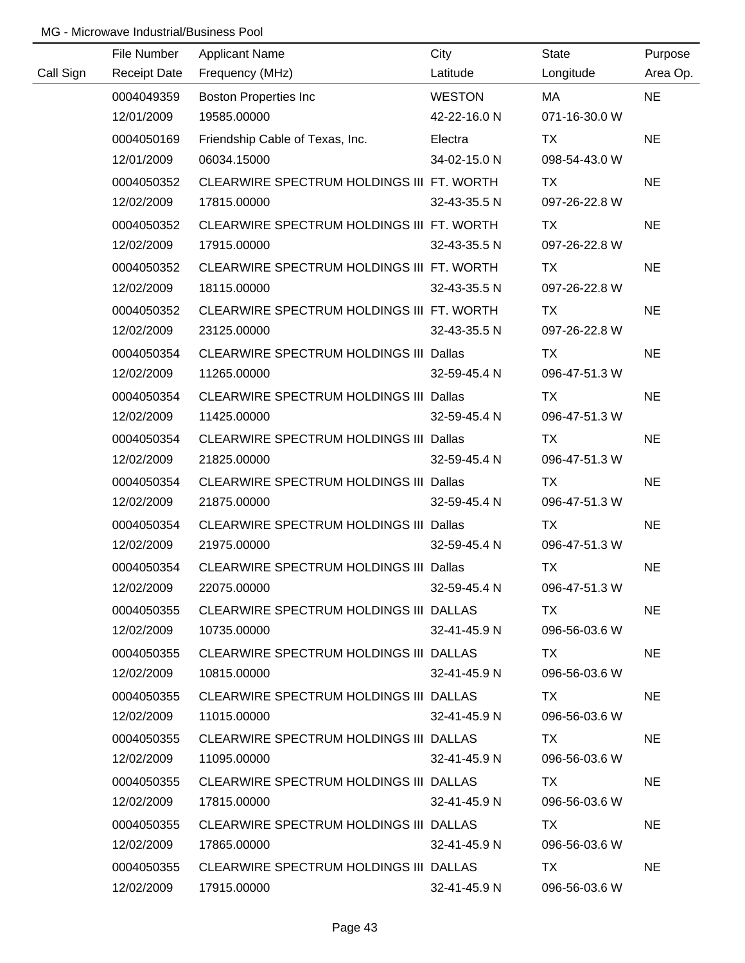|           | File Number | <b>Applicant Name</b>                         | City          | State         | Purpose   |
|-----------|-------------|-----------------------------------------------|---------------|---------------|-----------|
| Call Sign |             | Receipt Date Frequency (MHz)                  | Latitude      | Longitude     | Area Op.  |
|           | 0004049359  | <b>Boston Properties Inc</b>                  | <b>WESTON</b> | MA            | <b>NE</b> |
|           | 12/01/2009  | 19585.00000                                   | 42-22-16.0 N  | 071-16-30.0 W |           |
|           | 0004050169  | Friendship Cable of Texas, Inc.               | Electra       | <b>TX</b>     | <b>NE</b> |
|           | 12/01/2009  | 06034.15000                                   | 34-02-15.0 N  | 098-54-43.0 W |           |
|           | 0004050352  | CLEARWIRE SPECTRUM HOLDINGS III FT. WORTH     |               | <b>TX</b>     | <b>NE</b> |
|           | 12/02/2009  | 17815.00000                                   | 32-43-35.5 N  | 097-26-22.8 W |           |
|           | 0004050352  | CLEARWIRE SPECTRUM HOLDINGS III FT. WORTH     |               | TX TX         | <b>NE</b> |
|           | 12/02/2009  | 17915.00000                                   | 32-43-35.5 N  | 097-26-22.8 W |           |
|           | 0004050352  | CLEARWIRE SPECTRUM HOLDINGS III FT. WORTH     |               | <b>TX</b>     | <b>NE</b> |
|           | 12/02/2009  | 18115.00000                                   | 32-43-35.5 N  | 097-26-22.8 W |           |
|           | 0004050352  | CLEARWIRE SPECTRUM HOLDINGS III FT. WORTH     |               | TX .          | <b>NE</b> |
|           | 12/02/2009  | 23125.00000                                   | 32-43-35.5 N  | 097-26-22.8 W |           |
|           | 0004050354  | CLEARWIRE SPECTRUM HOLDINGS III Dallas        |               | TX.           | <b>NE</b> |
|           | 12/02/2009  | 11265.00000                                   | 32-59-45.4 N  | 096-47-51.3 W |           |
|           | 0004050354  | CLEARWIRE SPECTRUM HOLDINGS III Dallas        |               | <b>TX</b>     | <b>NE</b> |
|           | 12/02/2009  | 11425.00000                                   | 32-59-45.4 N  | 096-47-51.3 W |           |
|           | 0004050354  | CLEARWIRE SPECTRUM HOLDINGS III Dallas        |               | TX.           | <b>NE</b> |
|           | 12/02/2009  | 21825.00000                                   | 32-59-45.4 N  | 096-47-51.3 W |           |
|           | 0004050354  | <b>CLEARWIRE SPECTRUM HOLDINGS III Dallas</b> |               | TX            | <b>NE</b> |
|           | 12/02/2009  | 21875.00000                                   | 32-59-45.4 N  | 096-47-51.3 W |           |
|           | 0004050354  | CLEARWIRE SPECTRUM HOLDINGS III Dallas        |               | <b>TX</b>     | <b>NE</b> |
|           | 12/02/2009  | 21975.00000                                   | 32-59-45.4 N  | 096-47-51.3 W |           |
|           | 0004050354  | CLEARWIRE SPECTRUM HOLDINGS III Dallas        |               | <b>TX</b>     | <b>NE</b> |
|           | 12/02/2009  | 22075.00000                                   | 32-59-45.4 N  | 096-47-51.3 W |           |
|           | 0004050355  | CLEARWIRE SPECTRUM HOLDINGS III DALLAS        |               | TX T          | <b>NE</b> |
|           | 12/02/2009  | 10735.00000                                   | 32-41-45.9 N  | 096-56-03.6 W |           |
|           | 0004050355  | CLEARWIRE SPECTRUM HOLDINGS III DALLAS        |               | TX TX         | <b>NE</b> |
|           | 12/02/2009  | 10815.00000                                   | 32-41-45.9 N  | 096-56-03.6 W |           |
|           | 0004050355  | CLEARWIRE SPECTRUM HOLDINGS III DALLAS        |               | TX TX         | <b>NE</b> |
|           | 12/02/2009  | 11015.00000                                   | 32-41-45.9 N  | 096-56-03.6 W |           |
|           | 0004050355  | CLEARWIRE SPECTRUM HOLDINGS III DALLAS        |               | TX T          | <b>NE</b> |
|           | 12/02/2009  | 11095.00000                                   | 32-41-45.9 N  | 096-56-03.6 W |           |
|           | 0004050355  | CLEARWIRE SPECTRUM HOLDINGS III DALLAS        |               | TX T          | <b>NE</b> |
|           | 12/02/2009  | 17815.00000                                   | 32-41-45.9 N  | 096-56-03.6 W |           |
|           | 0004050355  | CLEARWIRE SPECTRUM HOLDINGS III DALLAS        |               | TX T          | <b>NE</b> |
|           | 12/02/2009  | 17865.00000                                   | 32-41-45.9 N  | 096-56-03.6 W |           |
|           | 0004050355  | CLEARWIRE SPECTRUM HOLDINGS III DALLAS        |               | TX T          | <b>NE</b> |
|           | 12/02/2009  | 17915.00000                                   | 32-41-45.9 N  | 096-56-03.6 W |           |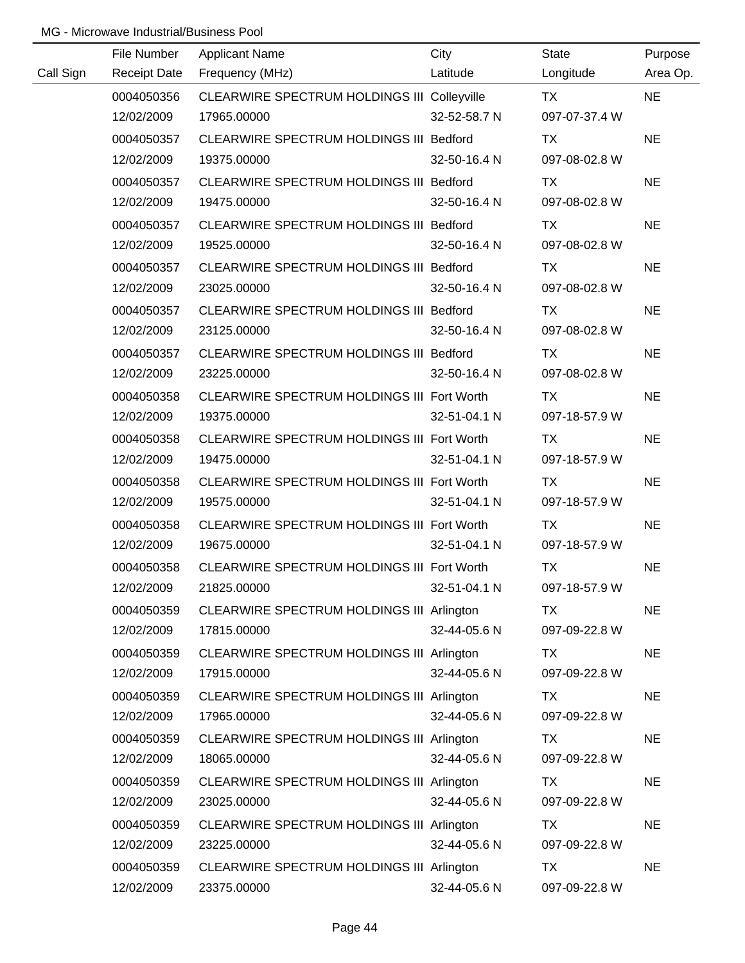|           | File Number         | <b>Applicant Name</b>                       | City         | <b>State</b>  | Purpose   |
|-----------|---------------------|---------------------------------------------|--------------|---------------|-----------|
| Call Sign | <b>Receipt Date</b> | Frequency (MHz)                             | Latitude     | Longitude     | Area Op.  |
|           | 0004050356          | CLEARWIRE SPECTRUM HOLDINGS III Colleyville |              | <b>TX</b>     | <b>NE</b> |
|           | 12/02/2009          | 17965.00000                                 | 32-52-58.7 N | 097-07-37.4 W |           |
|           | 0004050357          | CLEARWIRE SPECTRUM HOLDINGS III Bedford     |              | <b>TX</b>     | <b>NE</b> |
|           | 12/02/2009          | 19375.00000                                 | 32-50-16.4 N | 097-08-02.8 W |           |
|           | 0004050357          | CLEARWIRE SPECTRUM HOLDINGS III Bedford     |              | TX            | <b>NE</b> |
|           | 12/02/2009          | 19475.00000                                 | 32-50-16.4 N | 097-08-02.8 W |           |
|           | 0004050357          | CLEARWIRE SPECTRUM HOLDINGS III Bedford     |              | TX            | <b>NE</b> |
|           | 12/02/2009          | 19525.00000                                 | 32-50-16.4 N | 097-08-02.8 W |           |
|           | 0004050357          | CLEARWIRE SPECTRUM HOLDINGS III Bedford     |              | <b>TX</b>     | <b>NE</b> |
|           | 12/02/2009          | 23025.00000                                 | 32-50-16.4 N | 097-08-02.8 W |           |
|           | 0004050357          | CLEARWIRE SPECTRUM HOLDINGS III Bedford     |              | TX            | <b>NE</b> |
|           | 12/02/2009          | 23125.00000                                 | 32-50-16.4 N | 097-08-02.8 W |           |
|           | 0004050357          | CLEARWIRE SPECTRUM HOLDINGS III Bedford     |              | TX            | <b>NE</b> |
|           | 12/02/2009          | 23225.00000                                 | 32-50-16.4 N | 097-08-02.8 W |           |
|           | 0004050358          | CLEARWIRE SPECTRUM HOLDINGS III Fort Worth  |              | TX            | <b>NE</b> |
|           | 12/02/2009          | 19375.00000                                 | 32-51-04.1 N | 097-18-57.9 W |           |
|           | 0004050358          | CLEARWIRE SPECTRUM HOLDINGS III Fort Worth  |              | <b>TX</b>     | <b>NE</b> |
|           | 12/02/2009          | 19475.00000                                 | 32-51-04.1 N | 097-18-57.9 W |           |
|           | 0004050358          | CLEARWIRE SPECTRUM HOLDINGS III Fort Worth  |              | <b>TX</b>     | <b>NE</b> |
|           | 12/02/2009          | 19575.00000                                 | 32-51-04.1 N | 097-18-57.9 W |           |
|           | 0004050358          | CLEARWIRE SPECTRUM HOLDINGS III Fort Worth  |              | <b>TX</b>     | <b>NE</b> |
|           | 12/02/2009          | 19675.00000                                 | 32-51-04.1 N | 097-18-57.9 W |           |
|           | 0004050358          | CLEARWIRE SPECTRUM HOLDINGS III Fort Worth  |              | <b>TX</b>     | <b>NE</b> |
|           | 12/02/2009          | 21825.00000                                 | 32-51-04.1 N | 097-18-57.9 W |           |
|           | 0004050359          | CLEARWIRE SPECTRUM HOLDINGS III Arlington   |              | TX            | <b>NE</b> |
|           | 12/02/2009          | 17815.00000                                 | 32-44-05.6 N | 097-09-22.8 W |           |
|           | 0004050359          | CLEARWIRE SPECTRUM HOLDINGS III Arlington   |              | <b>TX</b>     | <b>NE</b> |
|           | 12/02/2009          | 17915.00000                                 | 32-44-05.6 N | 097-09-22.8 W |           |
|           | 0004050359          | CLEARWIRE SPECTRUM HOLDINGS III Arlington   |              | TX            | <b>NE</b> |
|           | 12/02/2009          | 17965.00000                                 | 32-44-05.6 N | 097-09-22.8 W |           |
|           | 0004050359          | CLEARWIRE SPECTRUM HOLDINGS III Arlington   |              | TX            | <b>NE</b> |
|           | 12/02/2009          | 18065.00000                                 | 32-44-05.6 N | 097-09-22.8 W |           |
|           | 0004050359          | CLEARWIRE SPECTRUM HOLDINGS III Arlington   |              | TX            | <b>NE</b> |
|           | 12/02/2009          | 23025.00000                                 | 32-44-05.6 N | 097-09-22.8 W |           |
|           | 0004050359          | CLEARWIRE SPECTRUM HOLDINGS III Arlington   |              | <b>TX</b>     | <b>NE</b> |
|           | 12/02/2009          | 23225.00000                                 | 32-44-05.6 N | 097-09-22.8 W |           |
|           | 0004050359          | CLEARWIRE SPECTRUM HOLDINGS III Arlington   |              | <b>TX</b>     | <b>NE</b> |
|           | 12/02/2009          | 23375.00000                                 | 32-44-05.6 N | 097-09-22.8 W |           |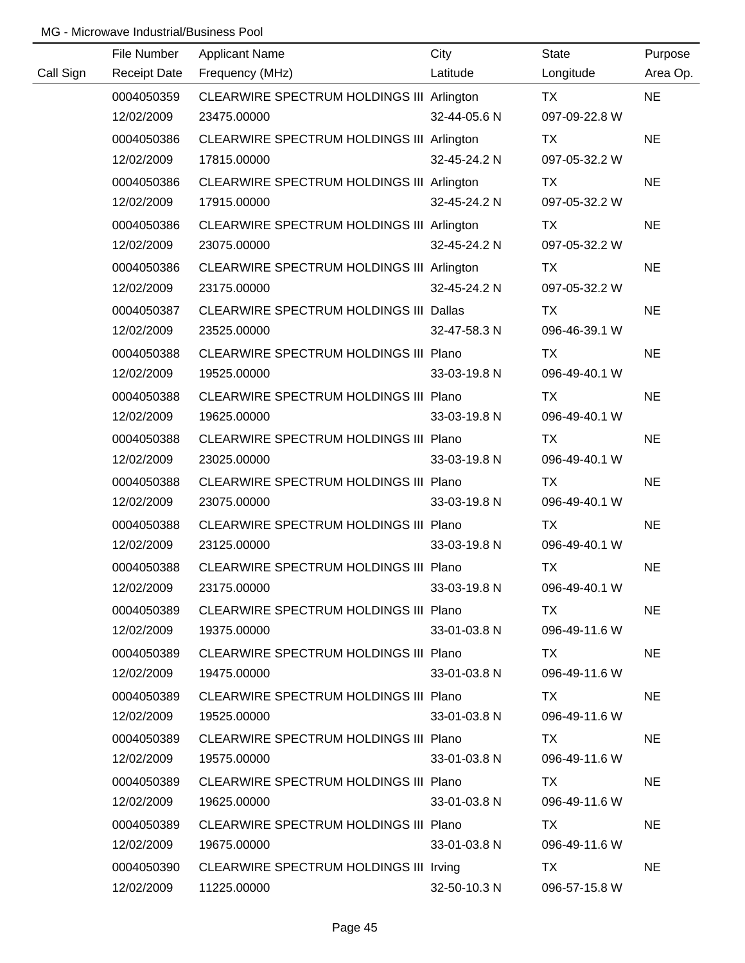|           | File Number         | <b>Applicant Name</b>                     | City         | <b>State</b>  | Purpose   |
|-----------|---------------------|-------------------------------------------|--------------|---------------|-----------|
| Call Sign | <b>Receipt Date</b> | Frequency (MHz)                           | Latitude     | Longitude     | Area Op.  |
|           | 0004050359          | CLEARWIRE SPECTRUM HOLDINGS III Arlington |              | TX            | <b>NE</b> |
|           | 12/02/2009          | 23475.00000                               | 32-44-05.6 N | 097-09-22.8 W |           |
|           | 0004050386          | CLEARWIRE SPECTRUM HOLDINGS III Arlington |              | TX            | <b>NE</b> |
|           | 12/02/2009          | 17815.00000                               | 32-45-24.2 N | 097-05-32.2 W |           |
|           | 0004050386          | CLEARWIRE SPECTRUM HOLDINGS III Arlington |              | TX            | <b>NE</b> |
|           | 12/02/2009          | 17915.00000                               | 32-45-24.2 N | 097-05-32.2 W |           |
|           | 0004050386          | CLEARWIRE SPECTRUM HOLDINGS III Arlington |              | TX            | <b>NE</b> |
|           | 12/02/2009          | 23075.00000                               | 32-45-24.2 N | 097-05-32.2 W |           |
|           | 0004050386          | CLEARWIRE SPECTRUM HOLDINGS III Arlington |              | TX            | <b>NE</b> |
|           | 12/02/2009          | 23175.00000                               | 32-45-24.2 N | 097-05-32.2 W |           |
|           | 0004050387          | CLEARWIRE SPECTRUM HOLDINGS III Dallas    |              | TX            | <b>NE</b> |
|           | 12/02/2009          | 23525.00000                               | 32-47-58.3 N | 096-46-39.1 W |           |
|           | 0004050388          | CLEARWIRE SPECTRUM HOLDINGS III Plano     |              | TX            | <b>NE</b> |
|           | 12/02/2009          | 19525.00000                               | 33-03-19.8 N | 096-49-40.1 W |           |
|           | 0004050388          | CLEARWIRE SPECTRUM HOLDINGS III Plano     |              | TX            | <b>NE</b> |
|           | 12/02/2009          | 19625.00000                               | 33-03-19.8 N | 096-49-40.1 W |           |
|           | 0004050388          | CLEARWIRE SPECTRUM HOLDINGS III Plano     |              | TX            | <b>NE</b> |
|           | 12/02/2009          | 23025.00000                               | 33-03-19.8 N | 096-49-40.1 W |           |
|           | 0004050388          | CLEARWIRE SPECTRUM HOLDINGS III Plano     |              | <b>TX</b>     | <b>NE</b> |
|           | 12/02/2009          | 23075.00000                               | 33-03-19.8 N | 096-49-40.1 W |           |
|           | 0004050388          | CLEARWIRE SPECTRUM HOLDINGS III Plano     |              | TX            | <b>NE</b> |
|           | 12/02/2009          | 23125.00000                               | 33-03-19.8 N | 096-49-40.1 W |           |
|           | 0004050388          | CLEARWIRE SPECTRUM HOLDINGS III Plano     |              | <b>TX</b>     | <b>NE</b> |
|           | 12/02/2009          | 23175.00000                               | 33-03-19.8 N | 096-49-40.1 W |           |
|           | 0004050389          | CLEARWIRE SPECTRUM HOLDINGS III Plano     |              | TX.           | <b>NE</b> |
|           | 12/02/2009          | 19375.00000                               | 33-01-03.8 N | 096-49-11.6 W |           |
|           | 0004050389          | CLEARWIRE SPECTRUM HOLDINGS III Plano     |              | TX.           | NE.       |
|           | 12/02/2009          | 19475.00000                               | 33-01-03.8 N | 096-49-11.6 W |           |
|           | 0004050389          | CLEARWIRE SPECTRUM HOLDINGS III Plano     |              | TX.           | <b>NE</b> |
|           | 12/02/2009          | 19525.00000                               | 33-01-03.8 N | 096-49-11.6 W |           |
|           | 0004050389          | CLEARWIRE SPECTRUM HOLDINGS III Plano     |              | TX.           | <b>NE</b> |
|           | 12/02/2009          | 19575.00000                               | 33-01-03.8 N | 096-49-11.6 W |           |
|           | 0004050389          | CLEARWIRE SPECTRUM HOLDINGS III Plano     |              | TX.           | <b>NE</b> |
|           | 12/02/2009          | 19625.00000                               | 33-01-03.8 N | 096-49-11.6 W |           |
|           | 0004050389          | CLEARWIRE SPECTRUM HOLDINGS III Plano     |              | TX            | <b>NE</b> |
|           | 12/02/2009          | 19675.00000                               | 33-01-03.8 N | 096-49-11.6 W |           |
|           | 0004050390          | CLEARWIRE SPECTRUM HOLDINGS III Irving    |              | TX            | <b>NE</b> |
|           | 12/02/2009          | 11225.00000                               | 32-50-10.3 N | 096-57-15.8 W |           |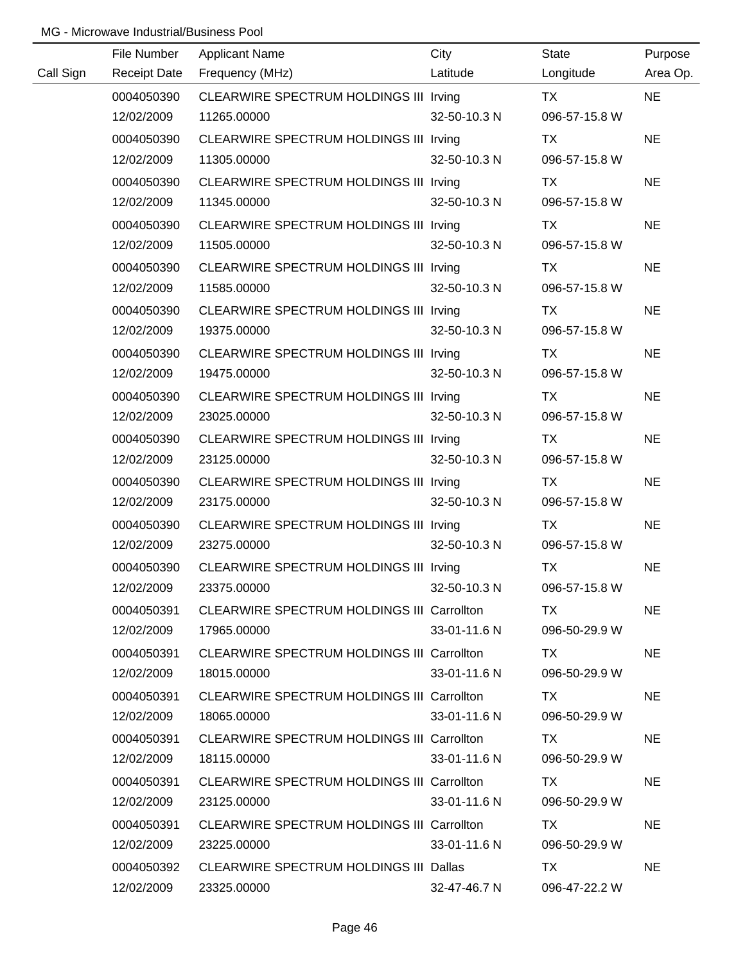|           | File Number         | <b>Applicant Name</b>                      | City         | State         | Purpose   |
|-----------|---------------------|--------------------------------------------|--------------|---------------|-----------|
| Call Sign | <b>Receipt Date</b> | Frequency (MHz)                            | Latitude     | Longitude     | Area Op.  |
|           | 0004050390          | CLEARWIRE SPECTRUM HOLDINGS III Irving     |              | <b>TX</b>     | <b>NE</b> |
|           | 12/02/2009          | 11265.00000                                | 32-50-10.3 N | 096-57-15.8 W |           |
|           | 0004050390          | CLEARWIRE SPECTRUM HOLDINGS III Irving     |              | TX            | <b>NE</b> |
|           | 12/02/2009          | 11305.00000                                | 32-50-10.3 N | 096-57-15.8 W |           |
|           | 0004050390          | CLEARWIRE SPECTRUM HOLDINGS III Irving     |              | TX            | <b>NE</b> |
|           | 12/02/2009          | 11345.00000                                | 32-50-10.3 N | 096-57-15.8 W |           |
|           | 0004050390          | CLEARWIRE SPECTRUM HOLDINGS III Irving     |              | TX            | <b>NE</b> |
|           | 12/02/2009          | 11505.00000                                | 32-50-10.3 N | 096-57-15.8 W |           |
|           | 0004050390          | CLEARWIRE SPECTRUM HOLDINGS III Irving     |              | TX            | <b>NE</b> |
|           | 12/02/2009          | 11585.00000                                | 32-50-10.3 N | 096-57-15.8 W |           |
|           | 0004050390          | CLEARWIRE SPECTRUM HOLDINGS III Irving     |              | TX            | <b>NE</b> |
|           | 12/02/2009          | 19375.00000                                | 32-50-10.3 N | 096-57-15.8 W |           |
|           | 0004050390          | CLEARWIRE SPECTRUM HOLDINGS III Irving     |              | TX            | <b>NE</b> |
|           | 12/02/2009          | 19475.00000                                | 32-50-10.3 N | 096-57-15.8 W |           |
|           | 0004050390          | CLEARWIRE SPECTRUM HOLDINGS III Irving     |              | TX            | <b>NE</b> |
|           | 12/02/2009          | 23025.00000                                | 32-50-10.3 N | 096-57-15.8 W |           |
|           | 0004050390          | CLEARWIRE SPECTRUM HOLDINGS III Irving     |              | TX            | <b>NE</b> |
|           | 12/02/2009          | 23125.00000                                | 32-50-10.3 N | 096-57-15.8 W |           |
|           | 0004050390          | CLEARWIRE SPECTRUM HOLDINGS III Irving     |              | TX            | <b>NE</b> |
|           | 12/02/2009          | 23175.00000                                | 32-50-10.3 N | 096-57-15.8 W |           |
|           | 0004050390          | CLEARWIRE SPECTRUM HOLDINGS III Irving     |              | <b>TX</b>     | <b>NE</b> |
|           | 12/02/2009          | 23275.00000                                | 32-50-10.3 N | 096-57-15.8 W |           |
|           | 0004050390          | CLEARWIRE SPECTRUM HOLDINGS III Irving     |              | <b>TX</b>     | <b>NE</b> |
|           | 12/02/2009          | 23375.00000                                | 32-50-10.3 N | 096-57-15.8 W |           |
|           | 0004050391          | CLEARWIRE SPECTRUM HOLDINGS III Carrollton |              | TX.           | <b>NE</b> |
|           | 12/02/2009          | 17965.00000                                | 33-01-11.6 N | 096-50-29.9 W |           |
|           | 0004050391          | CLEARWIRE SPECTRUM HOLDINGS III Carrollton |              | TX.           | NE.       |
|           | 12/02/2009          | 18015.00000                                | 33-01-11.6 N | 096-50-29.9 W |           |
|           | 0004050391          | CLEARWIRE SPECTRUM HOLDINGS III Carrollton |              | TX.           | <b>NE</b> |
|           | 12/02/2009          | 18065.00000                                | 33-01-11.6 N | 096-50-29.9 W |           |
|           | 0004050391          | CLEARWIRE SPECTRUM HOLDINGS III Carrollton |              | TX.           | <b>NE</b> |
|           | 12/02/2009          | 18115.00000                                | 33-01-11.6 N | 096-50-29.9 W |           |
|           | 0004050391          | CLEARWIRE SPECTRUM HOLDINGS III Carrollton |              | TX.           | <b>NE</b> |
|           | 12/02/2009          | 23125.00000                                | 33-01-11.6 N | 096-50-29.9 W |           |
|           | 0004050391          | CLEARWIRE SPECTRUM HOLDINGS III Carrollton |              | TX.           | <b>NE</b> |
|           | 12/02/2009          | 23225.00000                                | 33-01-11.6 N | 096-50-29.9 W |           |
|           | 0004050392          | CLEARWIRE SPECTRUM HOLDINGS III Dallas     |              | TX            | <b>NE</b> |
|           | 12/02/2009          | 23325.00000                                | 32-47-46.7 N | 096-47-22.2 W |           |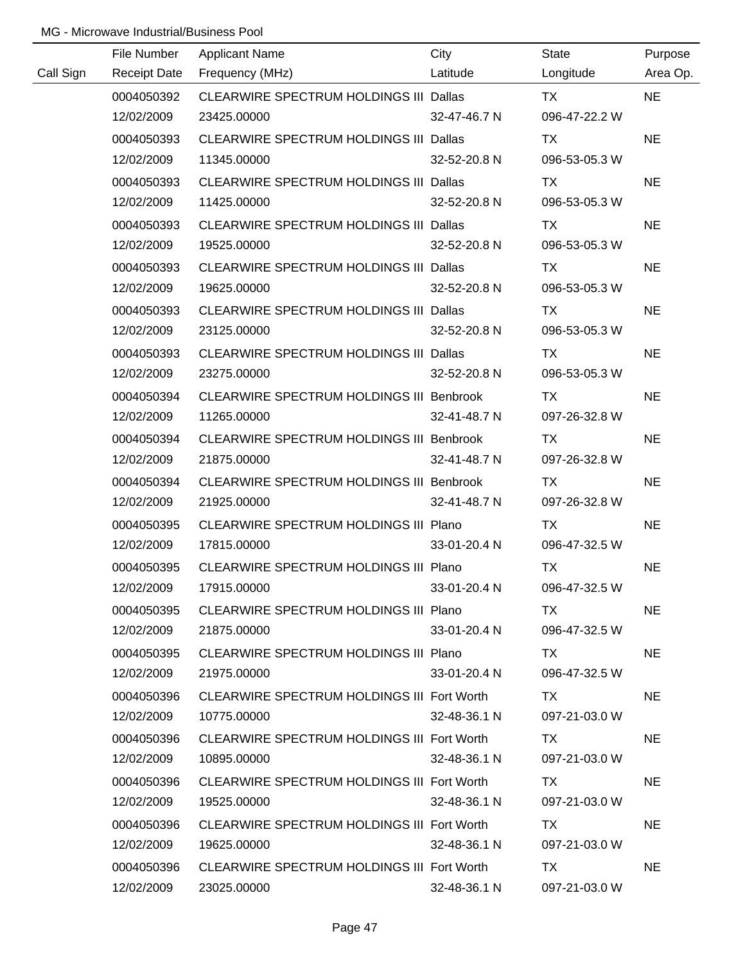|           | File Number         | <b>Applicant Name</b>                           | City         | <b>State</b>  | Purpose   |
|-----------|---------------------|-------------------------------------------------|--------------|---------------|-----------|
| Call Sign | <b>Receipt Date</b> | Frequency (MHz)                                 | Latitude     | Longitude     | Area Op.  |
|           | 0004050392          | CLEARWIRE SPECTRUM HOLDINGS III Dallas          |              | <b>TX</b>     | <b>NE</b> |
|           | 12/02/2009          | 23425.00000                                     | 32-47-46.7 N | 096-47-22.2 W |           |
|           | 0004050393          | CLEARWIRE SPECTRUM HOLDINGS III Dallas          |              | <b>TX</b>     | <b>NE</b> |
|           | 12/02/2009          | 11345.00000                                     | 32-52-20.8 N | 096-53-05.3 W |           |
|           | 0004050393          | CLEARWIRE SPECTRUM HOLDINGS III Dallas          |              | TX            | <b>NE</b> |
|           | 12/02/2009          | 11425.00000                                     | 32-52-20.8 N | 096-53-05.3 W |           |
|           | 0004050393          | CLEARWIRE SPECTRUM HOLDINGS III Dallas          |              | TX            | <b>NE</b> |
|           | 12/02/2009          | 19525.00000                                     | 32-52-20.8 N | 096-53-05.3 W |           |
|           | 0004050393          | CLEARWIRE SPECTRUM HOLDINGS III Dallas          |              | <b>TX</b>     | <b>NE</b> |
|           | 12/02/2009          | 19625.00000                                     | 32-52-20.8 N | 096-53-05.3 W |           |
|           | 0004050393          | CLEARWIRE SPECTRUM HOLDINGS III Dallas          |              | TX            | <b>NE</b> |
|           | 12/02/2009          | 23125.00000                                     | 32-52-20.8 N | 096-53-05.3 W |           |
|           | 0004050393          | CLEARWIRE SPECTRUM HOLDINGS III Dallas          |              | TX            | <b>NE</b> |
|           | 12/02/2009          | 23275.00000                                     | 32-52-20.8 N | 096-53-05.3 W |           |
|           | 0004050394          | CLEARWIRE SPECTRUM HOLDINGS III Benbrook        |              | TX            | <b>NE</b> |
|           | 12/02/2009          | 11265.00000                                     | 32-41-48.7 N | 097-26-32.8 W |           |
|           | 0004050394          | <b>CLEARWIRE SPECTRUM HOLDINGS III Benbrook</b> |              | TX            | <b>NE</b> |
|           | 12/02/2009          | 21875.00000                                     | 32-41-48.7 N | 097-26-32.8 W |           |
|           | 0004050394          | CLEARWIRE SPECTRUM HOLDINGS III Benbrook        |              | <b>TX</b>     | <b>NE</b> |
|           | 12/02/2009          | 21925.00000                                     | 32-41-48.7 N | 097-26-32.8 W |           |
|           | 0004050395          | CLEARWIRE SPECTRUM HOLDINGS III Plano           |              | <b>TX</b>     | <b>NE</b> |
|           | 12/02/2009          | 17815.00000                                     | 33-01-20.4 N | 096-47-32.5 W |           |
|           | 0004050395          | CLEARWIRE SPECTRUM HOLDINGS III Plano           |              | <b>TX</b>     | <b>NE</b> |
|           | 12/02/2009          | 17915.00000                                     | 33-01-20.4 N | 096-47-32.5 W |           |
|           | 0004050395          | CLEARWIRE SPECTRUM HOLDINGS III Plano           |              | TX.           | <b>NE</b> |
|           | 12/02/2009          | 21875.00000                                     | 33-01-20.4 N | 096-47-32.5 W |           |
|           | 0004050395          | CLEARWIRE SPECTRUM HOLDINGS III Plano           |              | TX.           | <b>NE</b> |
|           | 12/02/2009          | 21975.00000                                     | 33-01-20.4 N | 096-47-32.5 W |           |
|           | 0004050396          | CLEARWIRE SPECTRUM HOLDINGS III Fort Worth      |              | TX.           | <b>NE</b> |
|           | 12/02/2009          | 10775.00000                                     | 32-48-36.1 N | 097-21-03.0 W |           |
|           | 0004050396          | CLEARWIRE SPECTRUM HOLDINGS III Fort Worth      |              | TX.           | <b>NE</b> |
|           | 12/02/2009          | 10895.00000                                     | 32-48-36.1 N | 097-21-03.0 W |           |
|           | 0004050396          | CLEARWIRE SPECTRUM HOLDINGS III Fort Worth      |              | TX.           | <b>NE</b> |
|           | 12/02/2009          | 19525.00000                                     | 32-48-36.1 N | 097-21-03.0 W |           |
|           | 0004050396          | CLEARWIRE SPECTRUM HOLDINGS III Fort Worth      |              | TX            | <b>NE</b> |
|           | 12/02/2009          | 19625.00000                                     | 32-48-36.1 N | 097-21-03.0 W |           |
|           | 0004050396          | CLEARWIRE SPECTRUM HOLDINGS III Fort Worth      |              | <b>TX</b>     | <b>NE</b> |
|           | 12/02/2009          | 23025.00000                                     | 32-48-36.1 N | 097-21-03.0 W |           |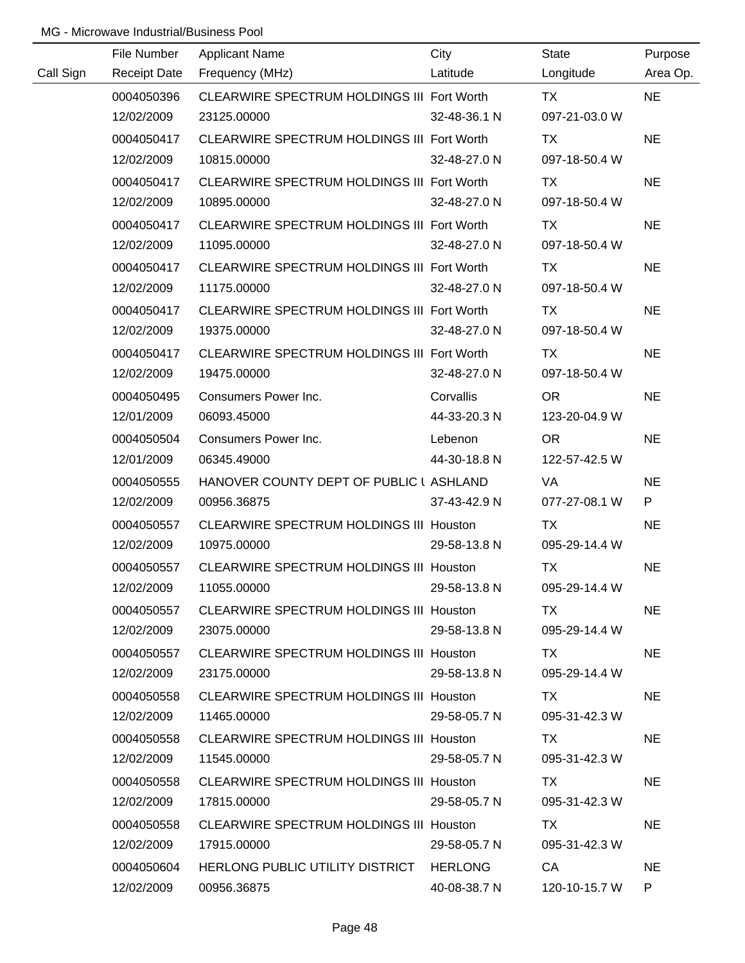|           | File Number         | <b>Applicant Name</b>                          | City         | <b>State</b>  | Purpose   |
|-----------|---------------------|------------------------------------------------|--------------|---------------|-----------|
| Call Sign | <b>Receipt Date</b> | Frequency (MHz)                                | Latitude     | Longitude     | Area Op.  |
|           | 0004050396          | CLEARWIRE SPECTRUM HOLDINGS III Fort Worth     |              | <b>TX</b>     | <b>NE</b> |
|           | 12/02/2009          | 23125.00000                                    | 32-48-36.1 N | 097-21-03.0 W |           |
|           | 0004050417          | CLEARWIRE SPECTRUM HOLDINGS III Fort Worth     |              | <b>TX</b>     | <b>NE</b> |
|           | 12/02/2009          | 10815.00000                                    | 32-48-27.0 N | 097-18-50.4 W |           |
|           | 0004050417          | CLEARWIRE SPECTRUM HOLDINGS III Fort Worth     |              | TX            | <b>NE</b> |
|           | 12/02/2009          | 10895.00000                                    | 32-48-27.0 N | 097-18-50.4 W |           |
|           | 0004050417          | CLEARWIRE SPECTRUM HOLDINGS III Fort Worth     |              | TX            | <b>NE</b> |
|           | 12/02/2009          | 11095.00000                                    | 32-48-27.0 N | 097-18-50.4 W |           |
|           | 0004050417          | CLEARWIRE SPECTRUM HOLDINGS III Fort Worth     |              | TX            | <b>NE</b> |
|           | 12/02/2009          | 11175.00000                                    | 32-48-27.0 N | 097-18-50.4 W |           |
|           | 0004050417          | CLEARWIRE SPECTRUM HOLDINGS III Fort Worth     |              | TX            | <b>NE</b> |
|           | 12/02/2009          | 19375.00000                                    | 32-48-27.0 N | 097-18-50.4 W |           |
|           | 0004050417          | CLEARWIRE SPECTRUM HOLDINGS III Fort Worth     |              | TX            | <b>NE</b> |
|           | 12/02/2009          | 19475.00000                                    | 32-48-27.0 N | 097-18-50.4 W |           |
|           | 0004050495          | Consumers Power Inc.                           | Corvallis    | <b>OR</b>     | <b>NE</b> |
|           | 12/01/2009          | 06093.45000                                    | 44-33-20.3 N | 123-20-04.9 W |           |
|           | 0004050504          | Consumers Power Inc.                           | Lebenon      | <b>OR</b>     | <b>NE</b> |
|           | 12/01/2009          | 06345.49000                                    | 44-30-18.8 N | 122-57-42.5 W |           |
|           | 0004050555          | HANOVER COUNTY DEPT OF PUBLIC I ASHLAND        |              | VA            | <b>NE</b> |
|           | 12/02/2009          | 00956.36875                                    | 37-43-42.9 N | 077-27-08.1 W | P         |
|           | 0004050557          | <b>CLEARWIRE SPECTRUM HOLDINGS III Houston</b> |              | <b>TX</b>     | <b>NE</b> |
|           | 12/02/2009          | 10975.00000                                    | 29-58-13.8 N | 095-29-14.4 W |           |
|           | 0004050557          | CLEARWIRE SPECTRUM HOLDINGS III Houston        |              | <b>TX</b>     | <b>NE</b> |
|           | 12/02/2009          | 11055.00000                                    | 29-58-13.8 N | 095-29-14.4 W |           |
|           | 0004050557          | CLEARWIRE SPECTRUM HOLDINGS III Houston        |              | TX.           | <b>NE</b> |
|           | 12/02/2009          | 23075.00000                                    | 29-58-13.8 N | 095-29-14.4 W |           |
|           | 0004050557          | CLEARWIRE SPECTRUM HOLDINGS III Houston        |              | TX.           | <b>NE</b> |
|           | 12/02/2009          | 23175.00000                                    | 29-58-13.8 N | 095-29-14.4 W |           |
|           | 0004050558          | CLEARWIRE SPECTRUM HOLDINGS III Houston        |              | TX.           | <b>NE</b> |
|           | 12/02/2009          | 11465.00000                                    | 29-58-05.7 N | 095-31-42.3 W |           |
|           | 0004050558          | <b>CLEARWIRE SPECTRUM HOLDINGS III Houston</b> |              | TX.           | <b>NE</b> |
|           | 12/02/2009          | 11545.00000                                    | 29-58-05.7 N | 095-31-42.3 W |           |
|           | 0004050558          | <b>CLEARWIRE SPECTRUM HOLDINGS III Houston</b> |              | TX.           | <b>NE</b> |
|           | 12/02/2009          | 17815.00000                                    | 29-58-05.7 N | 095-31-42.3 W |           |
|           | 0004050558          | <b>CLEARWIRE SPECTRUM HOLDINGS III Houston</b> |              | TX            | <b>NE</b> |
|           | 12/02/2009          | 17915.00000                                    | 29-58-05.7 N | 095-31-42.3 W |           |
|           | 0004050604          | HERLONG PUBLIC UTILITY DISTRICT HERLONG        |              | CA            | <b>NE</b> |
|           | 12/02/2009          | 00956.36875                                    | 40-08-38.7 N | 120-10-15.7 W | P.        |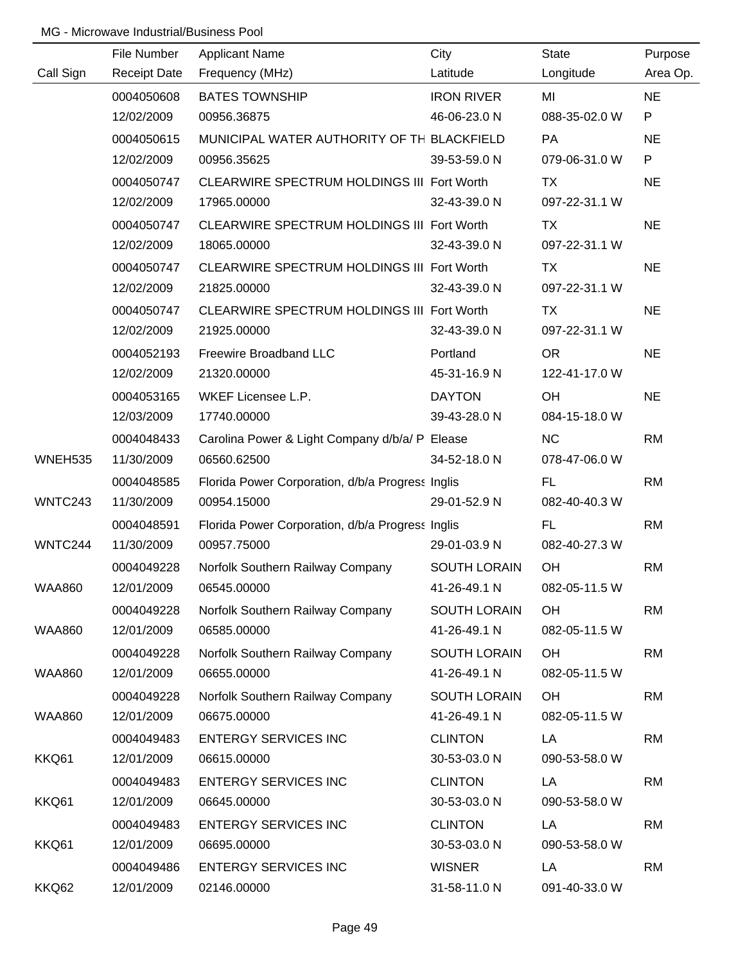|                | File Number         | <b>Applicant Name</b>                            | City                | <b>State</b>  | Purpose   |
|----------------|---------------------|--------------------------------------------------|---------------------|---------------|-----------|
| Call Sign      | <b>Receipt Date</b> | Frequency (MHz)                                  | Latitude            | Longitude     | Area Op.  |
|                | 0004050608          | <b>BATES TOWNSHIP</b>                            | <b>IRON RIVER</b>   | MI            | <b>NE</b> |
|                | 12/02/2009          | 00956.36875                                      | 46-06-23.0 N        | 088-35-02.0 W | P         |
|                | 0004050615          | MUNICIPAL WATER AUTHORITY OF TH BLACKFIELD       |                     | <b>PA</b>     | <b>NE</b> |
|                | 12/02/2009          | 00956.35625                                      | 39-53-59.0 N        | 079-06-31.0 W | P         |
|                | 0004050747          | CLEARWIRE SPECTRUM HOLDINGS III Fort Worth       |                     | TX            | <b>NE</b> |
|                | 12/02/2009          | 17965.00000                                      | 32-43-39.0 N        | 097-22-31.1 W |           |
|                | 0004050747          | CLEARWIRE SPECTRUM HOLDINGS III Fort Worth       |                     | TX            | <b>NE</b> |
|                | 12/02/2009          | 18065.00000                                      | 32-43-39.0 N        | 097-22-31.1 W |           |
|                | 0004050747          | CLEARWIRE SPECTRUM HOLDINGS III Fort Worth       |                     | TX            | <b>NE</b> |
|                | 12/02/2009          | 21825.00000                                      | 32-43-39.0 N        | 097-22-31.1 W |           |
|                | 0004050747          | CLEARWIRE SPECTRUM HOLDINGS III Fort Worth       |                     | TX            | <b>NE</b> |
|                | 12/02/2009          | 21925.00000                                      | 32-43-39.0 N        | 097-22-31.1 W |           |
|                | 0004052193          | Freewire Broadband LLC                           | Portland            | <b>OR</b>     | <b>NE</b> |
|                | 12/02/2009          | 21320.00000                                      | 45-31-16.9 N        | 122-41-17.0 W |           |
|                | 0004053165          | WKEF Licensee L.P.                               | <b>DAYTON</b>       | OH            | <b>NE</b> |
|                | 12/03/2009          | 17740.00000                                      | 39-43-28.0 N        | 084-15-18.0 W |           |
|                | 0004048433          | Carolina Power & Light Company d/b/a/ P Elease   |                     | <b>NC</b>     | <b>RM</b> |
| <b>WNEH535</b> | 11/30/2009          | 06560.62500                                      | 34-52-18.0 N        | 078-47-06.0 W |           |
|                | 0004048585          | Florida Power Corporation, d/b/a Progress Inglis |                     | <b>FL</b>     | <b>RM</b> |
| WNTC243        | 11/30/2009          | 00954.15000                                      | 29-01-52.9 N        | 082-40-40.3 W |           |
|                | 0004048591          | Florida Power Corporation, d/b/a Progress Inglis |                     | <b>FL</b>     | <b>RM</b> |
| WNTC244        | 11/30/2009          | 00957.75000                                      | 29-01-03.9 N        | 082-40-27.3 W |           |
|                | 0004049228          | Norfolk Southern Railway Company                 | <b>SOUTH LORAIN</b> | OH            | <b>RM</b> |
| <b>WAA860</b>  | 12/01/2009          | 06545.00000                                      | 41-26-49.1 N        | 082-05-11.5 W |           |
|                | 0004049228          | Norfolk Southern Railway Company                 | <b>SOUTH LORAIN</b> | <b>OH</b>     | <b>RM</b> |
| <b>WAA860</b>  | 12/01/2009          | 06585.00000                                      | 41-26-49.1 N        | 082-05-11.5 W |           |
|                | 0004049228          | Norfolk Southern Railway Company                 | <b>SOUTH LORAIN</b> | OH            | <b>RM</b> |
| <b>WAA860</b>  | 12/01/2009          | 06655.00000                                      | 41-26-49.1 N        | 082-05-11.5 W |           |
|                | 0004049228          | Norfolk Southern Railway Company                 | <b>SOUTH LORAIN</b> | <b>OH</b>     | <b>RM</b> |
| <b>WAA860</b>  | 12/01/2009          | 06675.00000                                      | 41-26-49.1 N        | 082-05-11.5 W |           |
|                | 0004049483          | <b>ENTERGY SERVICES INC</b>                      | <b>CLINTON</b>      | LA            | <b>RM</b> |
| KKQ61          | 12/01/2009          | 06615.00000                                      | 30-53-03.0 N        | 090-53-58.0 W |           |
|                | 0004049483          | <b>ENTERGY SERVICES INC</b>                      | <b>CLINTON</b>      | LA            | <b>RM</b> |
| KKQ61          | 12/01/2009          | 06645.00000                                      | 30-53-03.0 N        | 090-53-58.0 W |           |
|                | 0004049483          | <b>ENTERGY SERVICES INC</b>                      | <b>CLINTON</b>      | LA            | <b>RM</b> |
| KKQ61          | 12/01/2009          | 06695.00000                                      | 30-53-03.0 N        | 090-53-58.0 W |           |
|                | 0004049486          | <b>ENTERGY SERVICES INC</b>                      | <b>WISNER</b>       | LA            | <b>RM</b> |
| KKQ62          | 12/01/2009          | 02146.00000                                      | 31-58-11.0 N        | 091-40-33.0 W |           |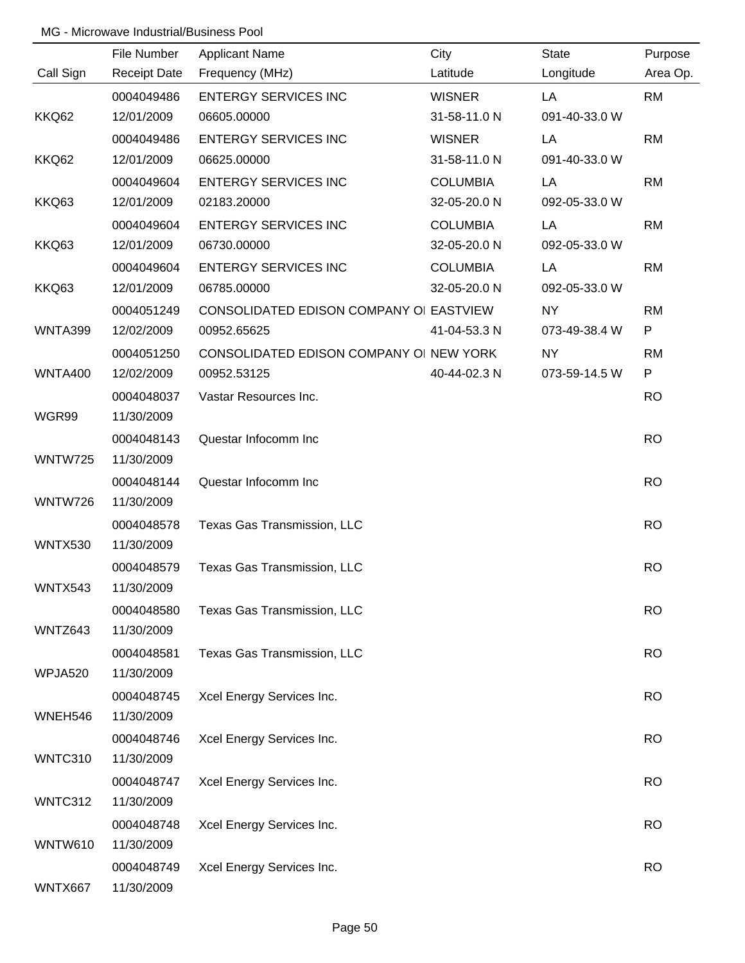|                | File Number         | <b>Applicant Name</b>                   | City            | <b>State</b>  | Purpose   |
|----------------|---------------------|-----------------------------------------|-----------------|---------------|-----------|
| Call Sign      | <b>Receipt Date</b> | Frequency (MHz)                         | Latitude        | Longitude     | Area Op.  |
|                | 0004049486          | <b>ENTERGY SERVICES INC</b>             | <b>WISNER</b>   | LA            | <b>RM</b> |
| KKQ62          | 12/01/2009          | 06605.00000                             | 31-58-11.0 N    | 091-40-33.0 W |           |
|                | 0004049486          | <b>ENTERGY SERVICES INC</b>             | <b>WISNER</b>   | LA            | <b>RM</b> |
| KKQ62          | 12/01/2009          | 06625.00000                             | 31-58-11.0 N    | 091-40-33.0 W |           |
|                | 0004049604          | <b>ENTERGY SERVICES INC</b>             | <b>COLUMBIA</b> | LA            | <b>RM</b> |
| KKQ63          | 12/01/2009          | 02183.20000                             | 32-05-20.0 N    | 092-05-33.0 W |           |
|                | 0004049604          | <b>ENTERGY SERVICES INC</b>             | <b>COLUMBIA</b> | LA            | <b>RM</b> |
| KKQ63          | 12/01/2009          | 06730.00000                             | 32-05-20.0 N    | 092-05-33.0 W |           |
|                | 0004049604          | <b>ENTERGY SERVICES INC</b>             | <b>COLUMBIA</b> | LA            | <b>RM</b> |
| KKQ63          | 12/01/2009          | 06785.00000                             | 32-05-20.0 N    | 092-05-33.0 W |           |
|                | 0004051249          | CONSOLIDATED EDISON COMPANY OI EASTVIEW |                 | NY            | <b>RM</b> |
| WNTA399        | 12/02/2009          | 00952.65625                             | 41-04-53.3 N    | 073-49-38.4 W | P         |
|                | 0004051250          | CONSOLIDATED EDISON COMPANY OI NEW YORK |                 | <b>NY</b>     | <b>RM</b> |
| <b>WNTA400</b> | 12/02/2009          | 00952.53125                             | 40-44-02.3 N    | 073-59-14.5 W | P         |
|                | 0004048037          | Vastar Resources Inc.                   |                 |               | <b>RO</b> |
| WGR99          | 11/30/2009          |                                         |                 |               |           |
|                | 0004048143          | Questar Infocomm Inc                    |                 |               | <b>RO</b> |
| WNTW725        | 11/30/2009          |                                         |                 |               |           |
|                | 0004048144          | Questar Infocomm Inc                    |                 |               | <b>RO</b> |
| <b>WNTW726</b> | 11/30/2009          |                                         |                 |               |           |
|                | 0004048578          | Texas Gas Transmission, LLC             |                 |               | <b>RO</b> |
| <b>WNTX530</b> | 11/30/2009          |                                         |                 |               |           |
|                | 0004048579          | Texas Gas Transmission, LLC             |                 |               | <b>RO</b> |
| WNTX543        | 11/30/2009          |                                         |                 |               |           |
|                | 0004048580          | Texas Gas Transmission, LLC             |                 |               | <b>RO</b> |
| WNTZ643        | 11/30/2009          |                                         |                 |               |           |
|                | 0004048581          | Texas Gas Transmission, LLC             |                 |               | <b>RO</b> |
| WPJA520        | 11/30/2009          |                                         |                 |               |           |
|                | 0004048745          | Xcel Energy Services Inc.               |                 |               | <b>RO</b> |
| WNEH546        | 11/30/2009          |                                         |                 |               |           |
|                | 0004048746          | Xcel Energy Services Inc.               |                 |               | <b>RO</b> |
| WNTC310        | 11/30/2009          |                                         |                 |               |           |
|                | 0004048747          | Xcel Energy Services Inc.               |                 |               | <b>RO</b> |
| WNTC312        | 11/30/2009          |                                         |                 |               |           |
|                | 0004048748          | Xcel Energy Services Inc.               |                 |               | <b>RO</b> |
| <b>WNTW610</b> | 11/30/2009          |                                         |                 |               |           |
|                | 0004048749          | Xcel Energy Services Inc.               |                 |               | <b>RO</b> |
| WNTX667        | 11/30/2009          |                                         |                 |               |           |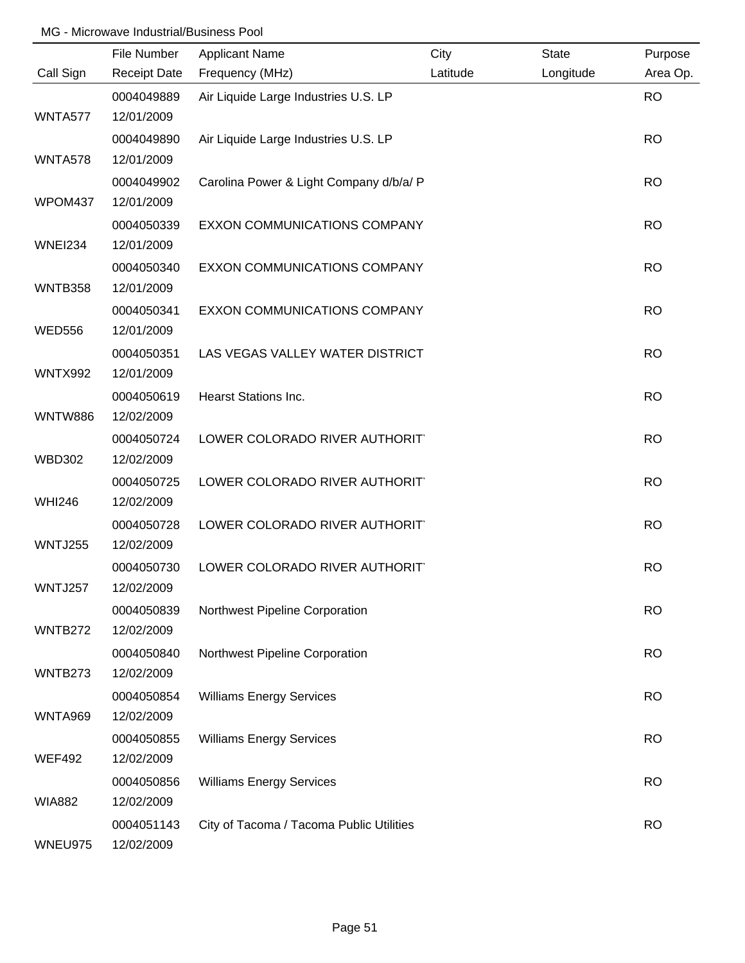|                | File Number              | <b>Applicant Name</b>                    | City     | <b>State</b> | Purpose   |
|----------------|--------------------------|------------------------------------------|----------|--------------|-----------|
| Call Sign      | <b>Receipt Date</b>      | Frequency (MHz)                          | Latitude | Longitude    | Area Op.  |
| WNTA577        | 0004049889<br>12/01/2009 | Air Liquide Large Industries U.S. LP     |          |              | <b>RO</b> |
| <b>WNTA578</b> | 0004049890<br>12/01/2009 | Air Liquide Large Industries U.S. LP     |          |              | <b>RO</b> |
| WPOM437        | 0004049902<br>12/01/2009 | Carolina Power & Light Company d/b/a/ P  |          |              | <b>RO</b> |
| <b>WNEI234</b> | 0004050339<br>12/01/2009 | EXXON COMMUNICATIONS COMPANY             |          |              | <b>RO</b> |
| WNTB358        | 0004050340<br>12/01/2009 | EXXON COMMUNICATIONS COMPANY             |          |              | <b>RO</b> |
| <b>WED556</b>  | 0004050341<br>12/01/2009 | EXXON COMMUNICATIONS COMPANY             |          |              | <b>RO</b> |
| <b>WNTX992</b> | 0004050351<br>12/01/2009 | LAS VEGAS VALLEY WATER DISTRICT          |          |              | <b>RO</b> |
| <b>WNTW886</b> | 0004050619<br>12/02/2009 | <b>Hearst Stations Inc.</b>              |          |              | <b>RO</b> |
| <b>WBD302</b>  | 0004050724<br>12/02/2009 | LOWER COLORADO RIVER AUTHORIT            |          |              | <b>RO</b> |
| <b>WHI246</b>  | 0004050725<br>12/02/2009 | LOWER COLORADO RIVER AUTHORIT            |          |              | <b>RO</b> |
| WNTJ255        | 0004050728<br>12/02/2009 | LOWER COLORADO RIVER AUTHORIT            |          |              | <b>RO</b> |
| <b>WNTJ257</b> | 0004050730<br>12/02/2009 | LOWER COLORADO RIVER AUTHORIT            |          |              | <b>RO</b> |
| WNTB272        | 0004050839<br>12/02/2009 | Northwest Pipeline Corporation           |          |              | <b>RO</b> |
| WNTB273        | 0004050840<br>12/02/2009 | Northwest Pipeline Corporation           |          |              | <b>RO</b> |
| <b>WNTA969</b> | 0004050854<br>12/02/2009 | <b>Williams Energy Services</b>          |          |              | <b>RO</b> |
|                | 0004050855               | <b>Williams Energy Services</b>          |          |              | <b>RO</b> |
| <b>WEF492</b>  | 12/02/2009<br>0004050856 | <b>Williams Energy Services</b>          |          |              | <b>RO</b> |
| <b>WIA882</b>  | 12/02/2009<br>0004051143 | City of Tacoma / Tacoma Public Utilities |          |              | <b>RO</b> |
| WNEU975        | 12/02/2009               |                                          |          |              |           |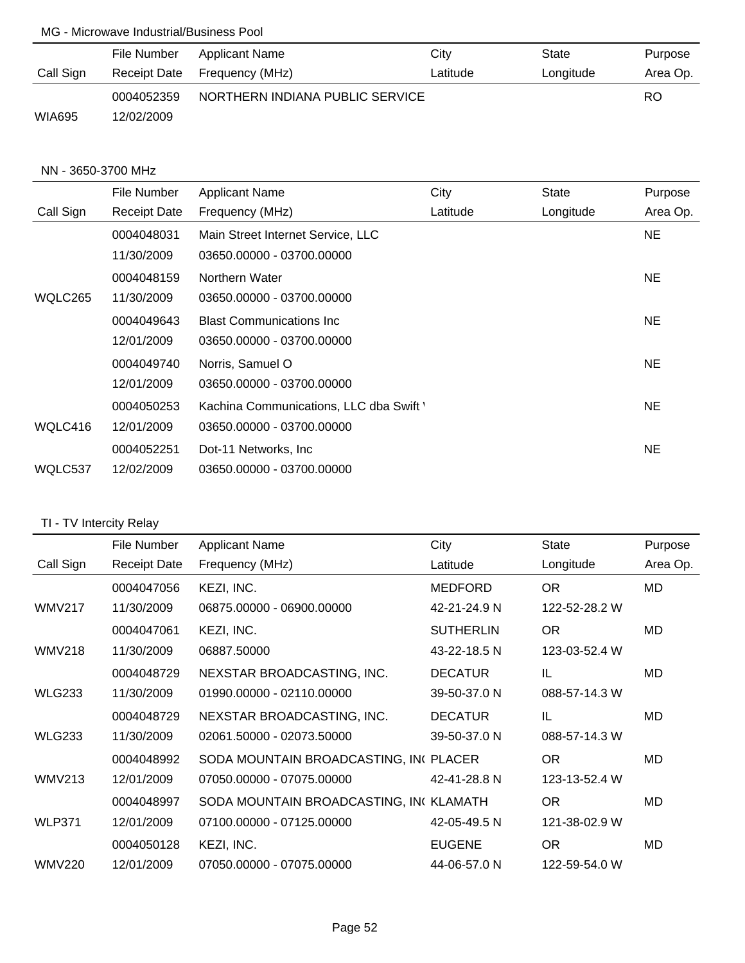|               | File Number         | Applicant Name  | City                            | State     | Purpose  |
|---------------|---------------------|-----------------|---------------------------------|-----------|----------|
| Call Sign     | <b>Receipt Date</b> | Frequency (MHz) | Latitude                        | Longitude | Area Op. |
|               | 0004052359          |                 | NORTHERN INDIANA PUBLIC SERVICE |           |          |
| <b>WIA695</b> | 12/02/2009          |                 |                                 |           |          |

#### NN - 3650-3700 MHz

|           | File Number         | <b>Applicant Name</b>                   | City     | <b>State</b> | Purpose   |
|-----------|---------------------|-----------------------------------------|----------|--------------|-----------|
| Call Sign | <b>Receipt Date</b> | Frequency (MHz)                         | Latitude | Longitude    | Area Op.  |
|           | 0004048031          | Main Street Internet Service, LLC       |          |              | NE.       |
|           | 11/30/2009          | 03650.00000 - 03700.00000               |          |              |           |
|           | 0004048159          | Northern Water                          |          |              | NE.       |
| WQLC265   | 11/30/2009          | 03650.00000 - 03700.00000               |          |              |           |
|           | 0004049643          | <b>Blast Communications Inc.</b>        |          |              | NE.       |
|           | 12/01/2009          | 03650.00000 - 03700.00000               |          |              |           |
|           | 0004049740          | Norris, Samuel O                        |          |              | NE.       |
|           | 12/01/2009          | 03650.00000 - 03700.00000               |          |              |           |
|           | 0004050253          | Kachina Communications, LLC dba Swift ' |          |              | NE.       |
| WQLC416   | 12/01/2009          | 03650.00000 - 03700.00000               |          |              |           |
|           | 0004052251          | Dot-11 Networks, Inc.                   |          |              | <b>NE</b> |
| WQLC537   | 12/02/2009          | 03650.00000 - 03700.00000               |          |              |           |

# TI - TV Intercity Relay

|               | File Number         | <b>Applicant Name</b>                  | City             | <b>State</b>  | Purpose  |
|---------------|---------------------|----------------------------------------|------------------|---------------|----------|
| Call Sign     | <b>Receipt Date</b> | Frequency (MHz)                        | Latitude         | Longitude     | Area Op. |
|               | 0004047056          | KEZI, INC.                             | <b>MEDFORD</b>   | <b>OR</b>     | MD       |
| <b>WMV217</b> | 11/30/2009          | 06875.00000 - 06900.00000              | 42-21-24.9 N     | 122-52-28.2 W |          |
|               | 0004047061          | KEZI, INC.                             | <b>SUTHERLIN</b> | OR.           | MD       |
| <b>WMV218</b> | 11/30/2009          | 06887.50000                            | 43-22-18.5 N     | 123-03-52.4 W |          |
|               | 0004048729          | NEXSTAR BROADCASTING, INC.             | <b>DECATUR</b>   | IL            | MD       |
| <b>WLG233</b> | 11/30/2009          | 01990.00000 - 02110.00000              | 39-50-37.0 N     | 088-57-14.3 W |          |
|               | 0004048729          | NEXSTAR BROADCASTING, INC.             | <b>DECATUR</b>   | IL            | MD       |
| <b>WLG233</b> | 11/30/2009          | 02061.50000 - 02073.50000              | 39-50-37.0 N     | 088-57-14.3 W |          |
|               | 0004048992          | SODA MOUNTAIN BROADCASTING, INCPLACER  |                  | OR.           | MD       |
| <b>WMV213</b> | 12/01/2009          | 07050.00000 - 07075.00000              | 42-41-28.8 N     | 123-13-52.4 W |          |
|               | 0004048997          | SODA MOUNTAIN BROADCASTING, INCKLAMATH |                  | <b>OR</b>     | MD       |
| <b>WLP371</b> | 12/01/2009          | 07100.00000 - 07125.00000              | 42-05-49.5 N     | 121-38-02.9 W |          |
|               | 0004050128          | KEZI, INC.                             | <b>EUGENE</b>    | <b>OR</b>     | MD       |
| <b>WMV220</b> | 12/01/2009          | 07050.00000 - 07075.00000              | 44-06-57.0 N     | 122-59-54.0 W |          |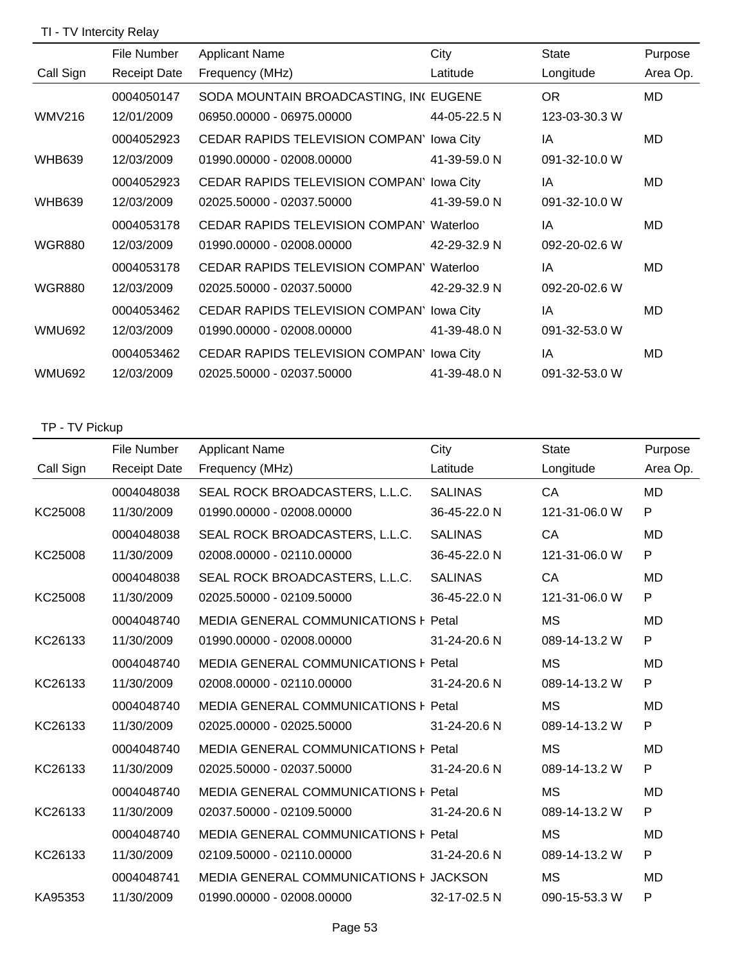# TI - TV Intercity Relay

|               | File Number         | <b>Applicant Name</b>                           | City         | State         | Purpose   |
|---------------|---------------------|-------------------------------------------------|--------------|---------------|-----------|
| Call Sign     | <b>Receipt Date</b> | Frequency (MHz)                                 | Latitude     | Longitude     | Area Op.  |
|               | 0004050147          | SODA MOUNTAIN BROADCASTING, INCEUGENE           |              | <b>OR</b>     | MD        |
| <b>WMV216</b> | 12/01/2009          | 06950.00000 - 06975.00000                       | 44-05-22.5 N | 123-03-30.3 W |           |
|               | 0004052923          | CEDAR RAPIDS TELEVISION COMPAN' lowa City       |              | IA            | MD        |
| <b>WHB639</b> | 12/03/2009          | 01990.00000 - 02008.00000                       | 41-39-59.0 N | 091-32-10.0 W |           |
|               | 0004052923          | CEDAR RAPIDS TELEVISION COMPAN' lowa City       |              | IA            | MD        |
| <b>WHB639</b> | 12/03/2009          | 02025.50000 - 02037.50000                       | 41-39-59.0 N | 091-32-10.0 W |           |
|               | 0004053178          | CEDAR RAPIDS TELEVISION COMPAN' Waterloo        |              | IA            | <b>MD</b> |
| <b>WGR880</b> | 12/03/2009          | 01990.00000 - 02008.00000                       | 42-29-32.9 N | 092-20-02.6 W |           |
|               | 0004053178          | <b>CEDAR RAPIDS TELEVISION COMPAN' Waterloo</b> |              | IA            | MD        |
| <b>WGR880</b> | 12/03/2009          | 02025.50000 - 02037.50000                       | 42-29-32.9 N | 092-20-02.6 W |           |
|               | 0004053462          | CEDAR RAPIDS TELEVISION COMPAN' lowa City       |              | IA            | MD        |
| <b>WMU692</b> | 12/03/2009          | 01990.00000 - 02008.00000                       | 41-39-48.0 N | 091-32-53.0 W |           |
|               | 0004053462          | CEDAR RAPIDS TELEVISION COMPAN' lowa City       |              | IA            | MD        |
| <b>WMU692</b> | 12/03/2009          | 02025.50000 - 02037.50000                       | 41-39-48.0 N | 091-32-53.0 W |           |

## TP - TV Pickup

|           | File Number         | <b>Applicant Name</b>                         | City           | <b>State</b>  | Purpose   |
|-----------|---------------------|-----------------------------------------------|----------------|---------------|-----------|
| Call Sign | <b>Receipt Date</b> | Frequency (MHz)                               | Latitude       | Longitude     | Area Op.  |
|           | 0004048038          | SEAL ROCK BROADCASTERS, L.L.C.                | <b>SALINAS</b> | CA            | <b>MD</b> |
| KC25008   | 11/30/2009          | 01990.00000 - 02008.00000                     | 36-45-22.0 N   | 121-31-06.0 W | P         |
|           | 0004048038          | SEAL ROCK BROADCASTERS, L.L.C.                | <b>SALINAS</b> | CA            | MD        |
| KC25008   | 11/30/2009          | 02008.00000 - 02110.00000                     | 36-45-22.0 N   | 121-31-06.0 W | P         |
|           | 0004048038          | SEAL ROCK BROADCASTERS, L.L.C.                | <b>SALINAS</b> | CA            | <b>MD</b> |
| KC25008   | 11/30/2009          | 02025.50000 - 02109.50000                     | 36-45-22.0 N   | 121-31-06.0 W | P         |
|           | 0004048740          | MEDIA GENERAL COMMUNICATIONS F Petal          |                | <b>MS</b>     | MD        |
| KC26133   | 11/30/2009          | 01990.00000 - 02008.00000                     | 31-24-20.6 N   | 089-14-13.2 W | P         |
|           | 0004048740          | <b>MEDIA GENERAL COMMUNICATIONS F Petal</b>   |                | <b>MS</b>     | <b>MD</b> |
| KC26133   | 11/30/2009          | 02008.00000 - 02110.00000                     | 31-24-20.6 N   | 089-14-13.2 W | P         |
|           | 0004048740          | <b>MEDIA GENERAL COMMUNICATIONS F Petal</b>   |                | <b>MS</b>     | <b>MD</b> |
| KC26133   | 11/30/2009          | 02025.00000 - 02025.50000                     | 31-24-20.6 N   | 089-14-13.2 W | P         |
|           | 0004048740          | <b>MEDIA GENERAL COMMUNICATIONS F Petal</b>   |                | <b>MS</b>     | <b>MD</b> |
| KC26133   | 11/30/2009          | 02025.50000 - 02037.50000                     | 31-24-20.6 N   | 089-14-13.2 W | P         |
|           | 0004048740          | MEDIA GENERAL COMMUNICATIONS F Petal          |                | <b>MS</b>     | <b>MD</b> |
| KC26133   | 11/30/2009          | 02037.50000 - 02109.50000                     | 31-24-20.6 N   | 089-14-13.2 W | P         |
|           | 0004048740          | MEDIA GENERAL COMMUNICATIONS F Petal          |                | <b>MS</b>     | <b>MD</b> |
| KC26133   | 11/30/2009          | 02109.50000 - 02110.00000                     | 31-24-20.6 N   | 089-14-13.2 W | P         |
|           | 0004048741          | <b>MEDIA GENERAL COMMUNICATIONS F JACKSON</b> |                | <b>MS</b>     | MD        |
| KA95353   | 11/30/2009          | 01990.00000 - 02008.00000                     | 32-17-02.5 N   | 090-15-53.3 W | P         |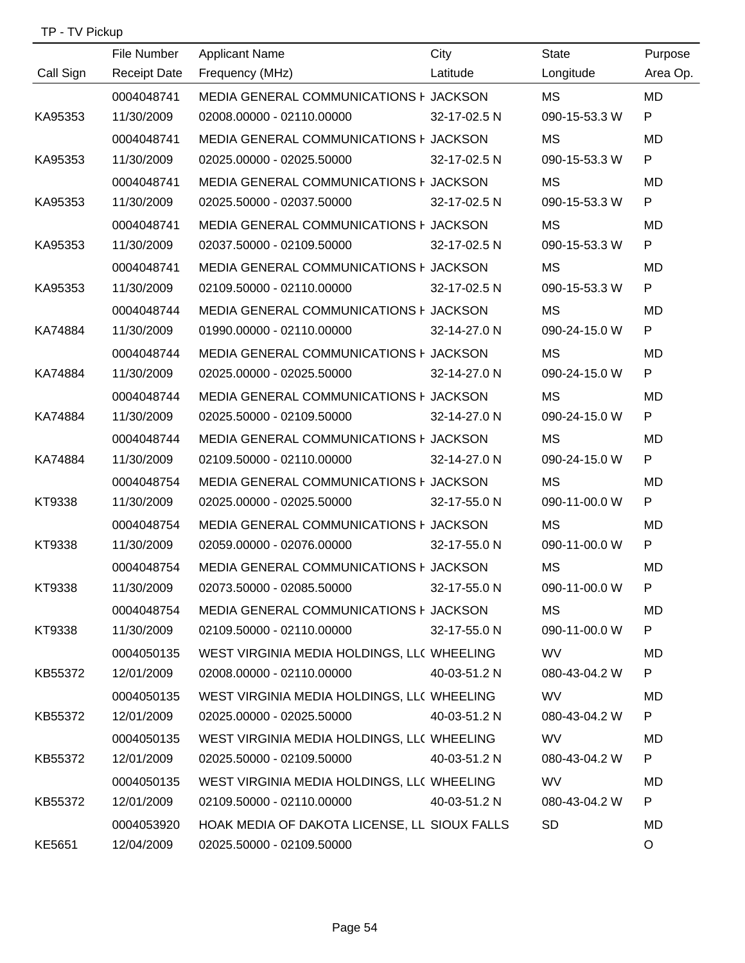| TP - TV Pickup |  |
|----------------|--|
|----------------|--|

|           | File Number         | <b>Applicant Name</b>                        | City         | <b>State</b>  | Purpose   |
|-----------|---------------------|----------------------------------------------|--------------|---------------|-----------|
| Call Sign | <b>Receipt Date</b> | Frequency (MHz)                              | Latitude     | Longitude     | Area Op.  |
|           | 0004048741          | MEDIA GENERAL COMMUNICATIONS F JACKSON       |              | <b>MS</b>     | MD        |
| KA95353   | 11/30/2009          | 02008.00000 - 02110.00000 32-17-02.5 N       |              | 090-15-53.3 W | P         |
|           | 0004048741          | MEDIA GENERAL COMMUNICATIONS F JACKSON       |              | <b>MS</b>     | MD.       |
| KA95353   | 11/30/2009          | 02025.00000 - 02025.50000 32-17-02.5 N       |              | 090-15-53.3 W | P         |
|           | 0004048741          | MEDIA GENERAL COMMUNICATIONS F JACKSON       |              | MS            | MD.       |
| KA95353   | 11/30/2009          | 02025.50000 - 02037.50000                    | 32-17-02.5 N | 090-15-53.3 W | P         |
|           | 0004048741          | MEDIA GENERAL COMMUNICATIONS F JACKSON       |              | MS            | <b>MD</b> |
| KA95353   | 11/30/2009          | 02037.50000 - 02109.50000                    | 32-17-02.5 N | 090-15-53.3 W | P         |
|           | 0004048741          | MEDIA GENERAL COMMUNICATIONS F JACKSON       |              | MS            | MD        |
| KA95353   | 11/30/2009          | 02109.50000 - 02110.00000 32-17-02.5 N       |              | 090-15-53.3 W | P         |
|           | 0004048744          | MEDIA GENERAL COMMUNICATIONS F JACKSON       |              | <b>MS</b>     | MD        |
| KA74884   | 11/30/2009          | 01990.00000 - 02110.00000 32-14-27.0 N       |              | 090-24-15.0 W | P         |
|           | 0004048744          | MEDIA GENERAL COMMUNICATIONS F JACKSON       |              | <b>MS</b>     | MD        |
| KA74884   | 11/30/2009          | 02025.00000 - 02025.50000 32-14-27.0 N       |              | 090-24-15.0 W | P         |
|           | 0004048744          | MEDIA GENERAL COMMUNICATIONS F JACKSON       |              | MS            | <b>MD</b> |
| KA74884   | 11/30/2009          | 02025.50000 - 02109.50000                    | 32-14-27.0 N | 090-24-15.0 W | P         |
|           | 0004048744          | MEDIA GENERAL COMMUNICATIONS F JACKSON       |              | <b>MS</b>     | MD        |
| KA74884   | 11/30/2009          | 02109.50000 - 02110.00000                    | 32-14-27.0 N | 090-24-15.0 W | P         |
|           | 0004048754          | MEDIA GENERAL COMMUNICATIONS F JACKSON       |              | <b>MS</b>     | MD.       |
| KT9338    | 11/30/2009          | 02025.00000 - 02025.50000                    | 32-17-55.0 N | 090-11-00.0 W | P         |
|           | 0004048754          | MEDIA GENERAL COMMUNICATIONS F JACKSON       |              | <b>MS</b>     | MD.       |
| KT9338    | 11/30/2009          | 02059.00000 - 02076.00000                    | 32-17-55.0 N | 090-11-00.0 W | P         |
|           | 0004048754          | MEDIA GENERAL COMMUNICATIONS F JACKSON       |              | MS            | MD        |
| KT9338    | 11/30/2009          | 02073.50000 - 02085.50000                    | 32-17-55.0 N | 090-11-00.0 W | P.        |
|           | 0004048754          | MEDIA GENERAL COMMUNICATIONS F JACKSON       |              | MS            | MD        |
| KT9338    | 11/30/2009          | 02109.50000 - 02110.00000                    | 32-17-55.0 N | 090-11-00.0 W | P.        |
|           | 0004050135          | WEST VIRGINIA MEDIA HOLDINGS, LL( WHEELING   |              | <b>WV</b>     | MD        |
| KB55372   | 12/01/2009          | 02008.00000 - 02110.00000                    | 40-03-51.2 N | 080-43-04.2 W | P.        |
|           | 0004050135          | WEST VIRGINIA MEDIA HOLDINGS, LL( WHEELING   |              | <b>WV</b>     | MD        |
| KB55372   | 12/01/2009          | 02025.00000 - 02025.50000                    | 40-03-51.2 N | 080-43-04.2 W | P.        |
|           | 0004050135          | WEST VIRGINIA MEDIA HOLDINGS, LL( WHEELING   |              | <b>WV</b>     | MD        |
| KB55372   | 12/01/2009          | 02025.50000 - 02109.50000                    | 40-03-51.2 N | 080-43-04.2 W | P.        |
|           | 0004050135          | WEST VIRGINIA MEDIA HOLDINGS, LL( WHEELING   |              | <b>WV</b>     | MD        |
| KB55372   | 12/01/2009          | 02109.50000 - 02110.00000                    | 40-03-51.2 N | 080-43-04.2 W | P         |
|           | 0004053920          | HOAK MEDIA OF DAKOTA LICENSE, LL SIOUX FALLS |              | <b>SD</b>     | MD        |
| KE5651    | 12/04/2009          | 02025.50000 - 02109.50000                    |              |               | $\circ$   |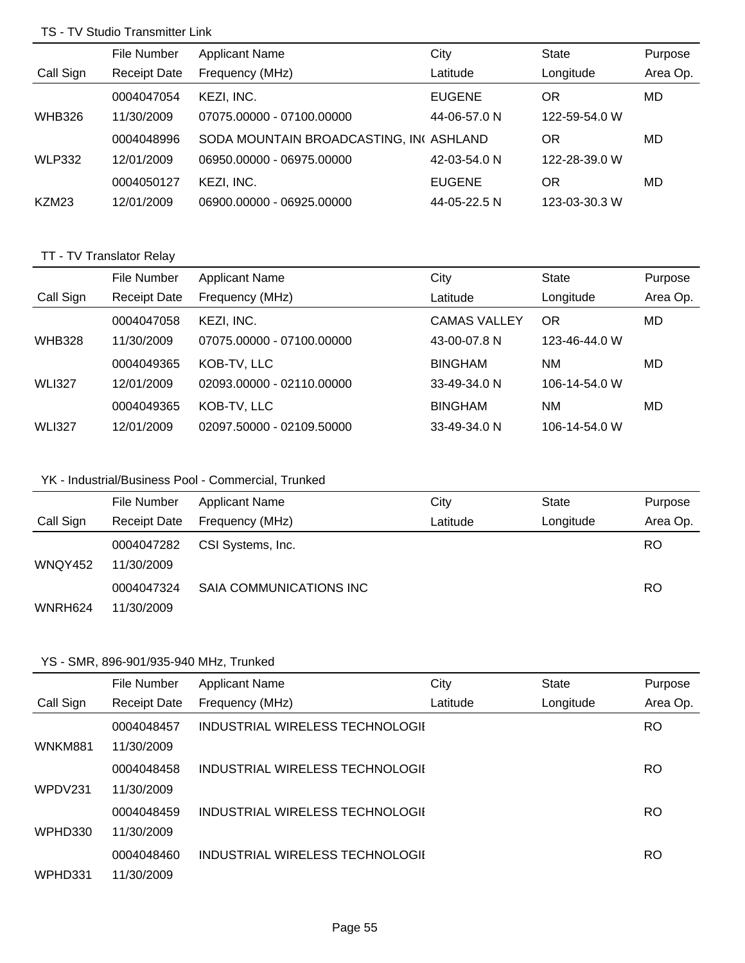#### TS - TV Studio Transmitter Link

|               | File Number         | <b>Applicant Name</b>                  | City          | <b>State</b>  | Purpose  |
|---------------|---------------------|----------------------------------------|---------------|---------------|----------|
| Call Sign     | <b>Receipt Date</b> | Frequency (MHz)                        | Latitude      | Longitude     | Area Op. |
|               | 0004047054          | KEZI, INC.                             | <b>EUGENE</b> | ΟR            | MD       |
| <b>WHB326</b> | 11/30/2009          | 07075.00000 - 07100.00000              | 44-06-57.0 N  | 122-59-54.0 W |          |
|               | 0004048996          | SODA MOUNTAIN BROADCASTING, INCASHLAND |               | OR            | MD       |
| <b>WLP332</b> | 12/01/2009          | 06950.00000 - 06975.00000              | 42-03-54.0 N  | 122-28-39.0 W |          |
|               | 0004050127          | KEZI, INC.                             | <b>EUGENE</b> | ΟR            | MD       |
| KZM23         | 12/01/2009          | 06900.00000 - 06925.00000              | 44-05-22.5 N  | 123-03-30.3 W |          |

# TT - TV Translator Relay

|               | File Number         | <b>Applicant Name</b>     | City                | State         | Purpose  |
|---------------|---------------------|---------------------------|---------------------|---------------|----------|
| Call Sign     | <b>Receipt Date</b> | Frequency (MHz)           | Latitude            | Longitude     | Area Op. |
|               | 0004047058          | KEZI, INC.                | <b>CAMAS VALLEY</b> | <b>OR</b>     | MD       |
| <b>WHB328</b> | 11/30/2009          | 07075.00000 - 07100.00000 | 43-00-07.8 N        | 123-46-44.0 W |          |
|               | 0004049365          | KOB-TV, LLC               | <b>BINGHAM</b>      | NM            | MD       |
| <b>WLI327</b> | 12/01/2009          | 02093.00000 - 02110.00000 | 33-49-34.0 N        | 106-14-54.0 W |          |
|               | 0004049365          | KOB-TV, LLC               | <b>BINGHAM</b>      | NM            | MD       |
| <b>WLI327</b> | 12/01/2009          | 02097.50000 - 02109.50000 | 33-49-34.0 N        | 106-14-54.0 W |          |

### YK - Industrial/Business Pool - Commercial, Trunked

|                | File Number              | <b>Applicant Name</b>   | City     | State     | Purpose   |
|----------------|--------------------------|-------------------------|----------|-----------|-----------|
| Call Sign      | <b>Receipt Date</b>      | Frequency (MHz)         | Latitude | Longitude | Area Op.  |
| <b>WNQY452</b> | 0004047282<br>11/30/2009 | CSI Systems, Inc.       |          |           | <b>RO</b> |
|                | 0004047324               | SAIA COMMUNICATIONS INC |          |           | <b>RO</b> |
| WNRH624        | 11/30/2009               |                         |          |           |           |

### YS - SMR, 896-901/935-940 MHz, Trunked

|           | File Number         | <b>Applicant Name</b>           | City     | <b>State</b> | Purpose   |
|-----------|---------------------|---------------------------------|----------|--------------|-----------|
| Call Sign | <b>Receipt Date</b> | Frequency (MHz)                 | Latitude | Longitude    | Area Op.  |
|           | 0004048457          | INDUSTRIAL WIRELESS TECHNOLOGII |          |              | <b>RO</b> |
| WNKM881   | 11/30/2009          |                                 |          |              |           |
|           | 0004048458          | INDUSTRIAL WIRELESS TECHNOLOGII |          |              | RO        |
| WPDV231   | 11/30/2009          |                                 |          |              |           |
|           | 0004048459          | INDUSTRIAL WIRELESS TECHNOLOGII |          |              | <b>RO</b> |
| WPHD330   | 11/30/2009          |                                 |          |              |           |
|           | 0004048460          | INDUSTRIAL WIRELESS TECHNOLOGII |          |              | <b>RO</b> |
| WPHD331   | 11/30/2009          |                                 |          |              |           |